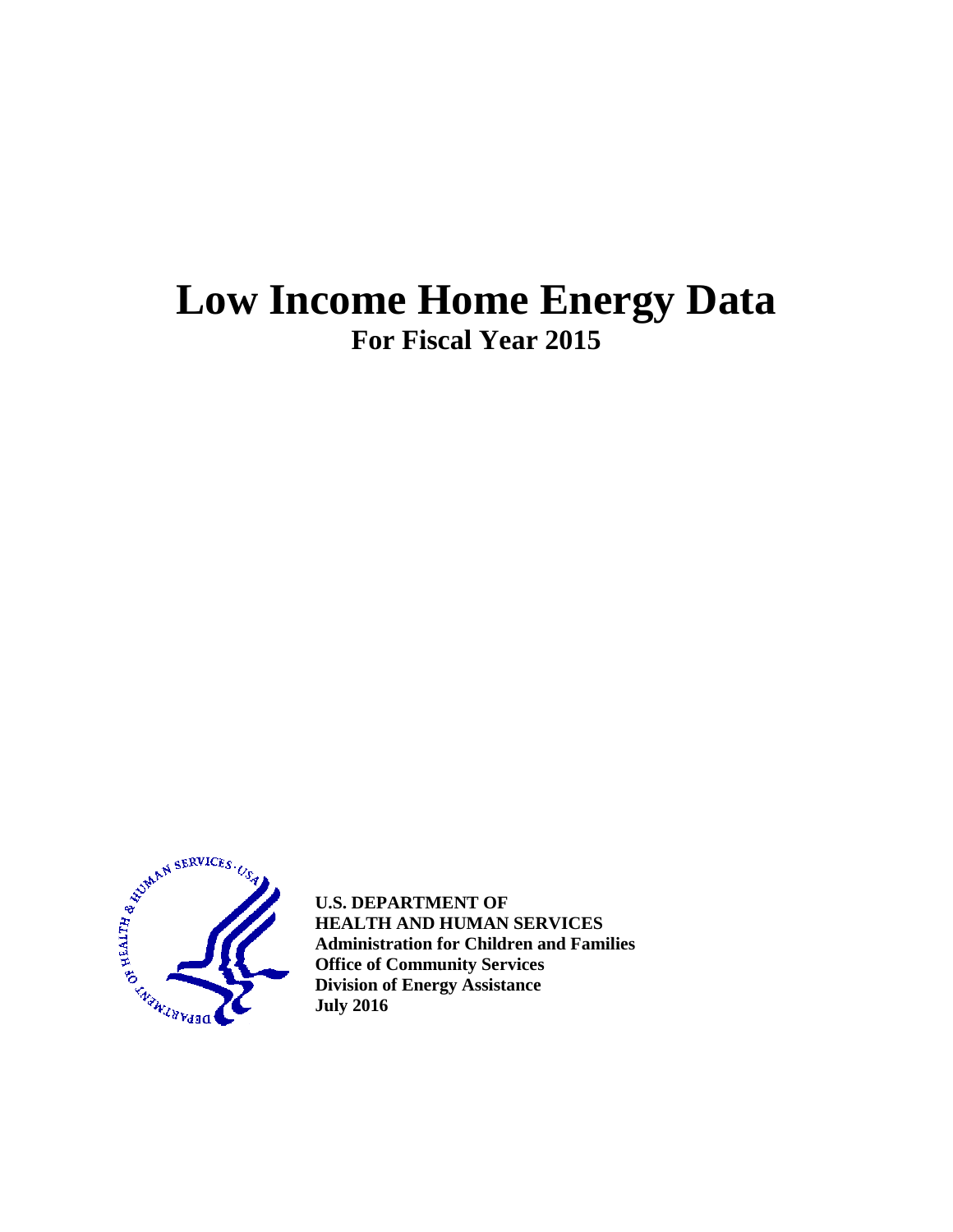# **Low Income Home Energy Data For Fiscal Year 2015**



**U.S. DEPARTMENT OF HEALTH AND HUMAN SERVICES Administration for Children and Families Office of Community Services Division of Energy Assistance July 2016**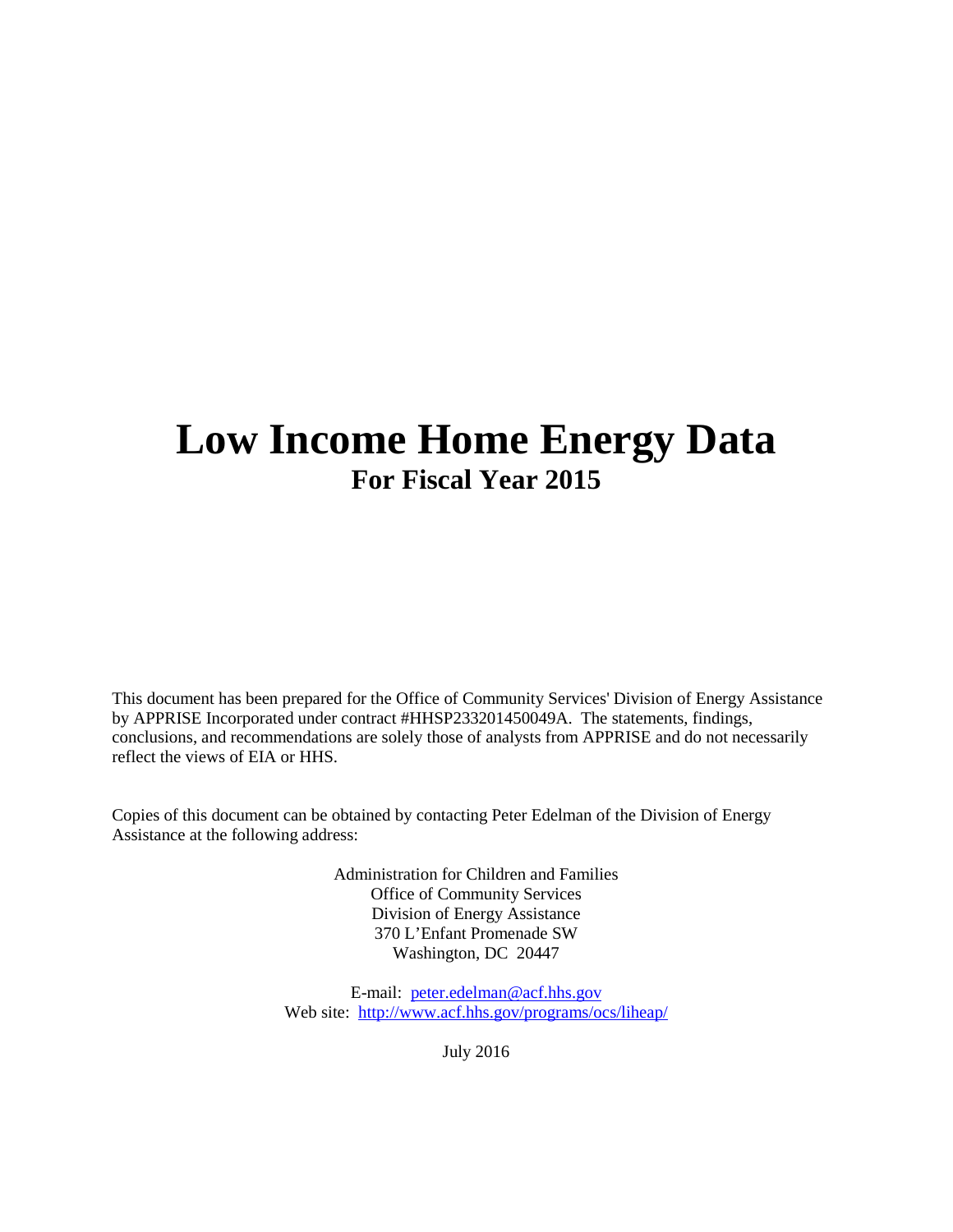# **Low Income Home Energy Data For Fiscal Year 2015**

This document has been prepared for the Office of Community Services' Division of Energy Assistance by APPRISE Incorporated under contract #HHSP233201450049A. The statements, findings, conclusions, and recommendations are solely those of analysts from APPRISE and do not necessarily reflect the views of EIA or HHS.

Copies of this document can be obtained by contacting Peter Edelman of the Division of Energy Assistance at the following address:

> Administration for Children and Families Office of Community Services Division of Energy Assistance 370 L'Enfant Promenade SW Washington, DC 20447

E-mail: [peter.edelman@acf.hhs.gov](mailto:peter.edelman@acf.hhs.gov) Web site: <http://www.acf.hhs.gov/programs/ocs/liheap/>

July 2016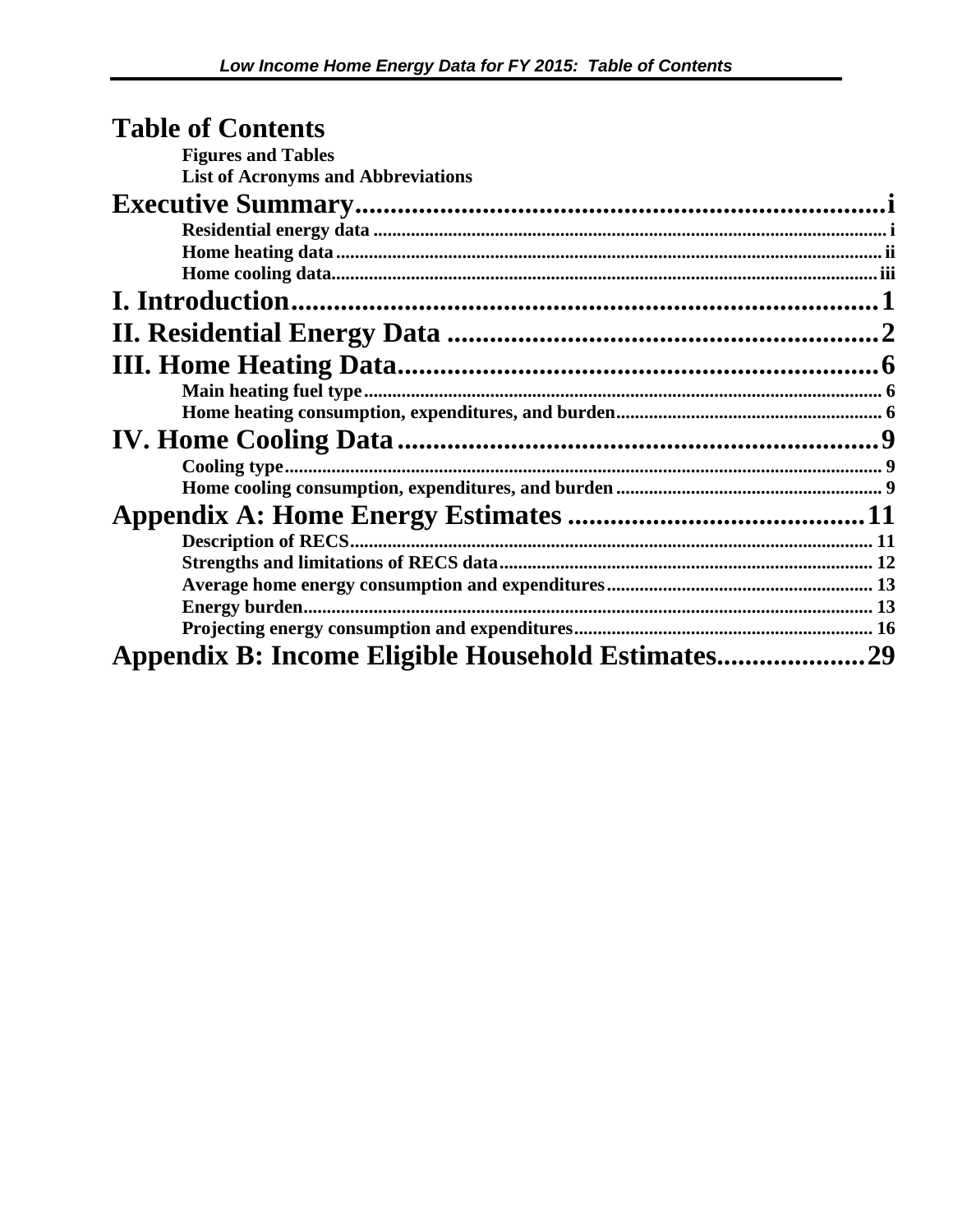| <b>Table of Contents</b>                  |  |
|-------------------------------------------|--|
| <b>Figures and Tables</b>                 |  |
| <b>List of Acronyms and Abbreviations</b> |  |
|                                           |  |
|                                           |  |
|                                           |  |
|                                           |  |
|                                           |  |
|                                           |  |
|                                           |  |
|                                           |  |
|                                           |  |
|                                           |  |
|                                           |  |
|                                           |  |
|                                           |  |
|                                           |  |
|                                           |  |
|                                           |  |
|                                           |  |
|                                           |  |
|                                           |  |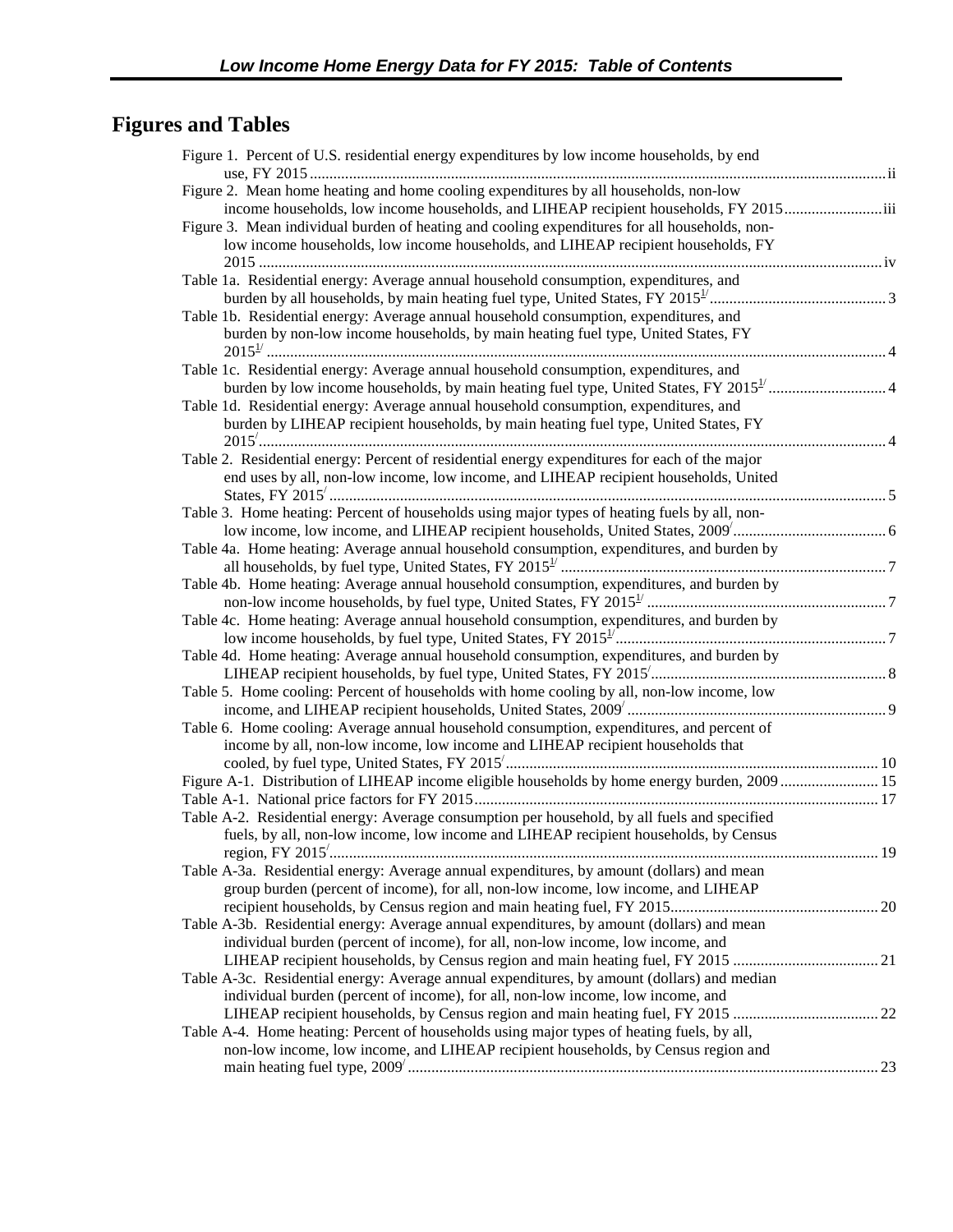## <span id="page-3-0"></span>**Figures and Tables**

| Figure 1. Percent of U.S. residential energy expenditures by low income households, by end    |  |
|-----------------------------------------------------------------------------------------------|--|
| Figure 2. Mean home heating and home cooling expenditures by all households, non-low          |  |
| income households, low income households, and LIHEAP recipient households, FY 2015iii         |  |
| Figure 3. Mean individual burden of heating and cooling expenditures for all households, non- |  |
| low income households, low income households, and LIHEAP recipient households, FY             |  |
| Table 1a. Residential energy: Average annual household consumption, expenditures, and         |  |
|                                                                                               |  |
| Table 1b. Residential energy: Average annual household consumption, expenditures, and         |  |
| burden by non-low income households, by main heating fuel type, United States, FY             |  |
|                                                                                               |  |
| Table 1c. Residential energy: Average annual household consumption, expenditures, and         |  |
|                                                                                               |  |
| Table 1d. Residential energy: Average annual household consumption, expenditures, and         |  |
| burden by LIHEAP recipient households, by main heating fuel type, United States, FY           |  |
|                                                                                               |  |
| Table 2. Residential energy: Percent of residential energy expenditures for each of the major |  |
| end uses by all, non-low income, low income, and LIHEAP recipient households, United          |  |
|                                                                                               |  |
| Table 3. Home heating: Percent of households using major types of heating fuels by all, non-  |  |
|                                                                                               |  |
| Table 4a. Home heating: Average annual household consumption, expenditures, and burden by     |  |
|                                                                                               |  |
| Table 4b. Home heating: Average annual household consumption, expenditures, and burden by     |  |
|                                                                                               |  |
| Table 4c. Home heating: Average annual household consumption, expenditures, and burden by     |  |
|                                                                                               |  |
| Table 4d. Home heating: Average annual household consumption, expenditures, and burden by     |  |
|                                                                                               |  |
| Table 5. Home cooling: Percent of households with home cooling by all, non-low income, low    |  |
|                                                                                               |  |
| Table 6. Home cooling: Average annual household consumption, expenditures, and percent of     |  |
| income by all, non-low income, low income and LIHEAP recipient households that                |  |
| Figure A-1. Distribution of LIHEAP income eligible households by home energy burden, 2009 15  |  |
|                                                                                               |  |
| Table A-2. Residential energy: Average consumption per household, by all fuels and specified  |  |
| fuels, by all, non-low income, low income and LIHEAP recipient households, by Census          |  |
|                                                                                               |  |
| Table A-3a. Residential energy: Average annual expenditures, by amount (dollars) and mean     |  |
| group burden (percent of income), for all, non-low income, low income, and LIHEAP             |  |
|                                                                                               |  |
| Table A-3b. Residential energy: Average annual expenditures, by amount (dollars) and mean     |  |
| individual burden (percent of income), for all, non-low income, low income, and               |  |
|                                                                                               |  |
| Table A-3c. Residential energy: Average annual expenditures, by amount (dollars) and median   |  |
| individual burden (percent of income), for all, non-low income, low income, and               |  |
|                                                                                               |  |
| Table A-4. Home heating: Percent of households using major types of heating fuels, by all,    |  |
| non-low income, low income, and LIHEAP recipient households, by Census region and             |  |
|                                                                                               |  |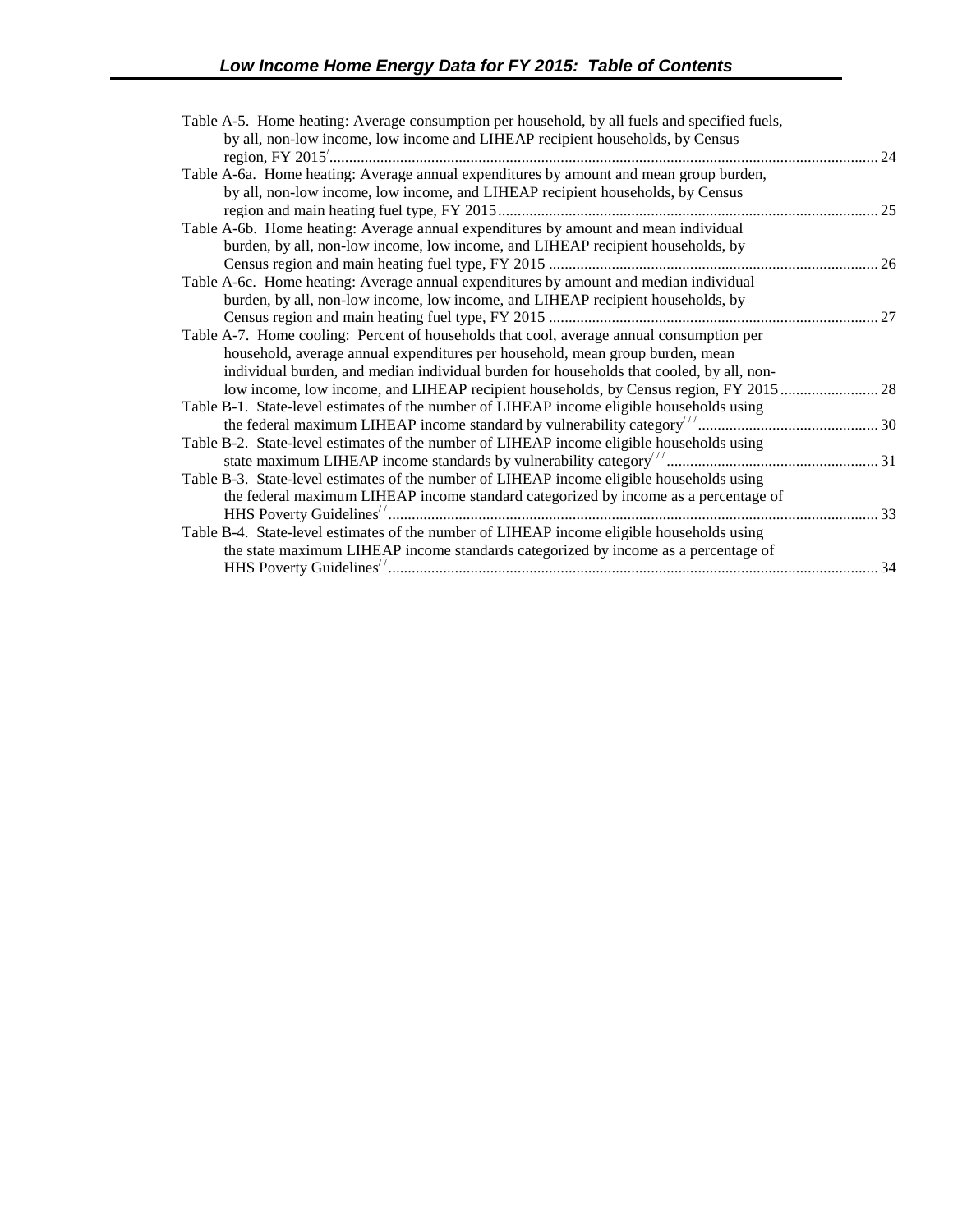| Table A-5. Home heating: Average consumption per household, by all fuels and specified fuels, |     |
|-----------------------------------------------------------------------------------------------|-----|
| by all, non-low income, low income and LIHEAP recipient households, by Census                 |     |
|                                                                                               | .24 |
| Table A-6a. Home heating: Average annual expenditures by amount and mean group burden,        |     |
| by all, non-low income, low income, and LIHEAP recipient households, by Census                |     |
|                                                                                               |     |
| Table A-6b. Home heating: Average annual expenditures by amount and mean individual           |     |
| burden, by all, non-low income, low income, and LIHEAP recipient households, by               |     |
|                                                                                               |     |
| Table A-6c. Home heating: Average annual expenditures by amount and median individual         |     |
| burden, by all, non-low income, low income, and LIHEAP recipient households, by               |     |
|                                                                                               |     |
| Table A-7. Home cooling: Percent of households that cool, average annual consumption per      |     |
| household, average annual expenditures per household, mean group burden, mean                 |     |
| individual burden, and median individual burden for households that cooled, by all, non-      |     |
| low income, low income, and LIHEAP recipient households, by Census region, FY 2015  28        |     |
| Table B-1. State-level estimates of the number of LIHEAP income eligible households using     |     |
|                                                                                               |     |
| Table B-2. State-level estimates of the number of LIHEAP income eligible households using     |     |
|                                                                                               |     |
| Table B-3. State-level estimates of the number of LIHEAP income eligible households using     |     |
| the federal maximum LIHEAP income standard categorized by income as a percentage of           |     |
|                                                                                               |     |
| Table B-4. State-level estimates of the number of LIHEAP income eligible households using     |     |
| the state maximum LIHEAP income standards categorized by income as a percentage of            |     |
|                                                                                               |     |
|                                                                                               |     |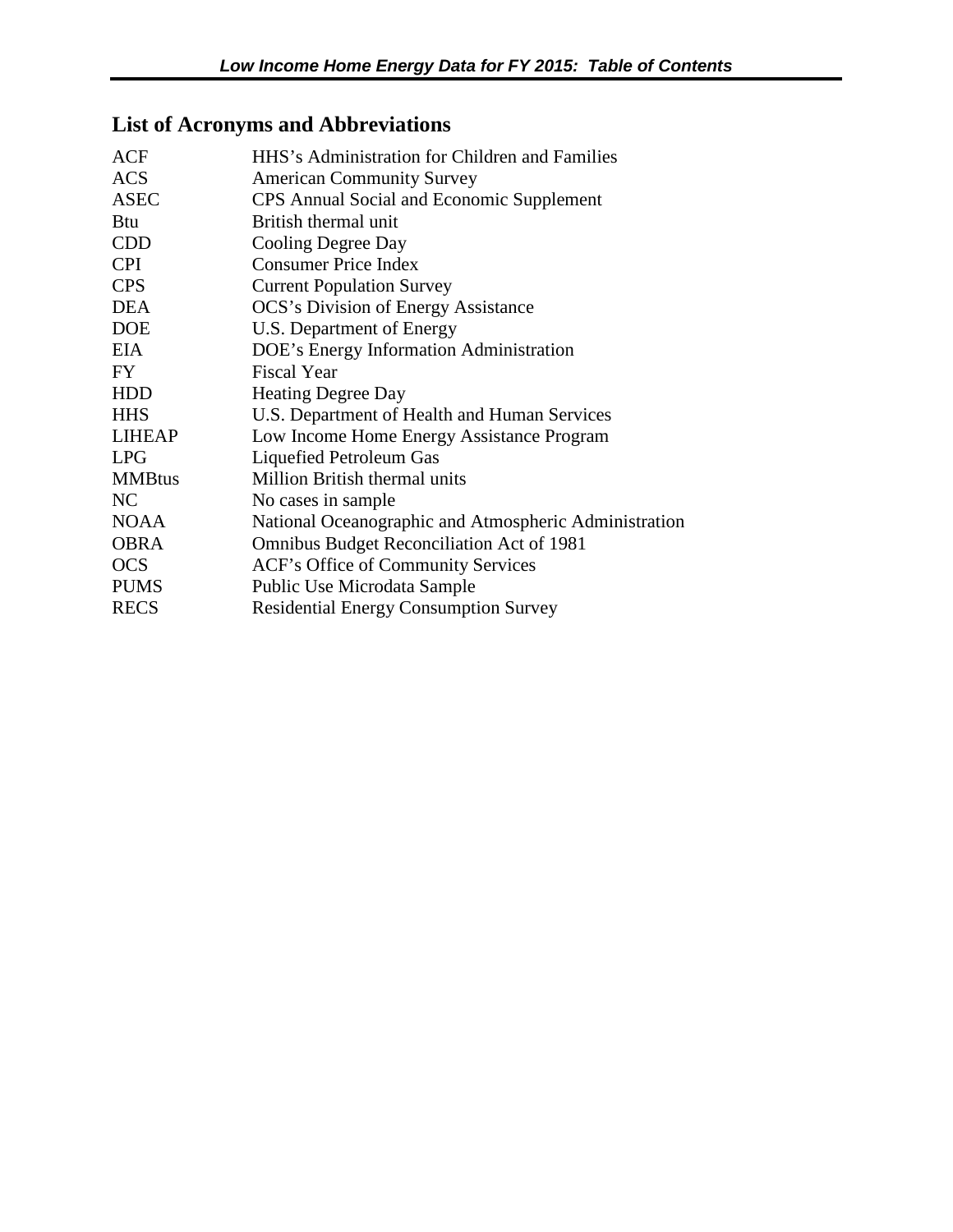## <span id="page-5-0"></span>**List of Acronyms and Abbreviations**

| HHS's Administration for Children and Families        |
|-------------------------------------------------------|
| <b>American Community Survey</b>                      |
| CPS Annual Social and Economic Supplement             |
| British thermal unit                                  |
| Cooling Degree Day                                    |
| <b>Consumer Price Index</b>                           |
| <b>Current Population Survey</b>                      |
| <b>OCS's Division of Energy Assistance</b>            |
| U.S. Department of Energy                             |
| DOE's Energy Information Administration               |
| <b>Fiscal Year</b>                                    |
| <b>Heating Degree Day</b>                             |
| U.S. Department of Health and Human Services          |
| Low Income Home Energy Assistance Program             |
| Liquefied Petroleum Gas                               |
| <b>Million British thermal units</b>                  |
| No cases in sample                                    |
| National Oceanographic and Atmospheric Administration |
| <b>Omnibus Budget Reconciliation Act of 1981</b>      |
| ACF's Office of Community Services                    |
| Public Use Microdata Sample                           |
| <b>Residential Energy Consumption Survey</b>          |
|                                                       |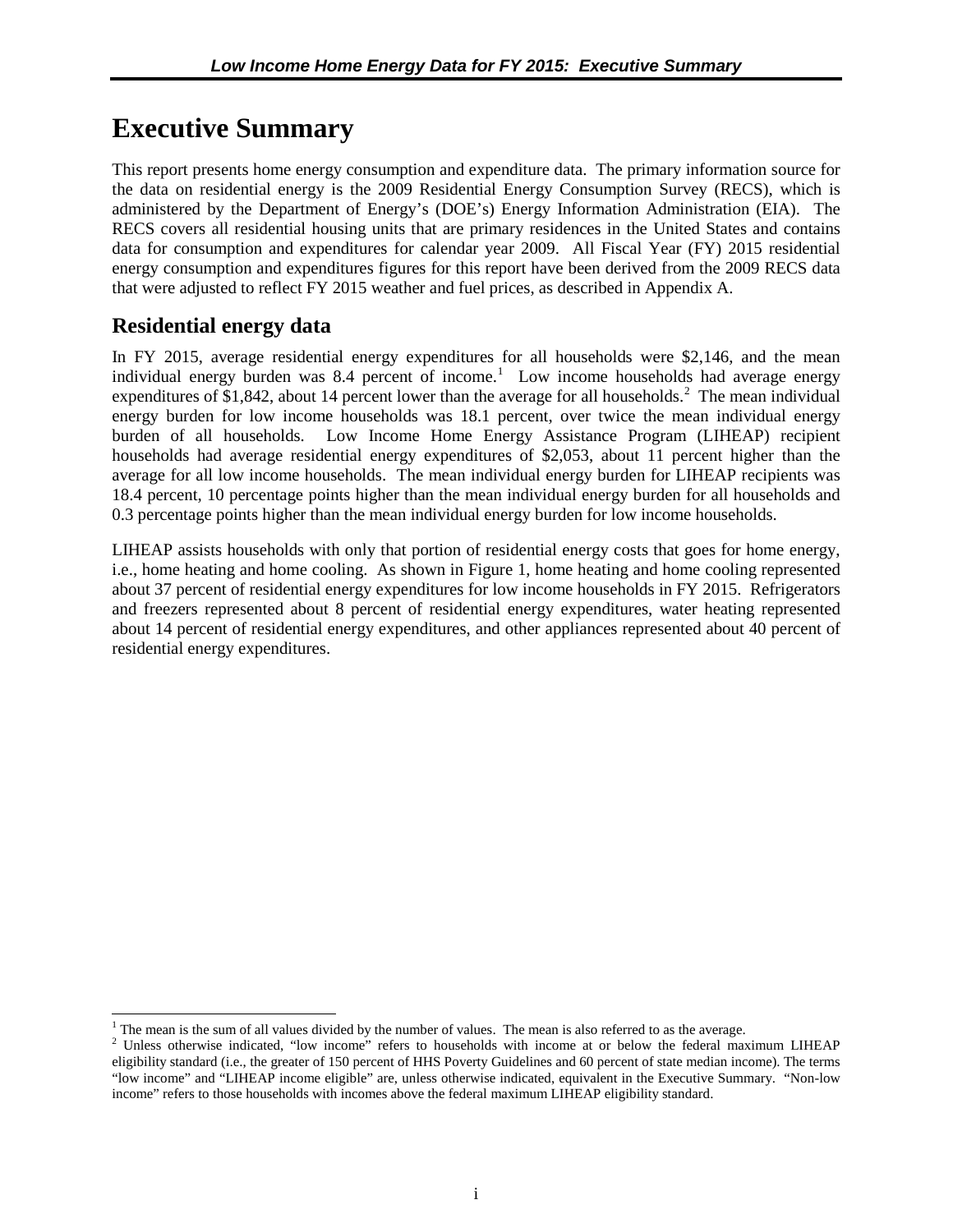## <span id="page-6-0"></span>**Executive Summary**

This report presents home energy consumption and expenditure data. The primary information source for the data on residential energy is the 2009 Residential Energy Consumption Survey (RECS), which is administered by the Department of Energy's (DOE's) Energy Information Administration (EIA). The RECS covers all residential housing units that are primary residences in the United States and contains data for consumption and expenditures for calendar year 2009. All Fiscal Year (FY) 2015 residential energy consumption and expenditures figures for this report have been derived from the 2009 RECS data that were adjusted to reflect FY 2015 weather and fuel prices, as described in Appendix A.

### **Residential energy data**

 $\overline{a}$ 

In FY 2015, average residential energy expenditures for all households were \$2,146, and the mean individual energy burden was 8.4 percent of income.<sup>[1](#page-6-1)</sup> Low income households had average energy expenditures of \$1,84[2](#page-6-2), about 14 percent lower than the average for all households.<sup>2</sup> The mean individual energy burden for low income households was 18.1 percent, over twice the mean individual energy burden of all households. Low Income Home Energy Assistance Program (LIHEAP) recipient households had average residential energy expenditures of \$2,053, about 11 percent higher than the average for all low income households. The mean individual energy burden for LIHEAP recipients was 18.4 percent, 10 percentage points higher than the mean individual energy burden for all households and 0.3 percentage points higher than the mean individual energy burden for low income households.

LIHEAP assists households with only that portion of residential energy costs that goes for home energy, i.e., home heating and home cooling. As shown in Figure 1, home heating and home cooling represented about 37 percent of residential energy expenditures for low income households in FY 2015. Refrigerators and freezers represented about 8 percent of residential energy expenditures, water heating represented about 14 percent of residential energy expenditures, and other appliances represented about 40 percent of residential energy expenditures.

<span id="page-6-1"></span><sup>&</sup>lt;sup>1</sup> The mean is the sum of all values divided by the number of values. The mean is also referred to as the average.

<span id="page-6-2"></span><sup>&</sup>lt;sup>2</sup> Unless otherwise indicated, "low income" refers to households with income at or below the federal maximum LIHEAP eligibility standard (i.e., the greater of 150 percent of HHS Poverty Guidelines and 60 percent of state median income). The terms "low income" and "LIHEAP income eligible" are, unless otherwise indicated, equivalent in the Executive Summary. "Non-low income" refers to those households with incomes above the federal maximum LIHEAP eligibility standard.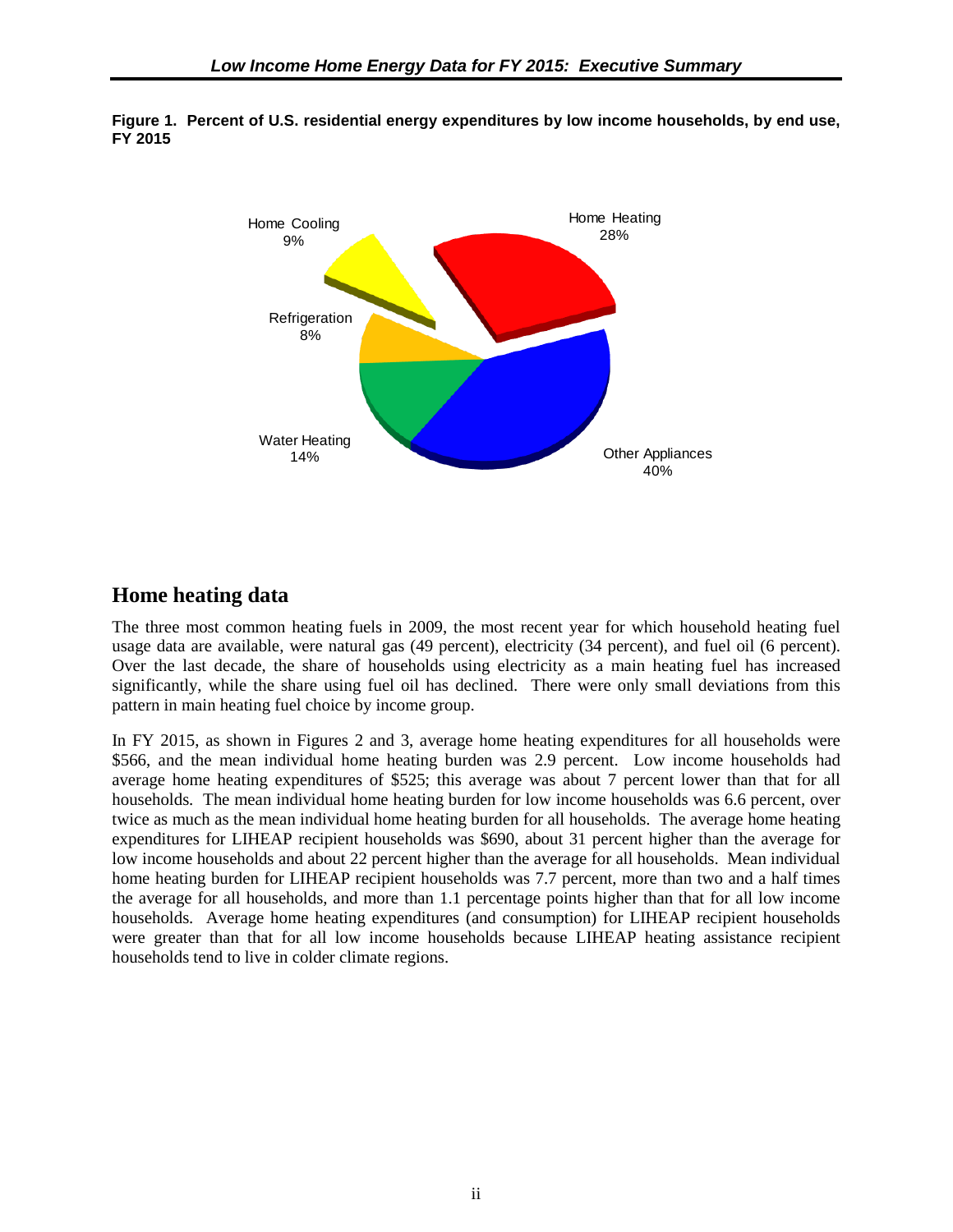

<span id="page-7-0"></span>

### **Home heating data**

The three most common heating fuels in 2009, the most recent year for which household heating fuel usage data are available, were natural gas (49 percent), electricity (34 percent), and fuel oil (6 percent). Over the last decade, the share of households using electricity as a main heating fuel has increased significantly, while the share using fuel oil has declined. There were only small deviations from this pattern in main heating fuel choice by income group.

In FY 2015, as shown in Figures 2 and 3, average home heating expenditures for all households were \$566, and the mean individual home heating burden was 2.9 percent. Low income households had average home heating expenditures of \$525; this average was about 7 percent lower than that for all households. The mean individual home heating burden for low income households was 6.6 percent, over twice as much as the mean individual home heating burden for all households. The average home heating expenditures for LIHEAP recipient households was \$690, about 31 percent higher than the average for low income households and about 22 percent higher than the average for all households. Mean individual home heating burden for LIHEAP recipient households was 7.7 percent, more than two and a half times the average for all households, and more than 1.1 percentage points higher than that for all low income households. Average home heating expenditures (and consumption) for LIHEAP recipient households were greater than that for all low income households because LIHEAP heating assistance recipient households tend to live in colder climate regions.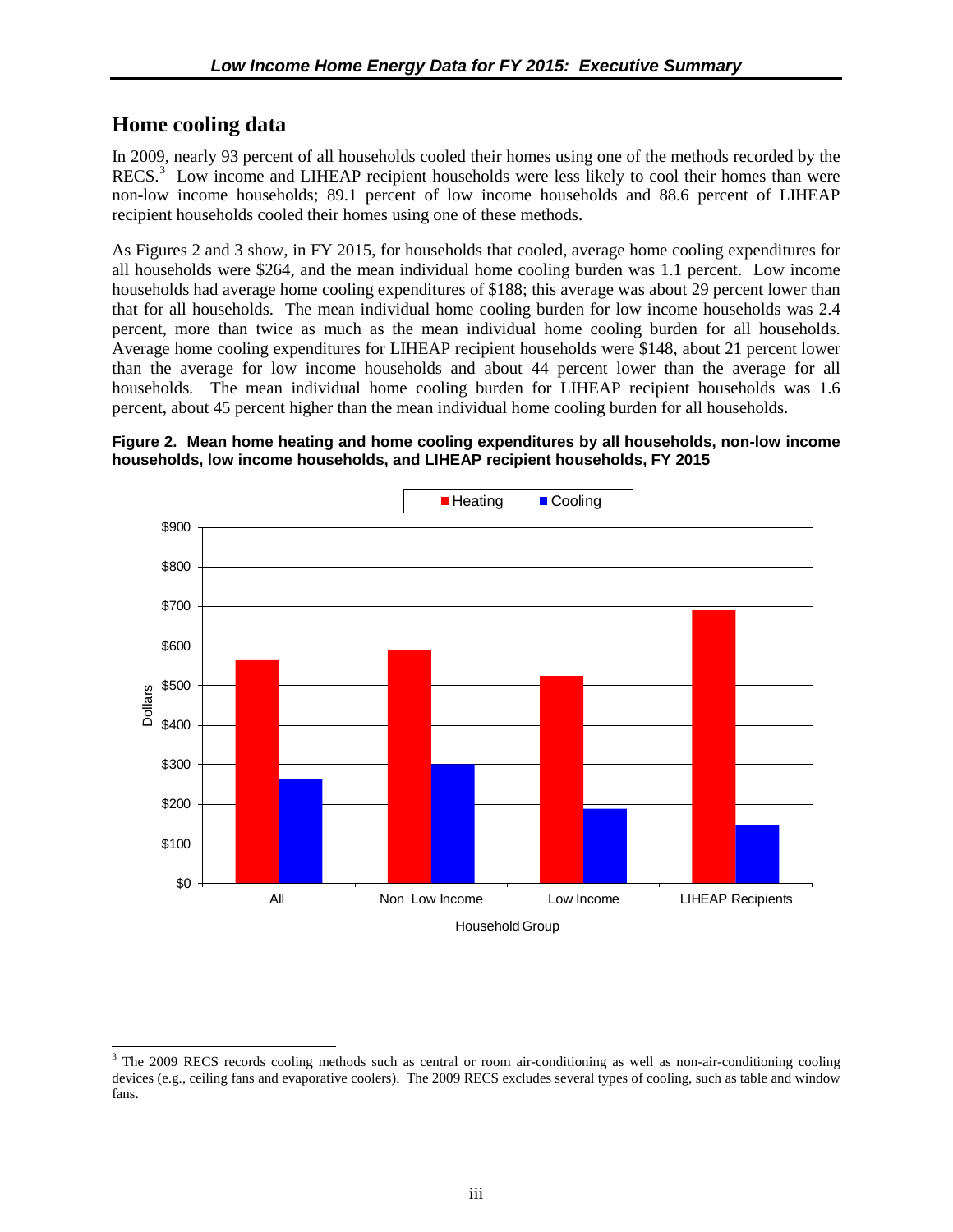### <span id="page-8-0"></span>**Home cooling data**

 $\overline{a}$ 

In 2009, nearly 93 percent of all households cooled their homes using one of the methods recorded by the RECS.<sup>[3](#page-8-1)</sup> Low income and LIHEAP recipient households were less likely to cool their homes than were non-low income households; 89.1 percent of low income households and 88.6 percent of LIHEAP recipient households cooled their homes using one of these methods.

As Figures 2 and 3 show, in FY 2015, for households that cooled, average home cooling expenditures for all households were \$264, and the mean individual home cooling burden was 1.1 percent. Low income households had average home cooling expenditures of \$188; this average was about 29 percent lower than that for all households. The mean individual home cooling burden for low income households was 2.4 percent, more than twice as much as the mean individual home cooling burden for all households. Average home cooling expenditures for LIHEAP recipient households were \$148, about 21 percent lower than the average for low income households and about 44 percent lower than the average for all households. The mean individual home cooling burden for LIHEAP recipient households was 1.6 percent, about 45 percent higher than the mean individual home cooling burden for all households.

#### **Figure 2. Mean home heating and home cooling expenditures by all households, non-low income households, low income households, and LIHEAP recipient households, FY 2015**



<span id="page-8-1"></span><sup>&</sup>lt;sup>3</sup> The 2009 RECS records cooling methods such as central or room air-conditioning as well as non-air-conditioning cooling devices (e.g., ceiling fans and evaporative coolers). The 2009 RECS excludes several types of cooling, such as table and window fans.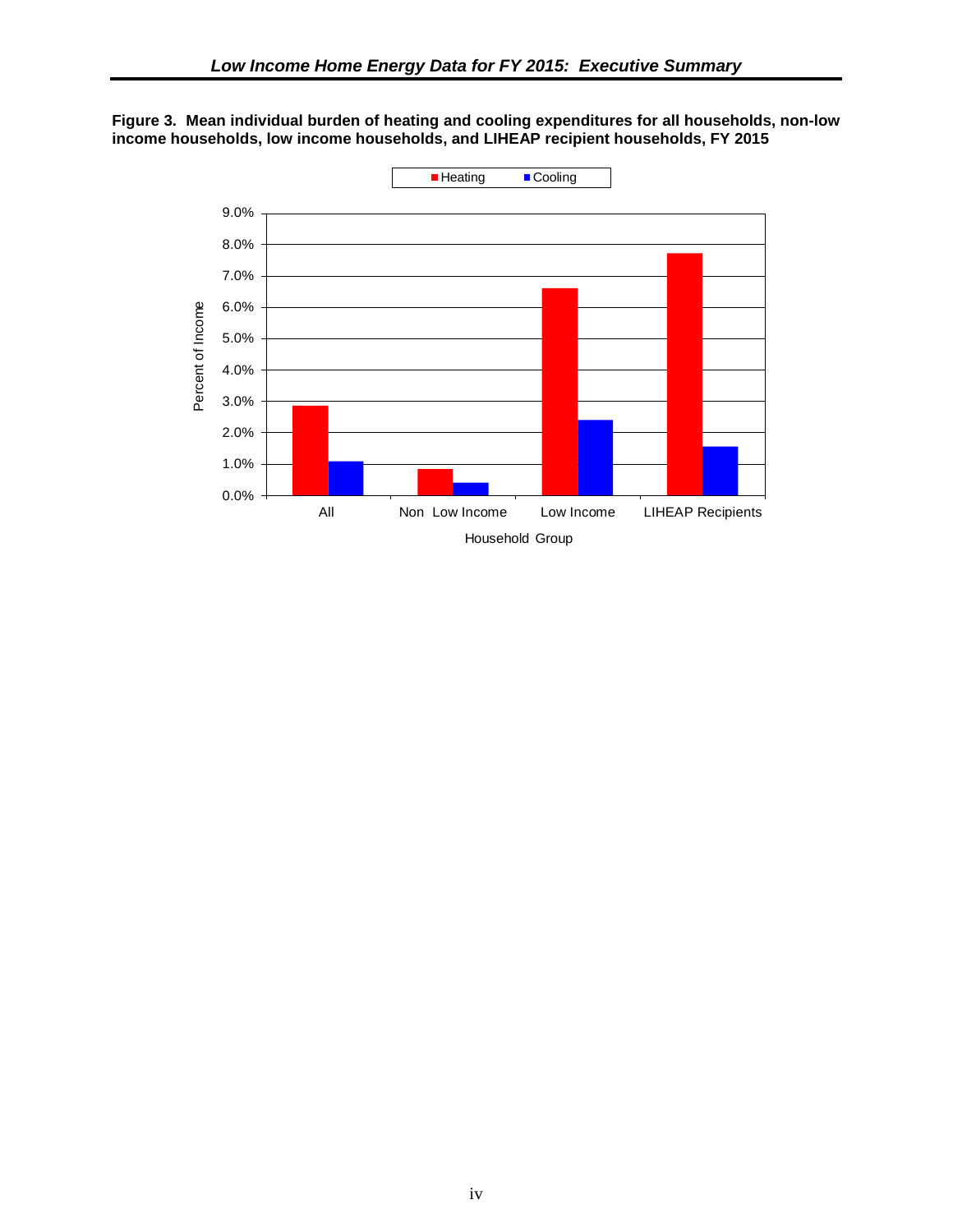<span id="page-9-0"></span>

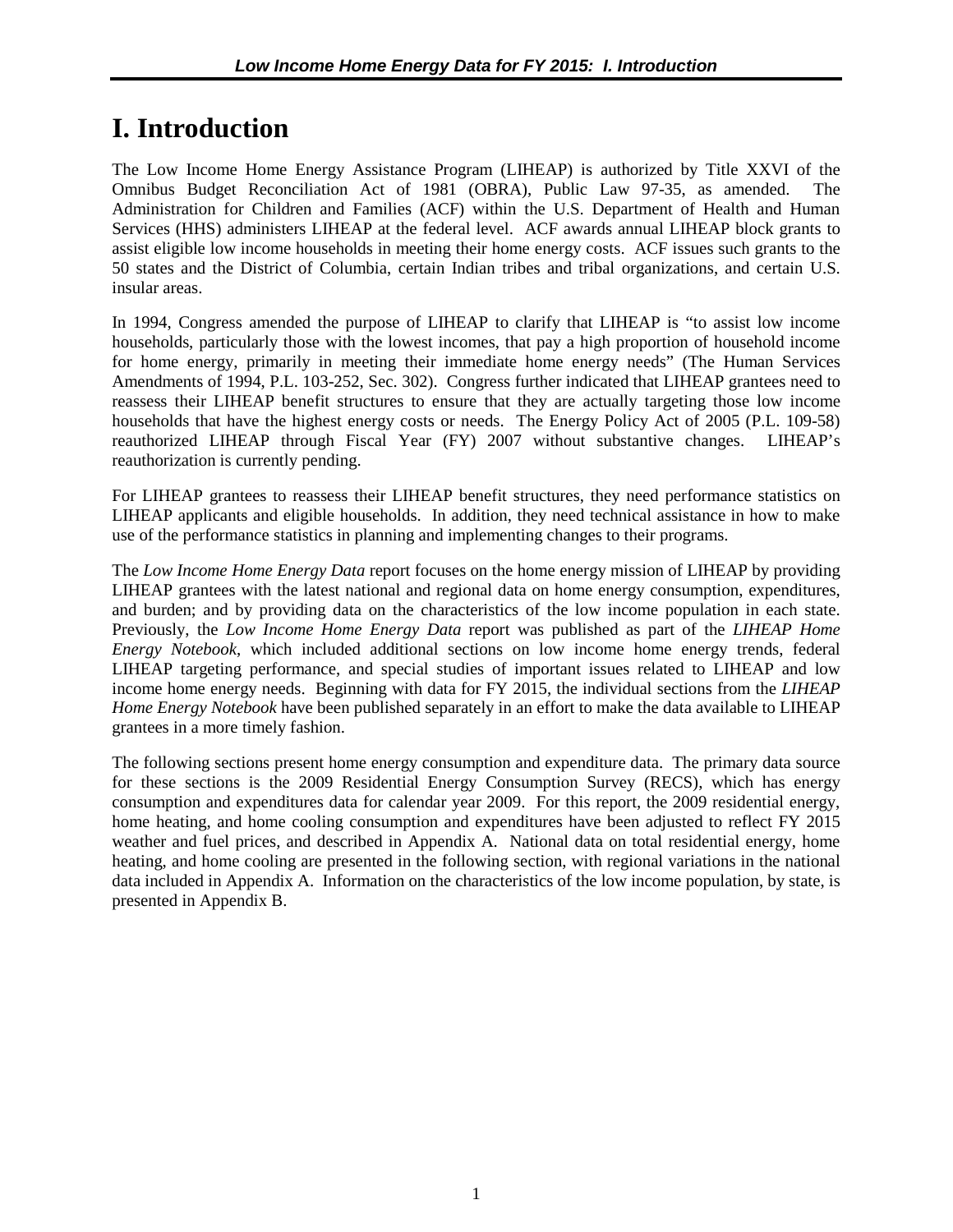## <span id="page-10-0"></span>**I. Introduction**

The Low Income Home Energy Assistance Program (LIHEAP) is authorized by Title XXVI of the Omnibus Budget Reconciliation Act of 1981 (OBRA), Public Law 97-35, as amended. The Administration for Children and Families (ACF) within the U.S. Department of Health and Human Services (HHS) administers LIHEAP at the federal level. ACF awards annual LIHEAP block grants to assist eligible low income households in meeting their home energy costs. ACF issues such grants to the 50 states and the District of Columbia, certain Indian tribes and tribal organizations, and certain U.S. insular areas.

In 1994, Congress amended the purpose of LIHEAP to clarify that LIHEAP is "to assist low income households, particularly those with the lowest incomes, that pay a high proportion of household income for home energy, primarily in meeting their immediate home energy needs" (The Human Services Amendments of 1994, P.L. 103-252, Sec. 302). Congress further indicated that LIHEAP grantees need to reassess their LIHEAP benefit structures to ensure that they are actually targeting those low income households that have the highest energy costs or needs. The Energy Policy Act of 2005 (P.L. 109-58) reauthorized LIHEAP through Fiscal Year (FY) 2007 without substantive changes. LIHEAP's reauthorization is currently pending.

For LIHEAP grantees to reassess their LIHEAP benefit structures, they need performance statistics on LIHEAP applicants and eligible households. In addition, they need technical assistance in how to make use of the performance statistics in planning and implementing changes to their programs.

The *Low Income Home Energy Data* report focuses on the home energy mission of LIHEAP by providing LIHEAP grantees with the latest national and regional data on home energy consumption, expenditures, and burden; and by providing data on the characteristics of the low income population in each state. Previously, the *Low Income Home Energy Data* report was published as part of the *LIHEAP Home Energy Notebook*, which included additional sections on low income home energy trends, federal LIHEAP targeting performance, and special studies of important issues related to LIHEAP and low income home energy needs. Beginning with data for FY 2015, the individual sections from the *LIHEAP Home Energy Notebook* have been published separately in an effort to make the data available to LIHEAP grantees in a more timely fashion.

The following sections present home energy consumption and expenditure data. The primary data source for these sections is the 2009 Residential Energy Consumption Survey (RECS), which has energy consumption and expenditures data for calendar year 2009. For this report, the 2009 residential energy, home heating, and home cooling consumption and expenditures have been adjusted to reflect FY 2015 weather and fuel prices, and described in Appendix A. National data on total residential energy, home heating, and home cooling are presented in the following section, with regional variations in the national data included in Appendix A. Information on the characteristics of the low income population, by state, is presented in Appendix B.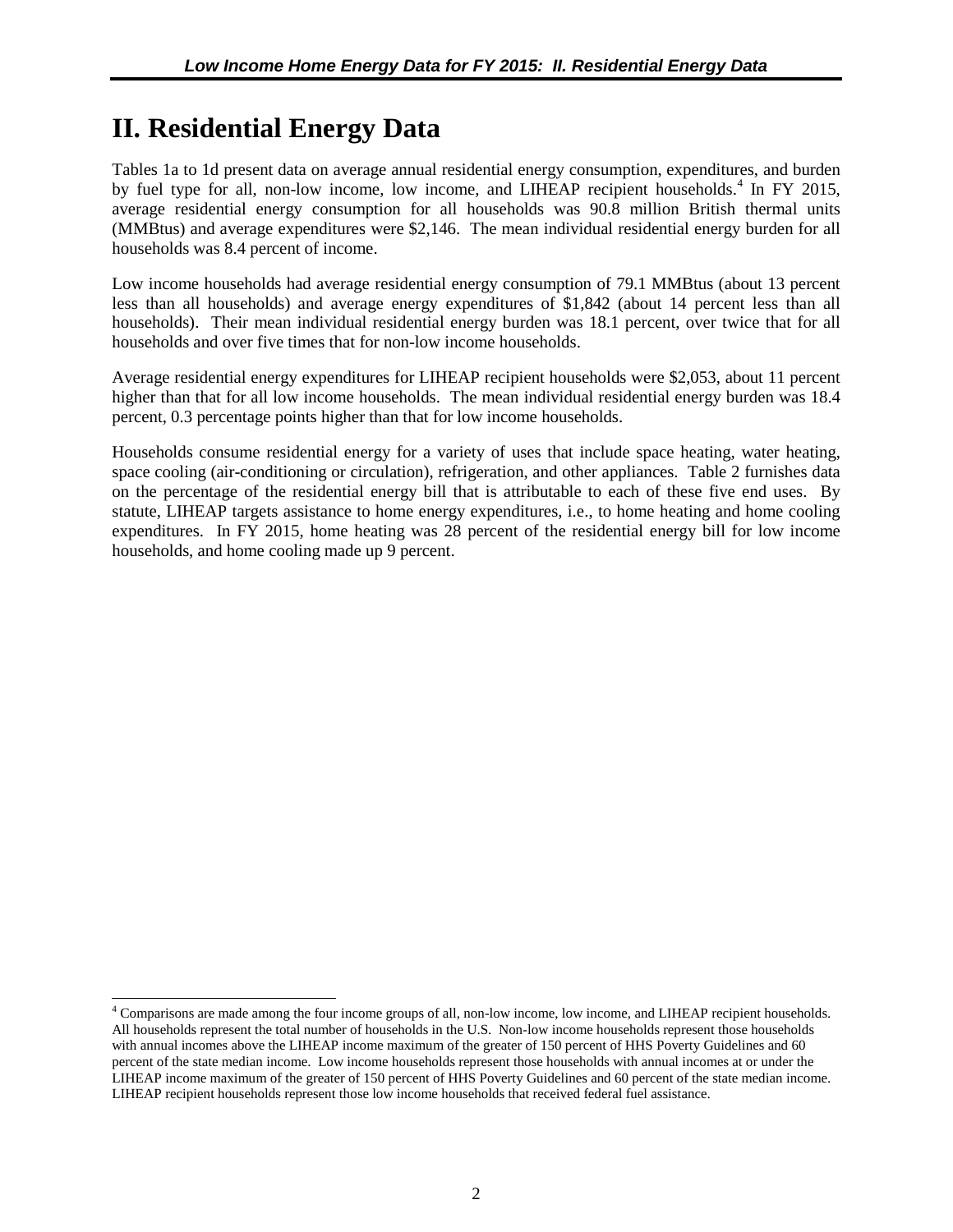## <span id="page-11-0"></span>**II. Residential Energy Data**

 $\overline{a}$ 

Tables 1a to 1d present data on average annual residential energy consumption, expenditures, and burden by fuel type for all, non-low income, low income, and LIHEAP recipient households.<sup>[4](#page-11-1)</sup> In FY 2015, average residential energy consumption for all households was 90.8 million British thermal units (MMBtus) and average expenditures were \$2,146. The mean individual residential energy burden for all households was 8.4 percent of income.

Low income households had average residential energy consumption of 79.1 MMBtus (about 13 percent less than all households) and average energy expenditures of \$1,842 (about 14 percent less than all households). Their mean individual residential energy burden was 18.1 percent, over twice that for all households and over five times that for non-low income households.

Average residential energy expenditures for LIHEAP recipient households were \$2,053, about 11 percent higher than that for all low income households. The mean individual residential energy burden was 18.4 percent, 0.3 percentage points higher than that for low income households.

Households consume residential energy for a variety of uses that include space heating, water heating, space cooling (air-conditioning or circulation), refrigeration, and other appliances. Table 2 furnishes data on the percentage of the residential energy bill that is attributable to each of these five end uses. By statute, LIHEAP targets assistance to home energy expenditures, i.e., to home heating and home cooling expenditures. In FY 2015, home heating was 28 percent of the residential energy bill for low income households, and home cooling made up 9 percent.

<span id="page-11-1"></span><sup>4</sup> Comparisons are made among the four income groups of all, non-low income, low income, and LIHEAP recipient households. All households represent the total number of households in the U.S. Non-low income households represent those households with annual incomes above the LIHEAP income maximum of the greater of 150 percent of HHS Poverty Guidelines and 60 percent of the state median income. Low income households represent those households with annual incomes at or under the LIHEAP income maximum of the greater of 150 percent of HHS Poverty Guidelines and 60 percent of the state median income. LIHEAP recipient households represent those low income households that received federal fuel assistance.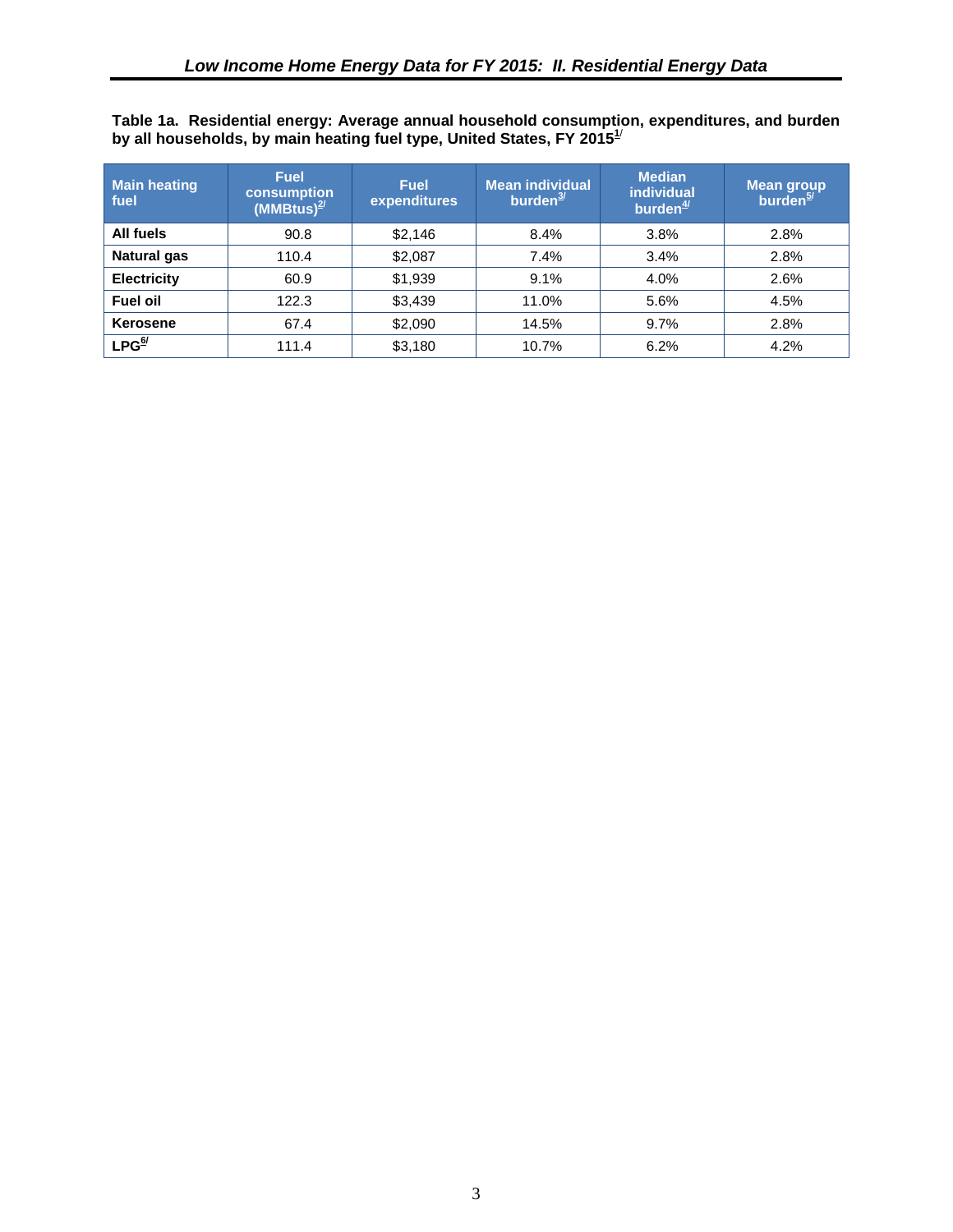<span id="page-12-0"></span>**Table 1a. Residential energy: Average annual household consumption, expenditures, and burden by all households, by main heating fuel type, United States, FY 2015[1](#page-13-1)**/

| <b>Main heating</b><br>fuel | <b>Fuel</b><br>consumption<br>$(MMBtus)^{2/2}$ | <b>Fuel</b><br>expenditures | <b>Mean individual</b><br>burden $3/2$ | <b>Median</b><br><b>individual</b><br>burden $\frac{4}{3}$ | <b>Mean group</b><br>burden <sup>5/1</sup> |
|-----------------------------|------------------------------------------------|-----------------------------|----------------------------------------|------------------------------------------------------------|--------------------------------------------|
| All fuels                   | 90.8                                           | \$2,146                     | 8.4%                                   | 3.8%                                                       | 2.8%                                       |
| <b>Natural gas</b>          | 110.4                                          | \$2,087                     | 7.4%                                   | 3.4%                                                       | 2.8%                                       |
| <b>Electricity</b>          | 60.9                                           | \$1,939                     | 9.1%                                   | 4.0%                                                       | 2.6%                                       |
| <b>Fuel oil</b>             | 122.3                                          | \$3,439                     | 11.0%                                  | 5.6%                                                       | 4.5%                                       |
| Kerosene                    | 67.4                                           | \$2,090                     | 14.5%                                  | 9.7%                                                       | 2.8%                                       |
| LPG <sup>6/</sup>           | 111.4                                          | \$3,180                     | 10.7%                                  | 6.2%                                                       | 4.2%                                       |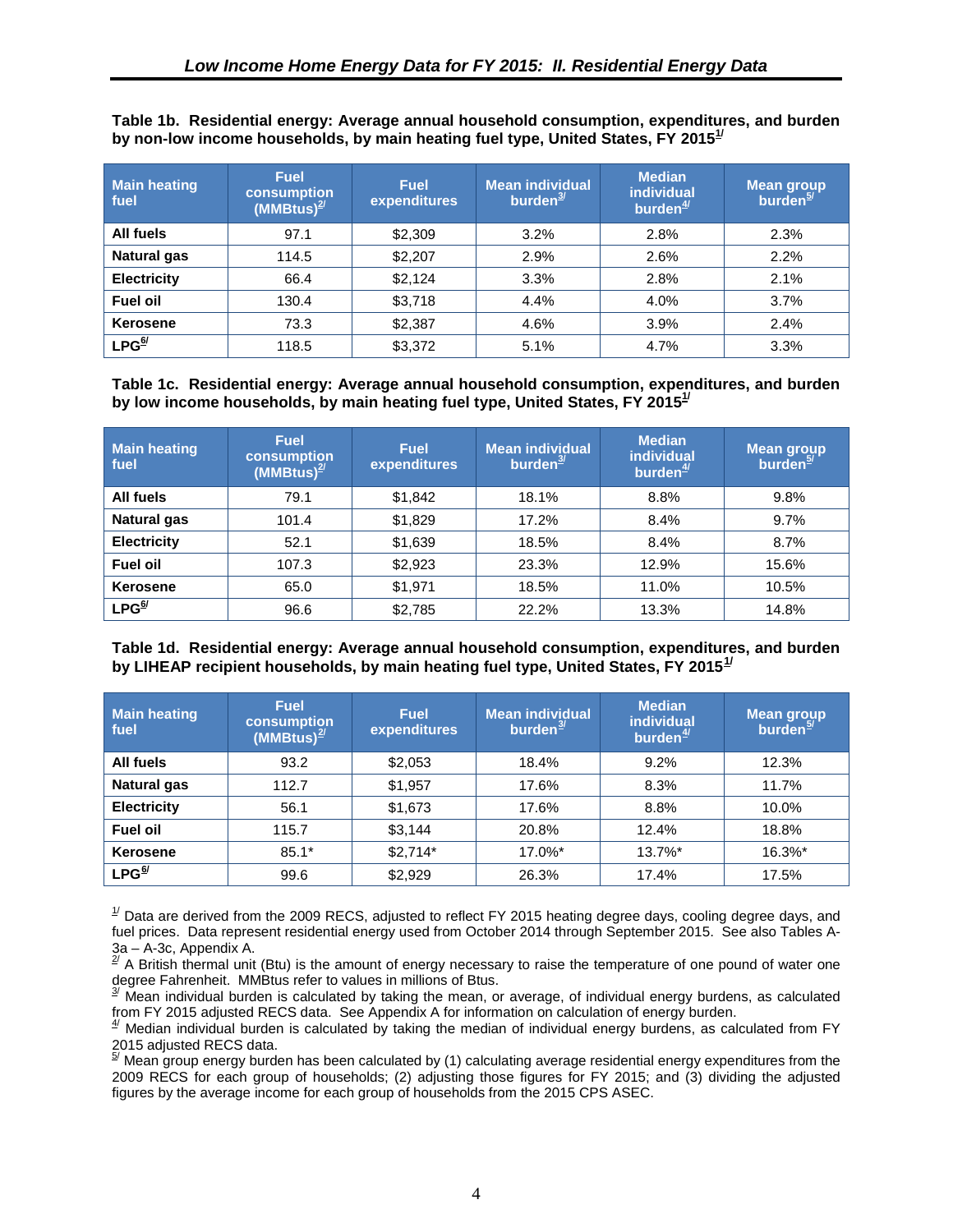<span id="page-13-12"></span>

| <b>Main heating</b><br>fuel | <b>Fuel</b><br>consumption<br>$(MMBtus)^{2/2}$ | <b>Fuel</b><br>expenditures | Mean individual<br>burden $3/2$ | <b>Median</b><br><b>individual</b><br>burden $\frac{4}{3}$ | <b>Mean group</b><br>burden <sup>5/</sup> |
|-----------------------------|------------------------------------------------|-----------------------------|---------------------------------|------------------------------------------------------------|-------------------------------------------|
| All fuels                   | 97.1                                           | \$2,309                     | 3.2%                            | 2.8%                                                       | 2.3%                                      |
| <b>Natural gas</b>          | 114.5                                          | \$2,207                     | 2.9%                            | 2.6%                                                       | 2.2%                                      |
| <b>Electricity</b>          | 66.4                                           | \$2,124                     | 3.3%                            | 2.8%                                                       | 2.1%                                      |
| <b>Fuel oil</b>             | 130.4                                          | \$3,718                     | 4.4%                            | 4.0%                                                       | 3.7%                                      |
| <b>Kerosene</b>             | 73.3                                           | \$2,387                     | 4.6%                            | 3.9%                                                       | 2.4%                                      |
| LPG <sup>6/</sup>           | 118.5                                          | \$3,372                     | 5.1%                            | 4.7%                                                       | 3.3%                                      |

<span id="page-13-0"></span>**Table 1b. Residential energy: Average annual household consumption, expenditures, and burden by non-low income households, by main heating fuel type, United States, FY 2015[1/](#page-13-1)**

**Table 1c. Residential energy: Average annual household consumption, expenditures, and burden by low income households, by main heating fuel type, United States, FY 201[51/](#page-13-1)**

| <b>Main heating</b><br>fuel | <b>Fuel</b><br>consumption<br>$(MM_Btus)^{2/2}$ | <b>Fuel</b><br>expenditures | <b>Mean individual</b><br>burden $\frac{3}{2}$ | <b>Median</b><br><b>individual</b><br>burden $4$ | Mean group<br>burden <sup>5/</sup> |
|-----------------------------|-------------------------------------------------|-----------------------------|------------------------------------------------|--------------------------------------------------|------------------------------------|
| All fuels                   | 79.1                                            | \$1,842                     | 18.1%                                          | 8.8%                                             | 9.8%                               |
| <b>Natural gas</b>          | 101.4                                           | \$1,829                     | 17.2%                                          | 8.4%                                             | 9.7%                               |
| <b>Electricity</b>          | 52.1                                            | \$1,639                     | 18.5%                                          | 8.4%                                             | 8.7%                               |
| <b>Fuel oil</b>             | 107.3                                           | \$2,923                     | 23.3%                                          | 12.9%                                            | 15.6%                              |
| Kerosene                    | 65.0                                            | \$1,971                     | 18.5%                                          | 11.0%                                            | 10.5%                              |
| LPG <sup>6/</sup>           | 96.6                                            | \$2,785                     | 22.2%                                          | 13.3%                                            | 14.8%                              |

<span id="page-13-5"></span><span id="page-13-1"></span>**Table 1d. Residential energy: Average annual household consumption, expenditures, and burden by LIHEAP recipient households, by main heating fuel type, United States, FY 2015[1](#page-13-7)/**

<span id="page-13-4"></span><span id="page-13-3"></span><span id="page-13-2"></span>

| <b>Main heating</b><br>fuel | <b>Fuel</b><br>consumption<br>(MMBtus) $\frac{2}{3}$ | <b>Fuel</b><br>expenditures | <b>Mean individual</b><br>burden $\frac{3}{2}$ | <b>Median</b><br><b>individual</b><br>burden $\frac{4}{3}$ | <b>Mean group</b><br>burden $\frac{5}{2}$ |
|-----------------------------|------------------------------------------------------|-----------------------------|------------------------------------------------|------------------------------------------------------------|-------------------------------------------|
| All fuels                   | 93.2                                                 | \$2,053                     | 18.4%                                          | 9.2%                                                       | 12.3%                                     |
| <b>Natural gas</b>          | 112.7                                                | \$1,957                     | 17.6%                                          | 8.3%                                                       | 11.7%                                     |
| <b>Electricity</b>          | 56.1                                                 | \$1,673                     | 17.6%                                          | 8.8%                                                       | 10.0%                                     |
| <b>Fuel oil</b>             | 115.7                                                | \$3,144                     | 20.8%                                          | 12.4%                                                      | 18.8%                                     |
| Kerosene                    | $85.1*$                                              | $$2.714*$                   | $17.0\%$ *                                     | $13.7\%$ *                                                 | 16.3%*                                    |
| $LPG^{\underline{6}'}$      | 99.6                                                 | \$2,929                     | 26.3%                                          | 17.4%                                                      | 17.5%                                     |

<span id="page-13-7"></span><span id="page-13-6"></span> $^{17}$  Data are derived from the 2009 RECS, adjusted to reflect FY 2015 heating degree days, cooling degree days, and fuel prices. Data represent residential energy used from October 2014 through September 2015. See also Tables A-3a – A-3c, Appendix A.

<span id="page-13-8"></span> $2^{2}$  A British thermal unit (Btu) is the amount of energy necessary to raise the temperature of one pound of water one degree Fahrenheit. MMBtus refer to values in millions of Btus.

<span id="page-13-9"></span> $3$ <sup> $3$ </sup> Mean individual burden is calculated by taking the mean, or average, of individual energy burdens, as calculated from FY 2015 adjusted RECS data. See Appendix A for information on calculation of energy burden.

<span id="page-13-10"></span> $4/$  Median individual burden is calculated by taking the median of individual energy burdens, as calculated from FY

<span id="page-13-11"></span>2015 adjusted RECS data.<br><sup>§/</sup> Mean group energy burden has been calculated by (1) calculating average residential energy expenditures from the 2009 RECS for each group of households; (2) adjusting those figures for FY 2015; and (3) dividing the adjusted figures by the average income for each group of households from the 2015 CPS ASEC.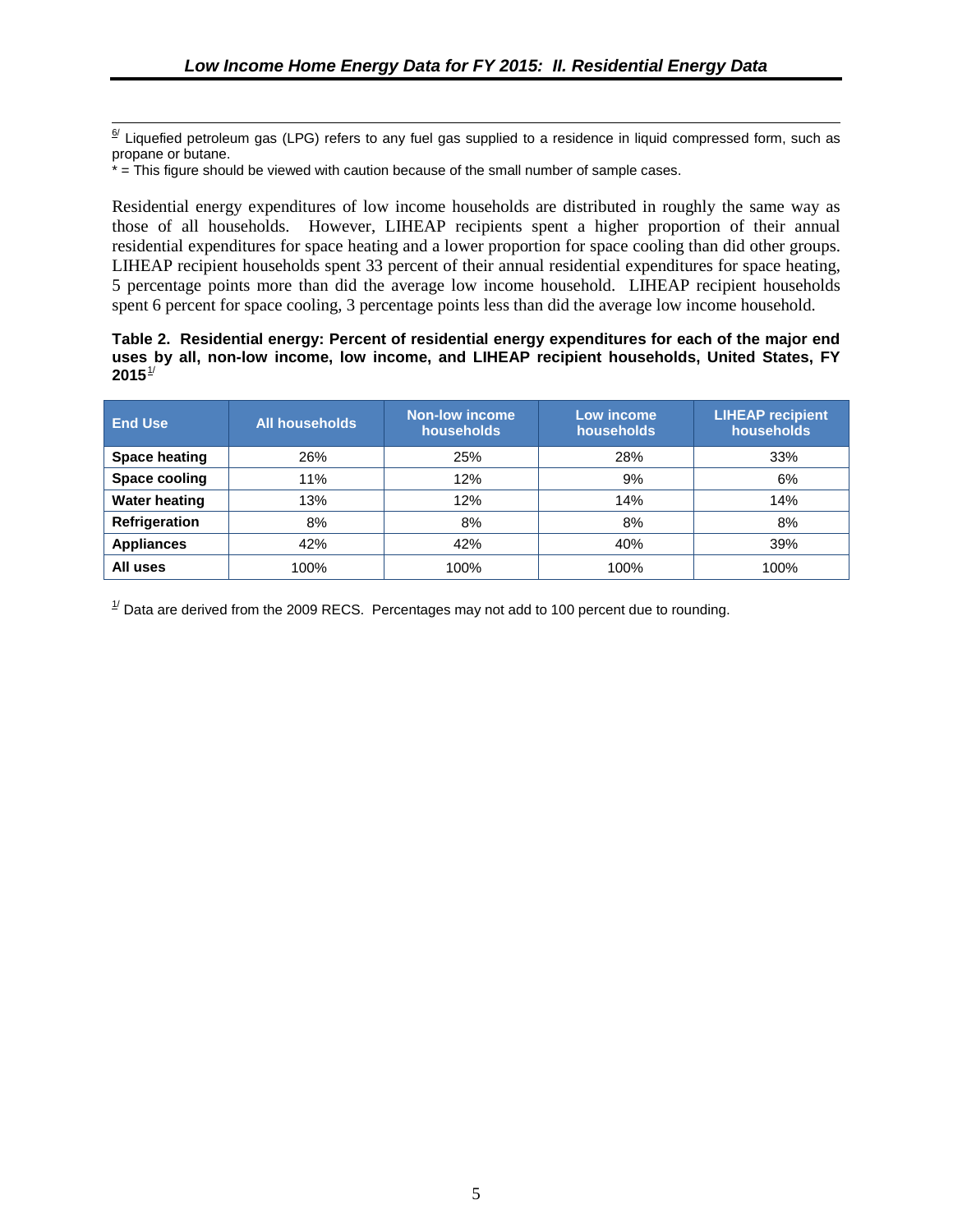<span id="page-14-0"></span> $6/$  Liquefied petroleum gas (LPG) refers to any fuel gas supplied to a residence in liquid compressed form, such as propane or butane.

\* = This figure should be viewed with caution because of the small number of sample cases.

Residential energy expenditures of low income households are distributed in roughly the same way as those of all households. However, LIHEAP recipients spent a higher proportion of their annual residential expenditures for space heating and a lower proportion for space cooling than did other groups. LIHEAP recipient households spent 33 percent of their annual residential expenditures for space heating, 5 percentage points more than did the average low income household. LIHEAP recipient households spent 6 percent for space cooling, 3 percentage points less than did the average low income household.

#### **Table 2. Residential energy: Percent of residential energy expenditures for each of the major end uses by all, non-low income, low income, and LIHEAP recipient households, United States, FY 2015**[1](#page-15-1)/

| <b>End Use</b>       | <b>All households</b> | <b>Non-low income</b><br>households | Low income<br>households | <b>LIHEAP</b> recipient<br>households |
|----------------------|-----------------------|-------------------------------------|--------------------------|---------------------------------------|
| <b>Space heating</b> | 26%                   | 25%                                 | 28%                      | 33%                                   |
| Space cooling        | 11%                   | 12%                                 | 9%                       | 6%                                    |
| <b>Water heating</b> | 13%                   | 12%                                 | 14%                      | 14%                                   |
| Refrigeration        | 8%                    | 8%                                  | 8%                       | 8%                                    |
| <b>Appliances</b>    | 42%                   | 42%                                 | 40%                      | 39%                                   |
| All uses             | 100%                  | 100%                                | 100%                     | 100%                                  |

 $^{1/2}$  Data are derived from the 2009 RECS. Percentages may not add to 100 percent due to rounding.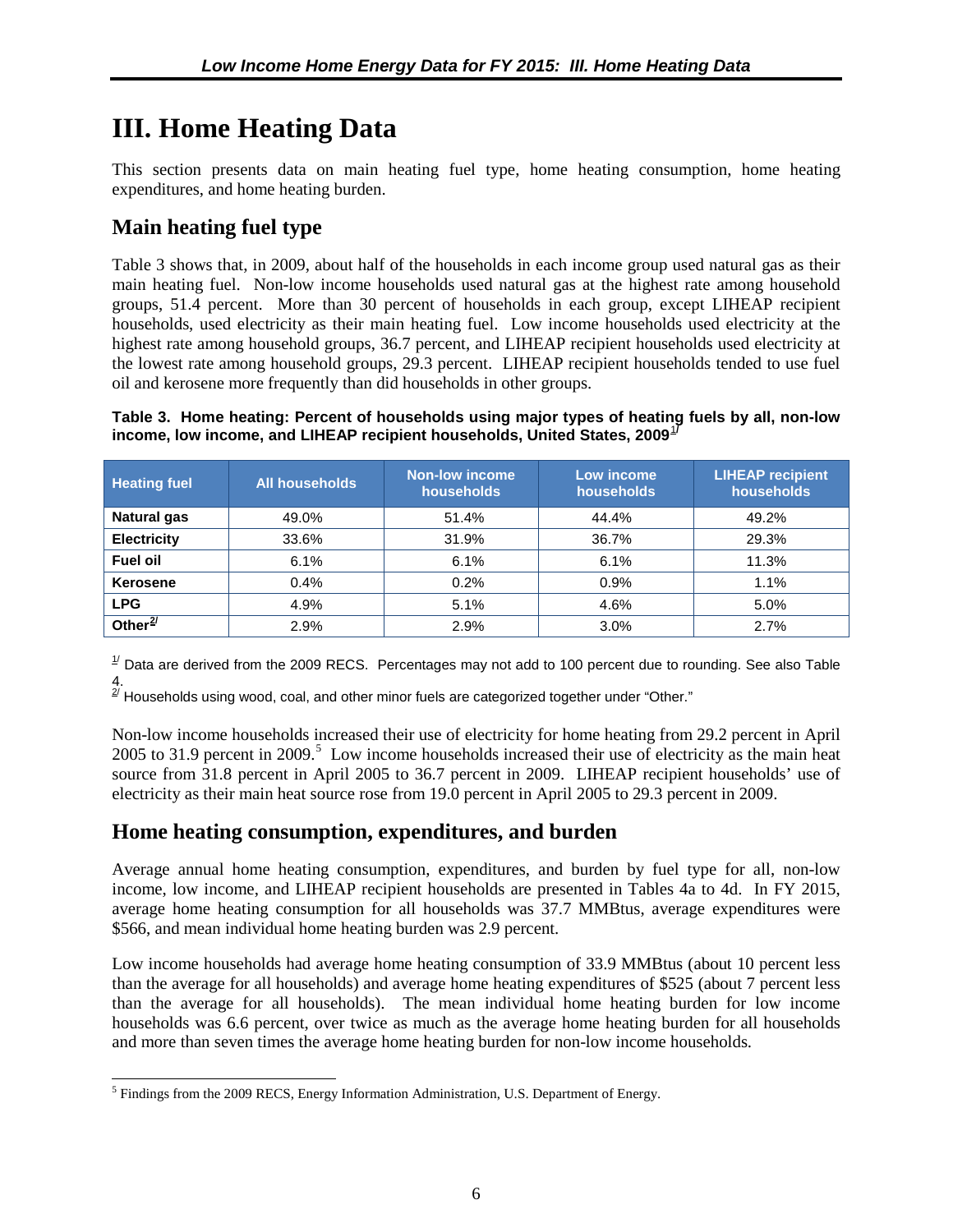## <span id="page-15-0"></span>**III. Home Heating Data**

This section presents data on main heating fuel type, home heating consumption, home heating expenditures, and home heating burden.

### **Main heating fuel type**

Table 3 shows that, in 2009, about half of the households in each income group used natural gas as their main heating fuel. Non-low income households used natural gas at the highest rate among household groups, 51.4 percent. More than 30 percent of households in each group, except LIHEAP recipient households, used electricity as their main heating fuel. Low income households used electricity at the highest rate among household groups, 36.7 percent, and LIHEAP recipient households used electricity at the lowest rate among household groups, 29.3 percent. LIHEAP recipient households tended to use fuel oil and kerosene more frequently than did households in other groups.

#### **Table 3. Home heating: Percent of households using major types of heating fuels by all, non-low income, low income, and LIHEAP recipient households, United States, 2009<sup>[1](#page-17-1)</sup>**

| <b>Heating fuel</b> | <b>All households</b> | <b>Non-low income</b><br>households | Low income<br>households | <b>LIHEAP recipient</b><br>households |
|---------------------|-----------------------|-------------------------------------|--------------------------|---------------------------------------|
| <b>Natural gas</b>  | 49.0%                 | 51.4%                               | 44.4%                    | 49.2%                                 |
| <b>Electricity</b>  | 33.6%                 | 31.9%                               | 36.7%                    | 29.3%                                 |
| <b>Fuel oil</b>     | 6.1%                  | 6.1%                                | 6.1%                     | 11.3%                                 |
| <b>Kerosene</b>     | 0.4%                  | 0.2%                                | 0.9%                     | 1.1%                                  |
| <b>LPG</b>          | 4.9%                  | 5.1%                                | 4.6%                     | 5.0%                                  |
| Other $2/$          | 2.9%                  | 2.9%                                | 3.0%                     | 2.7%                                  |

<span id="page-15-1"></span> $1/2$  Data are derived from the 2009 RECS. Percentages may not add to 100 percent due to rounding. See also Table

4.<br><sup>2/</sup> Households using wood, coal, and other minor fuels are categorized together under "Other."

Non-low income households increased their use of electricity for home heating from 29.2 percent in April 200[5](#page-15-2) to 31.9 percent in 2009.<sup>5</sup> Low income households increased their use of electricity as the main heat source from 31.8 percent in April 2005 to 36.7 percent in 2009. LIHEAP recipient households' use of electricity as their main heat source rose from 19.0 percent in April 2005 to 29.3 percent in 2009.

### **Home heating consumption, expenditures, and burden**

Average annual home heating consumption, expenditures, and burden by fuel type for all, non-low income, low income, and LIHEAP recipient households are presented in Tables 4a to 4d. In FY 2015, average home heating consumption for all households was 37.7 MMBtus, average expenditures were \$566, and mean individual home heating burden was 2.9 percent.

Low income households had average home heating consumption of 33.9 MMBtus (about 10 percent less than the average for all households) and average home heating expenditures of \$525 (about 7 percent less than the average for all households). The mean individual home heating burden for low income households was 6.6 percent, over twice as much as the average home heating burden for all households and more than seven times the average home heating burden for non-low income households.

<span id="page-15-2"></span><sup>&</sup>lt;sup>5</sup> Findings from the 2009 RECS, Energy Information Administration, U.S. Department of Energy.  $\overline{a}$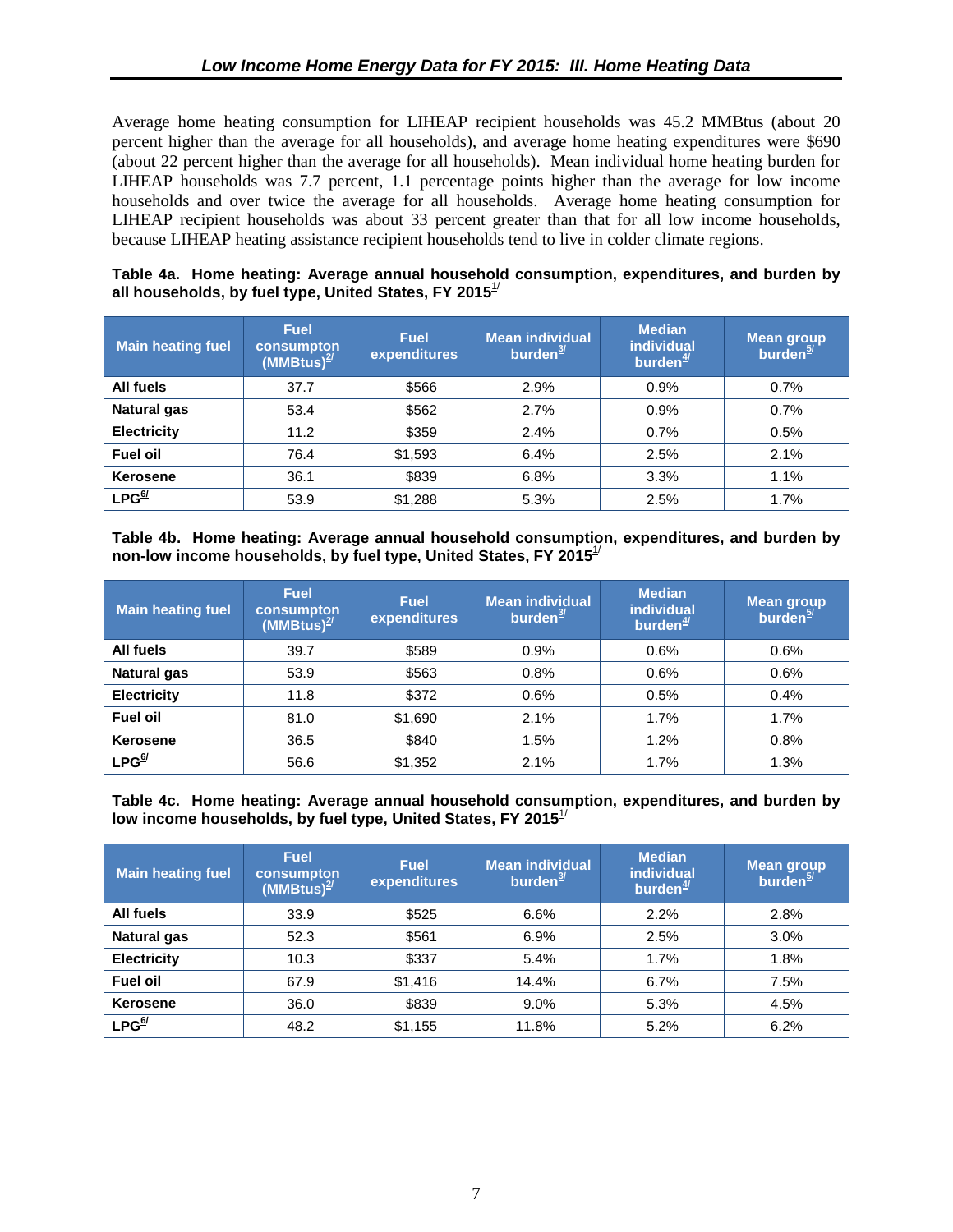<span id="page-16-0"></span>Average home heating consumption for LIHEAP recipient households was 45.2 MMBtus (about 20 percent higher than the average for all households), and average home heating expenditures were \$690 (about 22 percent higher than the average for all households). Mean individual home heating burden for LIHEAP households was 7.7 percent, 1.1 percentage points higher than the average for low income households and over twice the average for all households. Average home heating consumption for LIHEAP recipient households was about 33 percent greater than that for all low income households, because LIHEAP heating assistance recipient households tend to live in colder climate regions.

#### **Table 4a. Home heating: Average annual household consumption, expenditures, and burden by all households, by fuel type, United States, FY 2015**1/

| <b>Main heating fuel</b> | <b>Fuel</b><br>consumpton<br>$(MM)$ Btus) <sup>2/</sup> | <b>Fuel</b><br>expenditures | <b>Mean individual</b><br>burden $\frac{3}{2}$ | <b>Median</b><br>individual<br>burden $\frac{4}{3}$ | <b>Mean group</b><br>burden <sup>5/</sup> |
|--------------------------|---------------------------------------------------------|-----------------------------|------------------------------------------------|-----------------------------------------------------|-------------------------------------------|
| All fuels                | 37.7                                                    | \$566                       | 2.9%                                           | 0.9%                                                | 0.7%                                      |
| <b>Natural gas</b>       | 53.4                                                    | \$562                       | 2.7%                                           | 0.9%                                                | 0.7%                                      |
| <b>Electricity</b>       | 11.2                                                    | \$359                       | 2.4%                                           | 0.7%                                                | 0.5%                                      |
| <b>Fuel oil</b>          | 76.4                                                    | \$1,593                     | 6.4%                                           | 2.5%                                                | 2.1%                                      |
| <b>Kerosene</b>          | 36.1                                                    | \$839                       | 6.8%                                           | 3.3%                                                | 1.1%                                      |
| LPG <sup>6/</sup>        | 53.9                                                    | \$1,288                     | 5.3%                                           | 2.5%                                                | 1.7%                                      |

**Table 4b. Home heating: Average annual household consumption, expenditures, and burden by non-low income households, by fuel type, United States, FY 2015**1/

| Main heating fuel            | <b>Fuel</b><br>consumpton<br>(MMBtus) $\frac{2}{3}$ | <b>Fuel</b><br>expenditures | Mean individual<br>burden $\frac{3}{2}$ | <b>Median</b><br><b>individual</b><br>burden $\frac{4}{3}$ | <b>Mean group</b><br>burden <sup>5/1</sup> |
|------------------------------|-----------------------------------------------------|-----------------------------|-----------------------------------------|------------------------------------------------------------|--------------------------------------------|
| All fuels                    | 39.7                                                | \$589                       | 0.9%                                    | 0.6%                                                       | 0.6%                                       |
| <b>Natural gas</b>           | 53.9                                                | \$563                       | 0.8%                                    | 0.6%                                                       | 0.6%                                       |
| <b>Electricity</b>           | 11.8                                                | \$372                       | 0.6%                                    | 0.5%                                                       | 0.4%                                       |
| <b>Fuel oil</b>              | 81.0                                                | \$1,690                     | 2.1%                                    | 1.7%                                                       | 1.7%                                       |
| Kerosene                     | 36.5                                                | \$840                       | 1.5%                                    | 1.2%                                                       | 0.8%                                       |
| $LPG^{\underline{6} \prime}$ | 56.6                                                | \$1,352                     | 2.1%                                    | 1.7%                                                       | 1.3%                                       |

**Table 4c. Home heating: Average annual household consumption, expenditures, and burden by**  low income households, by fuel type, United States, FY 2015<sup>1/</sup>

| <b>Main heating fuel</b>          | <b>Fuel</b><br>consumpton<br>(MMBtus) $^{2/}$ | <b>Fuel</b><br>expenditures | <b>Mean individual</b><br>burden $\frac{3}{2}$ | <b>Median</b><br><b>individual</b><br>burden $\frac{4}{3}$ | <b>Mean group</b><br>burden <sup>5/</sup> |
|-----------------------------------|-----------------------------------------------|-----------------------------|------------------------------------------------|------------------------------------------------------------|-------------------------------------------|
| All fuels                         | 33.9                                          | \$525                       | 6.6%                                           | 2.2%                                                       | 2.8%                                      |
| <b>Natural gas</b>                | 52.3                                          | \$561                       | 6.9%                                           | 2.5%                                                       | 3.0%                                      |
| <b>Electricity</b>                | 10.3                                          | \$337                       | 5.4%                                           | 1.7%                                                       | 1.8%                                      |
| <b>Fuel oil</b>                   | 67.9                                          | \$1,416                     | 14.4%                                          | 6.7%                                                       | 7.5%                                      |
| Kerosene                          | 36.0                                          | \$839                       | $9.0\%$                                        | 5.3%                                                       | 4.5%                                      |
| $\mathsf{LPG}^{\mathsf{6}\prime}$ | 48.2                                          | \$1,155                     | 11.8%                                          | 5.2%                                                       | 6.2%                                      |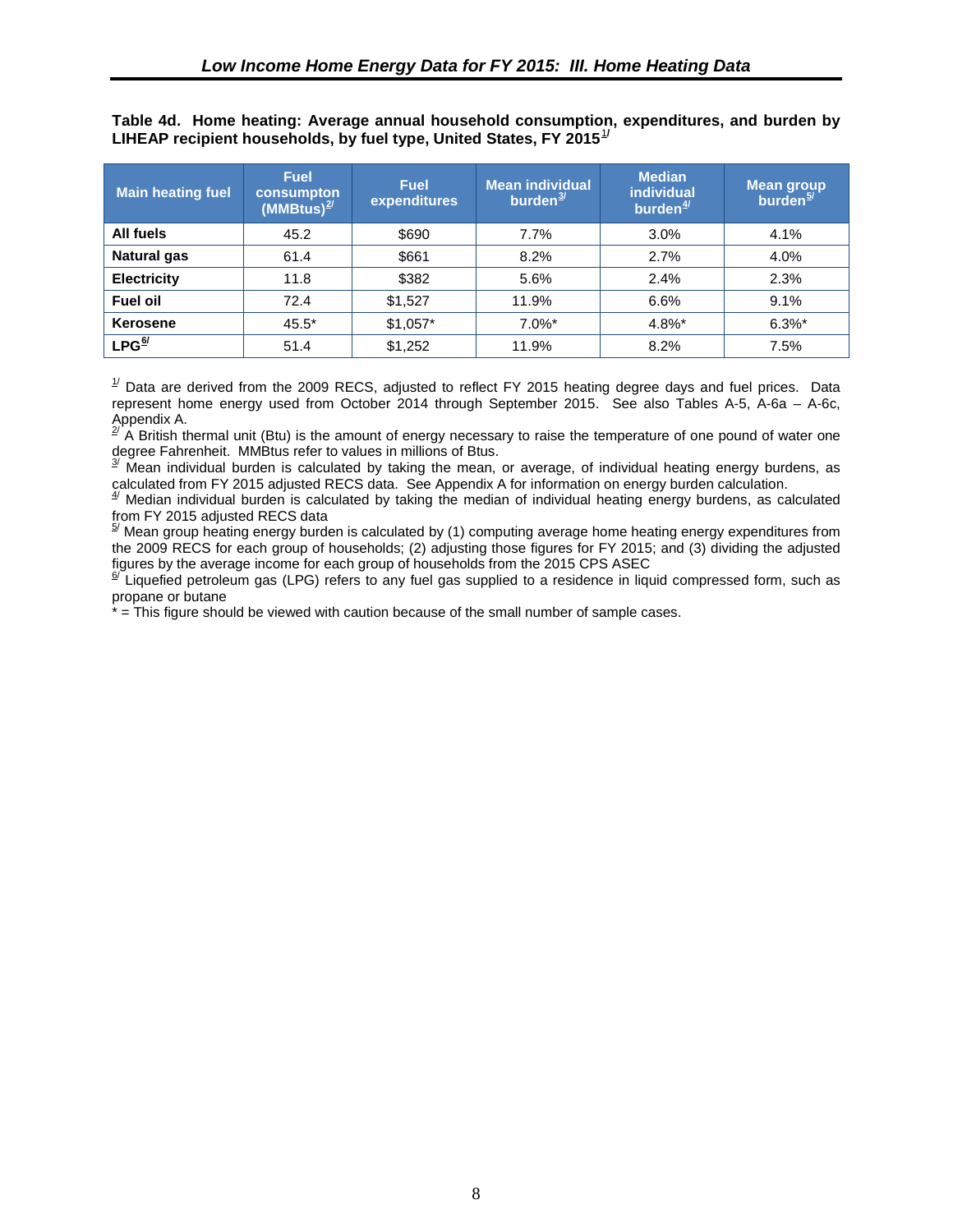<span id="page-17-0"></span>**Table 4d. Home heating: Average annual household consumption, expenditures, and burden by**  LIHEAP recipient households, by fuel type, United States, FY 20[1](#page-20-1)5<sup>1/</sup>

| <b>Main heating fuel</b> | <b>Fuel</b><br>consumpton<br>(MMBtus) $^{2/}$ | <b>Fuel</b><br>expenditures | <b>Mean individual</b><br>burden $\frac{3}{2}$ | <b>Median</b><br><b>individual</b><br>burden $\frac{4}{3}$ | <b>Mean group</b><br>burden <sup>5/</sup> |
|--------------------------|-----------------------------------------------|-----------------------------|------------------------------------------------|------------------------------------------------------------|-------------------------------------------|
| All fuels                | 45.2                                          | \$690                       | 7.7%                                           | 3.0%                                                       | 4.1%                                      |
| <b>Natural gas</b>       | 61.4                                          | \$661                       | 8.2%                                           | 2.7%                                                       | 4.0%                                      |
| <b>Electricity</b>       | 11.8                                          | \$382                       | 5.6%                                           | 2.4%                                                       | 2.3%                                      |
| <b>Fuel oil</b>          | 72.4                                          | \$1,527                     | 11.9%                                          | 6.6%                                                       | 9.1%                                      |
| <b>Kerosene</b>          | $45.5*$                                       | $$1,057*$                   | $7.0\%$ *                                      | 4.8%*                                                      | $6.3\%$ *                                 |
| LPG <sup>6⁄</sup>        | 51.4                                          | \$1,252                     | 11.9%                                          | 8.2%                                                       | 7.5%                                      |

 $1/$  Data are derived from the 2009 RECS, adjusted to reflect FY 2015 heating degree days and fuel prices. Data represent home energy used from October 2014 through September 2015. See also Tables A-5, A-6a – A-6c, Appendix A.

 $^{27}$  A British thermal unit (Btu) is the amount of energy necessary to raise the temperature of one pound of water one degree Fahrenheit. MMBtus refer to values in millions of Btus.

 $3$ <sup> $3$ </sup> Mean individual burden is calculated by taking the mean, or average, of individual heating energy burdens, as calculated from FY 2015 adjusted RECS data. See Appendix A for information on energy burden calculation.

 $4/$  Median individual burden is calculated by taking the median of individual heating energy burdens, as calculated

from FY 2015 adjusted RECS data<br><sup>§/</sup> Mean group heating energy burden is calculated by (1) computing average home heating energy expenditures from the 2009 RECS for each group of households; (2) adjusting those figures for FY 2015; and (3) dividing the adjusted figures by the average income for each group of households from the 2015 CPS ASEC  $\frac{6}{1}$  Liquetied petroleum cas (LDC) setses in

Liquefied petroleum gas (LPG) refers to any fuel gas supplied to a residence in liquid compressed form, such as propane or butane

<span id="page-17-2"></span><span id="page-17-1"></span>\* = This figure should be viewed with caution because of the small number of sample cases.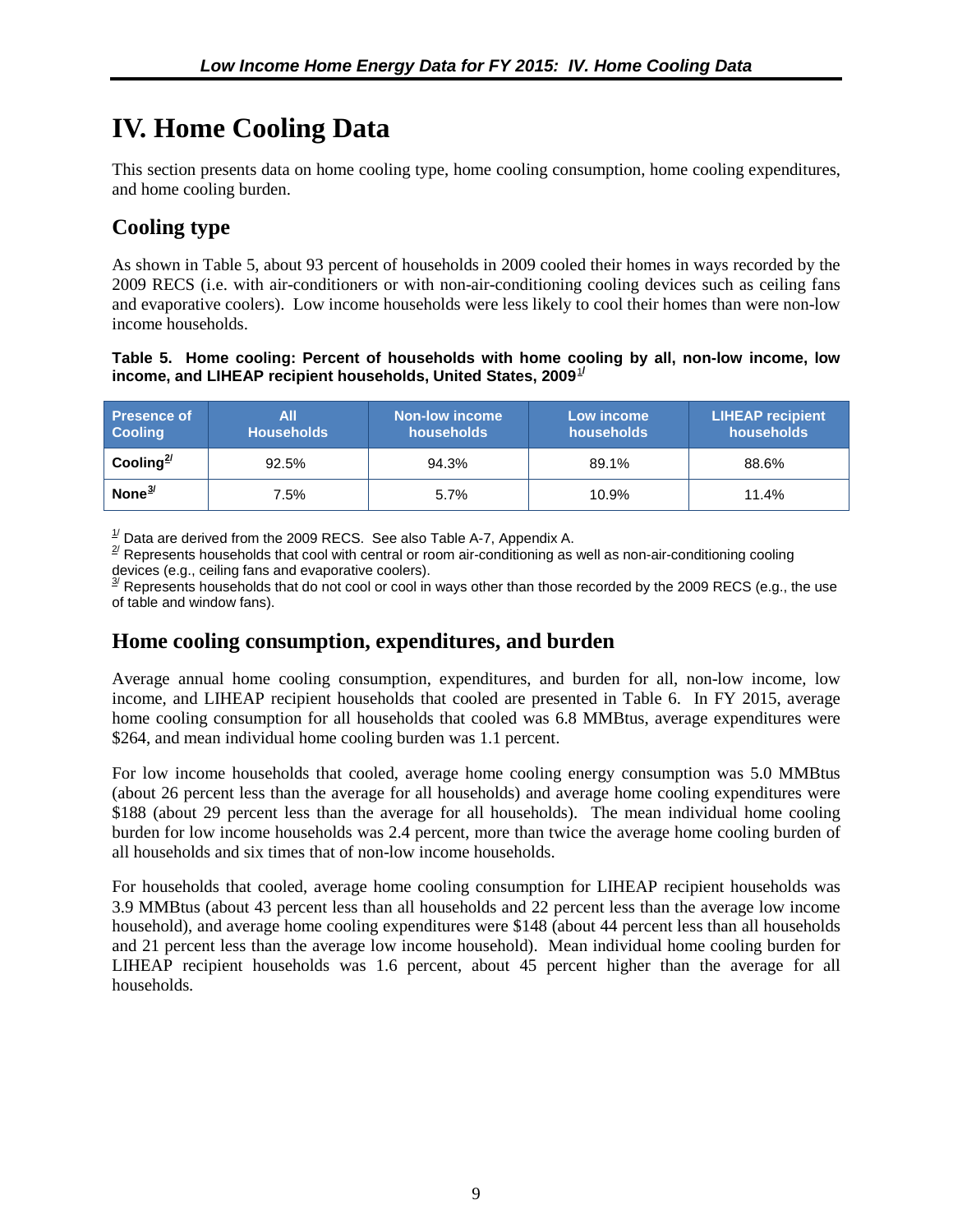## <span id="page-18-0"></span>**IV. Home Cooling Data**

This section presents data on home cooling type, home cooling consumption, home cooling expenditures, and home cooling burden.

### **Cooling type**

As shown in Table 5, about 93 percent of households in 2009 cooled their homes in ways recorded by the 2009 RECS (i.e. with air-conditioners or with non-air-conditioning cooling devices such as ceiling fans and evaporative coolers). Low income households were less likely to cool their homes than were non-low income households.

**Table 5. Home cooling: Percent of households with home cooling by all, non-low income, low income, and LIHEAP recipient households, United States, 2009<sup>[1](#page-24-1)/</sup>** 

| <b>Presence of</b><br><b>Cooling</b> | All<br><b>Households</b> | <b>Non-low income</b><br>households | Low income<br>households | <b>LIHEAP recipient</b><br>households |
|--------------------------------------|--------------------------|-------------------------------------|--------------------------|---------------------------------------|
| Cooling <sup>2/</sup>                | 92.5%                    | 94.3%                               | 89.1%                    | 88.6%                                 |
| None $3/$                            | 7.5%                     | 5.7%                                | 10.9%                    | 11.4%                                 |

 $\frac{1}{2}$  Data are derived from the 2009 RECS. See also Table A-7, Appendix A.

 $2^{2}$  Represents households that cool with central or room air-conditioning as well as non-air-conditioning cooling

devices (e.g., ceiling fans and evaporative coolers).<br><sup>3⁄</sup> Represents households that do not cool or cool in ways other than those recorded by the 2009 RECS (e.g., the use of table and window fans).

#### **Home cooling consumption, expenditures, and burden**

Average annual home cooling consumption, expenditures, and burden for all, non-low income, low income, and LIHEAP recipient households that cooled are presented in Table 6. In FY 2015, average home cooling consumption for all households that cooled was 6.8 MMBtus, average expenditures were \$264, and mean individual home cooling burden was 1.1 percent.

For low income households that cooled, average home cooling energy consumption was 5.0 MMBtus (about 26 percent less than the average for all households) and average home cooling expenditures were \$188 (about 29 percent less than the average for all households). The mean individual home cooling burden for low income households was 2.4 percent, more than twice the average home cooling burden of all households and six times that of non-low income households.

For households that cooled, average home cooling consumption for LIHEAP recipient households was 3.9 MMBtus (about 43 percent less than all households and 22 percent less than the average low income household), and average home cooling expenditures were \$148 (about 44 percent less than all households and 21 percent less than the average low income household). Mean individual home cooling burden for LIHEAP recipient households was 1.6 percent, about 45 percent higher than the average for all households.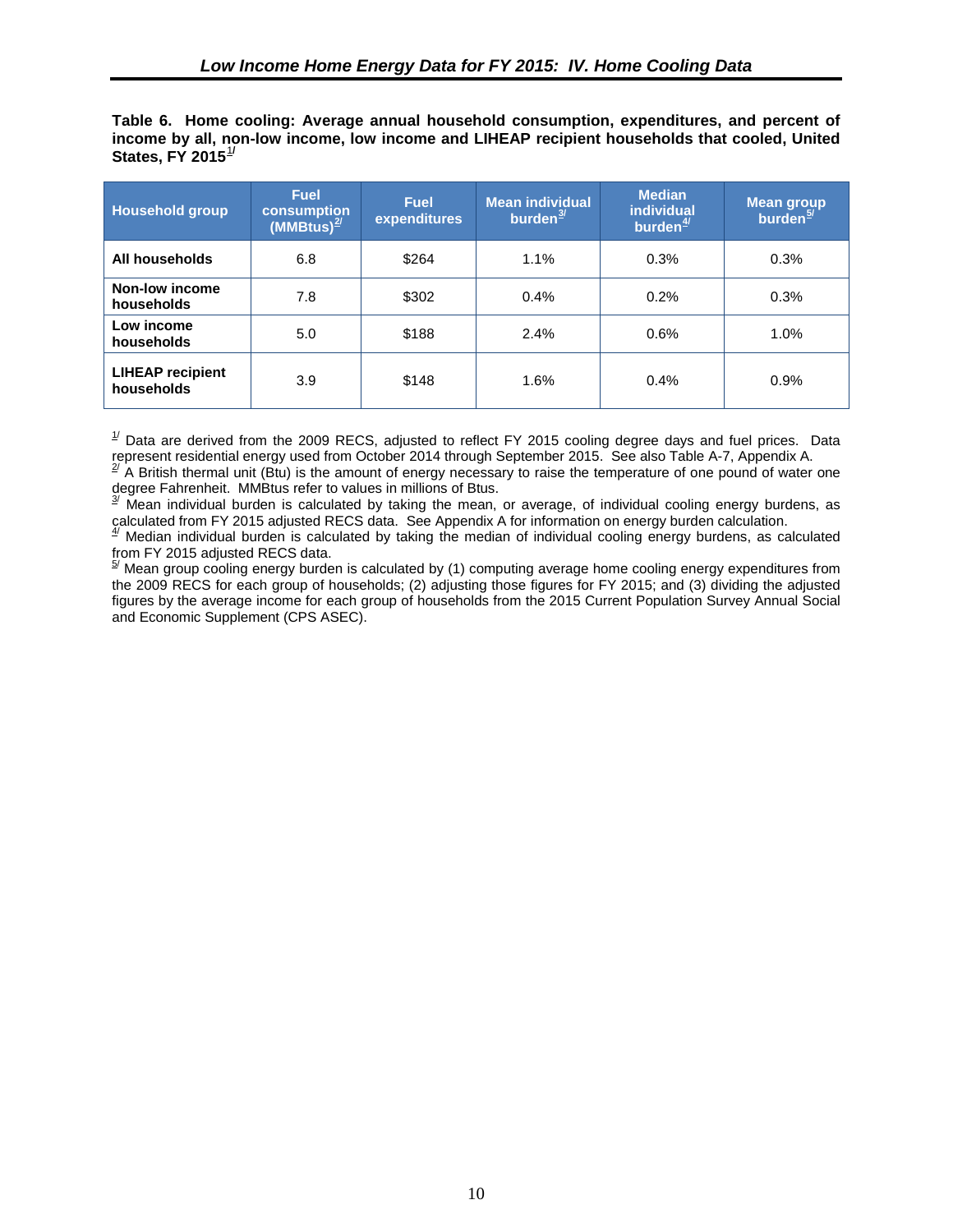<span id="page-19-0"></span>**Table 6. Home cooling: Average annual household consumption, expenditures, and percent of income by all, non-low income, low income and LIHEAP recipient households that cooled, United States, FY 2015**[1](#page-26-1)**/**

| <b>Household group</b>                | <b>Fuel</b><br>consumption<br>(MMBtus) $^{2/}$ | <b>Fuel</b><br>expenditures | <b>Mean individual</b><br>burden $\frac{3}{2}$ | <b>Median</b><br><b>individual</b><br>burden $\frac{4}{3}$ | <b>Mean group</b><br>burden $\frac{5}{2}$ |
|---------------------------------------|------------------------------------------------|-----------------------------|------------------------------------------------|------------------------------------------------------------|-------------------------------------------|
| All households                        | 6.8                                            | \$264                       | 1.1%                                           | 0.3%                                                       | 0.3%                                      |
| Non-low income<br>households          | 7.8                                            | \$302                       | 0.4%                                           | 0.2%                                                       | 0.3%                                      |
| Low income<br>households              | 5.0                                            | \$188                       | 2.4%                                           | 0.6%                                                       | 1.0%                                      |
| <b>LIHEAP recipient</b><br>households | 3.9                                            | \$148                       | 1.6%                                           | 0.4%                                                       | 0.9%                                      |

 $1/$  Data are derived from the 2009 RECS, adjusted to reflect FY 2015 cooling degree days and fuel prices. Data represent residential energy used from October 2014 through September 2015. See also Table A-7, Appendix A.

 $^{27}$  A British thermal unit (Btu) is the amount of energy necessary to raise the temperature of one pound of water one degree Fahrenheit. MMBtus refer to values in millions of Btus.

 $3^{y}$  Mean individual burden is calculated by taking the mean, or average, of individual cooling energy burdens, as calculated from FY 2015 adjusted RECS data. See Appendix A for information on energy burden calculation.

 $4/$  Median individual burden is calculated by taking the median of individual cooling energy burdens, as calculated from FY 2015 adjusted RECS data.

<sup>5/</sup> Mean group cooling energy burden is calculated by (1) computing average home cooling energy expenditures from the 2009 RECS for each group of households; (2) adjusting those figures for FY 2015; and (3) dividing the adjusted figures by the average income for each group of households from the 2015 Current Population Survey Annual Social and Economic Supplement (CPS ASEC).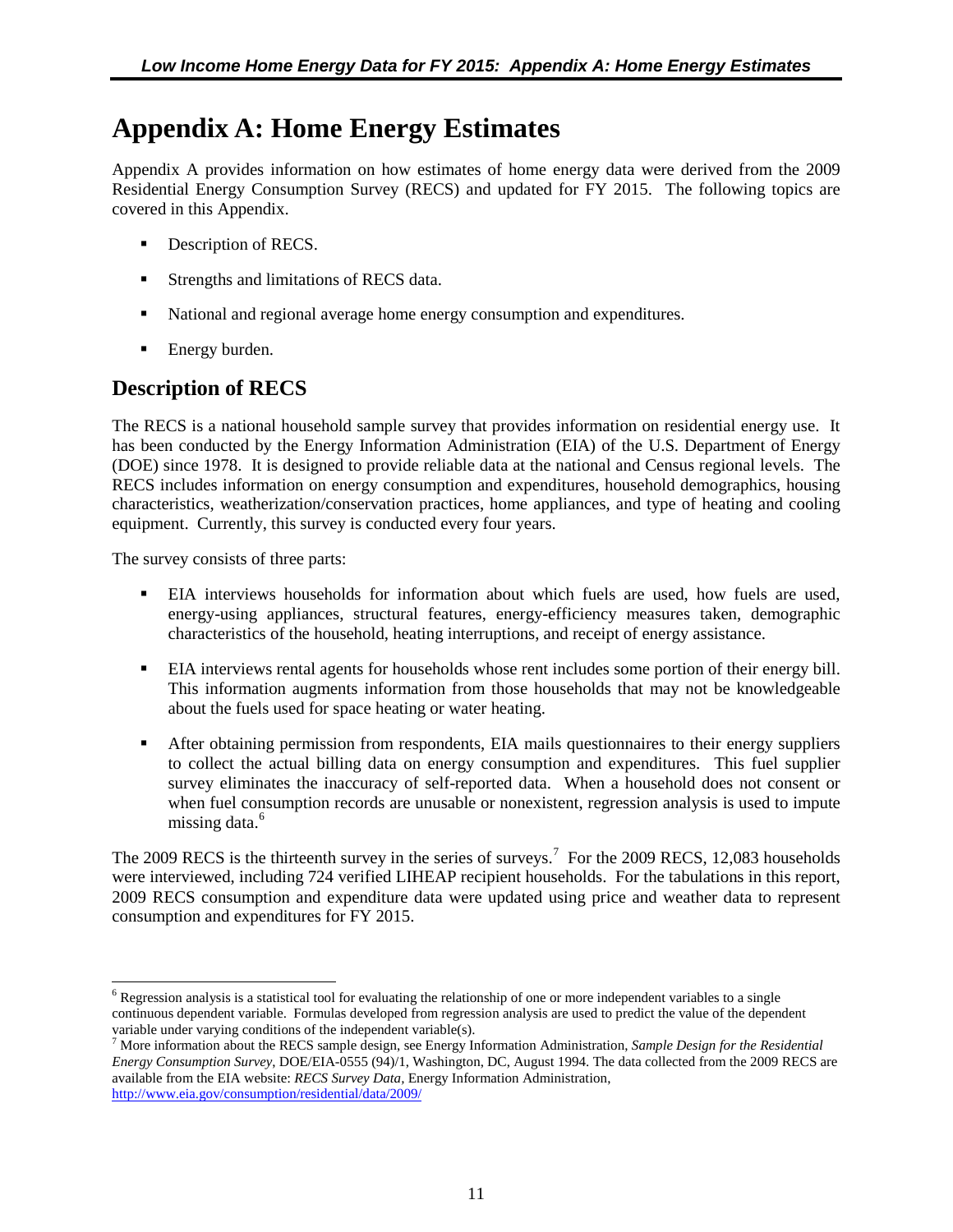## <span id="page-20-0"></span>**Appendix A: Home Energy Estimates**

Appendix A provides information on how estimates of home energy data were derived from the 2009 Residential Energy Consumption Survey (RECS) and updated for FY 2015. The following topics are covered in this Appendix.

- Description of RECS.
- Strengths and limitations of RECS data.
- National and regional average home energy consumption and expenditures.
- Energy burden.

### <span id="page-20-1"></span>**Description of RECS**

<span id="page-20-2"></span>The RECS is a national household sample survey that provides information on residential energy use. It has been conducted by the Energy Information Administration (EIA) of the U.S. Department of Energy (DOE) since 1978. It is designed to provide reliable data at the national and Census regional levels. The RECS includes information on energy consumption and expenditures, household demographics, housing characteristics, weatherization/conservation practices, home appliances, and type of heating and cooling equipment. Currently, this survey is conducted every four years.

The survey consists of three parts:

- EIA interviews households for information about which fuels are used, how fuels are used, energy-using appliances, structural features, energy-efficiency measures taken, demographic characteristics of the household, heating interruptions, and receipt of energy assistance.
- EIA interviews rental agents for households whose rent includes some portion of their energy bill. This information augments information from those households that may not be knowledgeable about the fuels used for space heating or water heating.
- **After obtaining permission from respondents, EIA mails questionnaires to their energy suppliers** to collect the actual billing data on energy consumption and expenditures. This fuel supplier survey eliminates the inaccuracy of self-reported data. When a household does not consent or when fuel consumption records are unusable or nonexistent, regression analysis is used to impute missing data.<sup>[6](#page-20-3)</sup>

The 2009 RECS is the thirteenth survey in the series of surveys.<sup>[7](#page-20-4)</sup> For the 2009 RECS, 12,083 households were interviewed, including 724 verified LIHEAP recipient households. For the tabulations in this report, 2009 RECS consumption and expenditure data were updated using price and weather data to represent consumption and expenditures for FY 2015.

<span id="page-20-3"></span><sup>&</sup>lt;sup>6</sup> Regression analysis is a statistical tool for evaluating the relationship of one or more independent variables to a single continuous dependent variable. Formulas developed from regression analysis are used to predict the value of the dependent variable under varying conditions of the independent variable(s).  $\overline{a}$ 

<span id="page-20-4"></span><sup>7</sup> More information about the RECS sample design, see Energy Information Administration, *Sample Design for the Residential Energy Consumption Survey*, DOE/EIA-0555 (94)/1, Washington, DC, August 1994. The data collected from the 2009 RECS are available from the EIA website: *RECS Survey Data,* Energy Information Administration, <http://www.eia.gov/consumption/residential/data/2009/>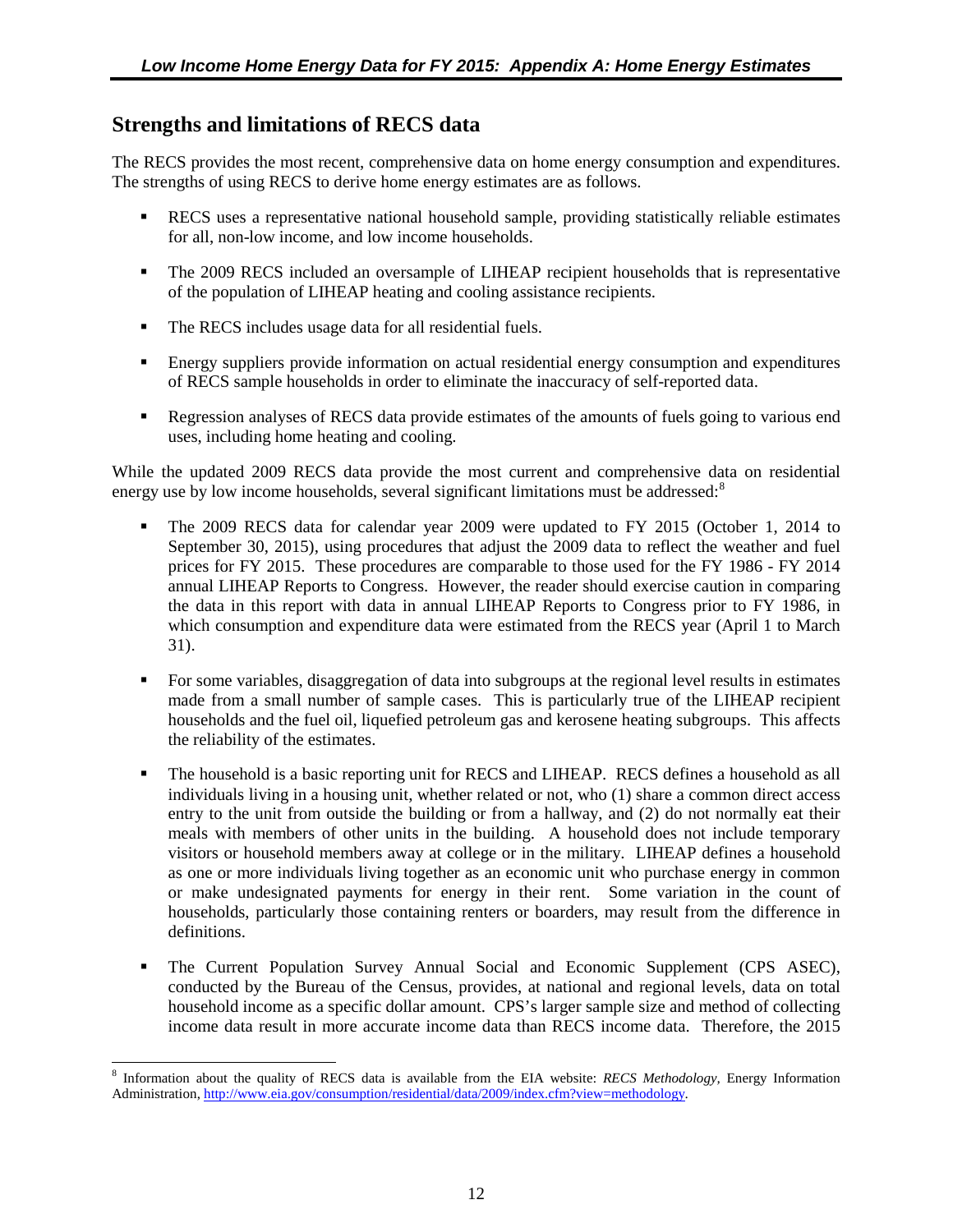### <span id="page-21-0"></span>**Strengths and limitations of RECS data**

The RECS provides the most recent, comprehensive data on home energy consumption and expenditures. The strengths of using RECS to derive home energy estimates are as follows.

- RECS uses a representative national household sample, providing statistically reliable estimates for all, non-low income, and low income households.
- The 2009 RECS included an oversample of LIHEAP recipient households that is representative of the population of LIHEAP heating and cooling assistance recipients.
- The RECS includes usage data for all residential fuels.
- Energy suppliers provide information on actual residential energy consumption and expenditures of RECS sample households in order to eliminate the inaccuracy of self-reported data.
- **Regression analyses of RECS** data provide estimates of the amounts of fuels going to various end uses, including home heating and cooling.

<span id="page-21-2"></span><span id="page-21-1"></span>While the updated 2009 RECS data provide the most current and comprehensive data on residential energy use by low income households, several significant limitations must be addressed: $8$ 

- The 2009 RECS data for calendar year 2009 were updated to FY 2015 (October 1, 2014 to September 30, 2015), using procedures that adjust the 2009 data to reflect the weather and fuel prices for FY 2015. These procedures are comparable to those used for the FY 1986 - FY 2014 annual LIHEAP Reports to Congress. However, the reader should exercise caution in comparing the data in this report with data in annual LIHEAP Reports to Congress prior to FY 1986, in which consumption and expenditure data were estimated from the RECS year (April 1 to March 31).
- For some variables, disaggregation of data into subgroups at the regional level results in estimates made from a small number of sample cases. This is particularly true of the LIHEAP recipient households and the fuel oil, liquefied petroleum gas and kerosene heating subgroups. This affects the reliability of the estimates.
- The household is a basic reporting unit for RECS and LIHEAP. RECS defines a household as all individuals living in a housing unit, whether related or not, who (1) share a common direct access entry to the unit from outside the building or from a hallway, and (2) do not normally eat their meals with members of other units in the building. A household does not include temporary visitors or household members away at college or in the military. LIHEAP defines a household as one or more individuals living together as an economic unit who purchase energy in common or make undesignated payments for energy in their rent. Some variation in the count of households, particularly those containing renters or boarders, may result from the difference in definitions.
- The Current Population Survey Annual Social and Economic Supplement (CPS ASEC), conducted by the Bureau of the Census, provides, at national and regional levels, data on total household income as a specific dollar amount. CPS's larger sample size and method of collecting income data result in more accurate income data than RECS income data. Therefore, the 2015

<span id="page-21-3"></span><sup>8</sup> Information about the quality of RECS data is available from the EIA website: *RECS Methodology,* Energy Information Administration, [http://www.eia.gov/consumption/residential/data/2009/index.cfm?view=methodology.](http://www.eia.gov/consumption/residential/data/2009/index.cfm?view=methodology)   $\overline{a}$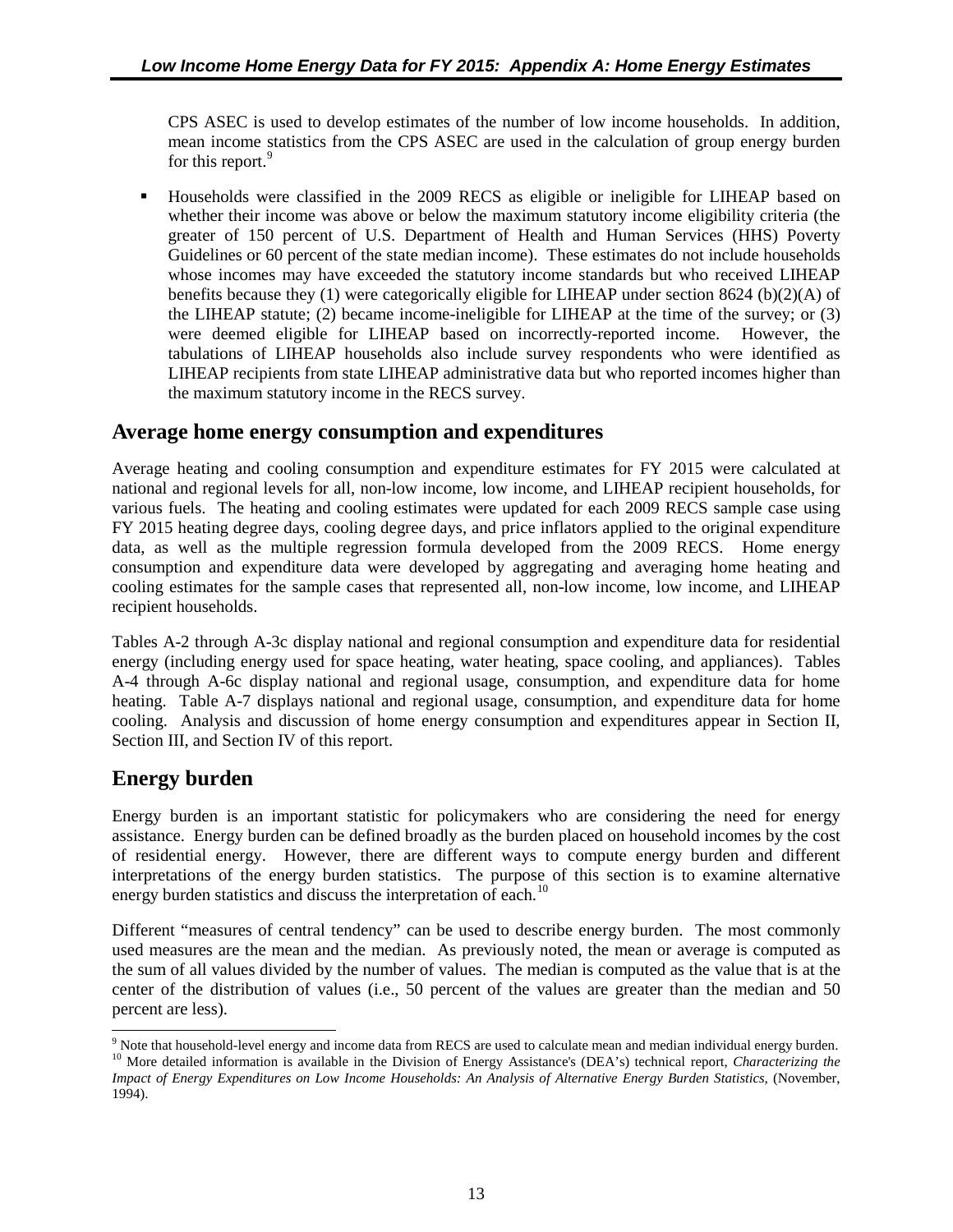<span id="page-22-0"></span>CPS ASEC is used to develop estimates of the number of low income households. In addition, mean income statistics from the CPS ASEC are used in the calculation of group energy burden for this report.<sup>[9](#page-22-3)</sup>

 Households were classified in the 2009 RECS as eligible or ineligible for LIHEAP based on whether their income was above or below the maximum statutory income eligibility criteria (the greater of 150 percent of U.S. Department of Health and Human Services (HHS) Poverty Guidelines or 60 percent of the state median income). These estimates do not include households whose incomes may have exceeded the statutory income standards but who received LIHEAP benefits because they (1) were categorically eligible for LIHEAP under section 8624 (b)(2)(A) of the LIHEAP statute; (2) became income-ineligible for LIHEAP at the time of the survey; or (3) were deemed eligible for LIHEAP based on incorrectly-reported income. However, the tabulations of LIHEAP households also include survey respondents who were identified as LIHEAP recipients from state LIHEAP administrative data but who reported incomes higher than the maximum statutory income in the RECS survey.

### **Average home energy consumption and expenditures**

<span id="page-22-1"></span>Average heating and cooling consumption and expenditure estimates for FY 2015 were calculated at national and regional levels for all, non-low income, low income, and LIHEAP recipient households, for various fuels. The heating and cooling estimates were updated for each 2009 RECS sample case using FY 2015 heating degree days, cooling degree days, and price inflators applied to the original expenditure data, as well as the multiple regression formula developed from the 2009 RECS. Home energy consumption and expenditure data were developed by aggregating and averaging home heating and cooling estimates for the sample cases that represented all, non-low income, low income, and LIHEAP recipient households.

<span id="page-22-2"></span>Tables A-2 through A-3c display national and regional consumption and expenditure data for residential energy (including energy used for space heating, water heating, space cooling, and appliances). Tables A-4 through A-6c display national and regional usage, consumption, and expenditure data for home heating. Table A-7 displays national and regional usage, consumption, and expenditure data for home cooling. Analysis and discussion of home energy consumption and expenditures appear in Section II, Section III, and Section IV of this report.

### **Energy burden**

 $\overline{a}$ 

Energy burden is an important statistic for policymakers who are considering the need for energy assistance. Energy burden can be defined broadly as the burden placed on household incomes by the cost of residential energy. However, there are different ways to compute energy burden and different interpretations of the energy burden statistics. The purpose of this section is to examine alternative energy burden statistics and discuss the interpretation of each.<sup>[10](#page-22-4)</sup>

Different "measures of central tendency" can be used to describe energy burden. The most commonly used measures are the mean and the median. As previously noted, the mean or average is computed as the sum of all values divided by the number of values. The median is computed as the value that is at the center of the distribution of values (i.e., 50 percent of the values are greater than the median and 50 percent are less).

<span id="page-22-4"></span><span id="page-22-3"></span> $9$  Note that household-level energy and income data from RECS are used to calculate mean and median individual energy burden. <sup>10</sup> More detailed information is available in the Division of Energy Assistance's (DEA's) technical report, *Characterizing the Impact of Energy Expenditures on Low Income Households: An Analysis of Alternative Energy Burden Statistics,* (November, 1994).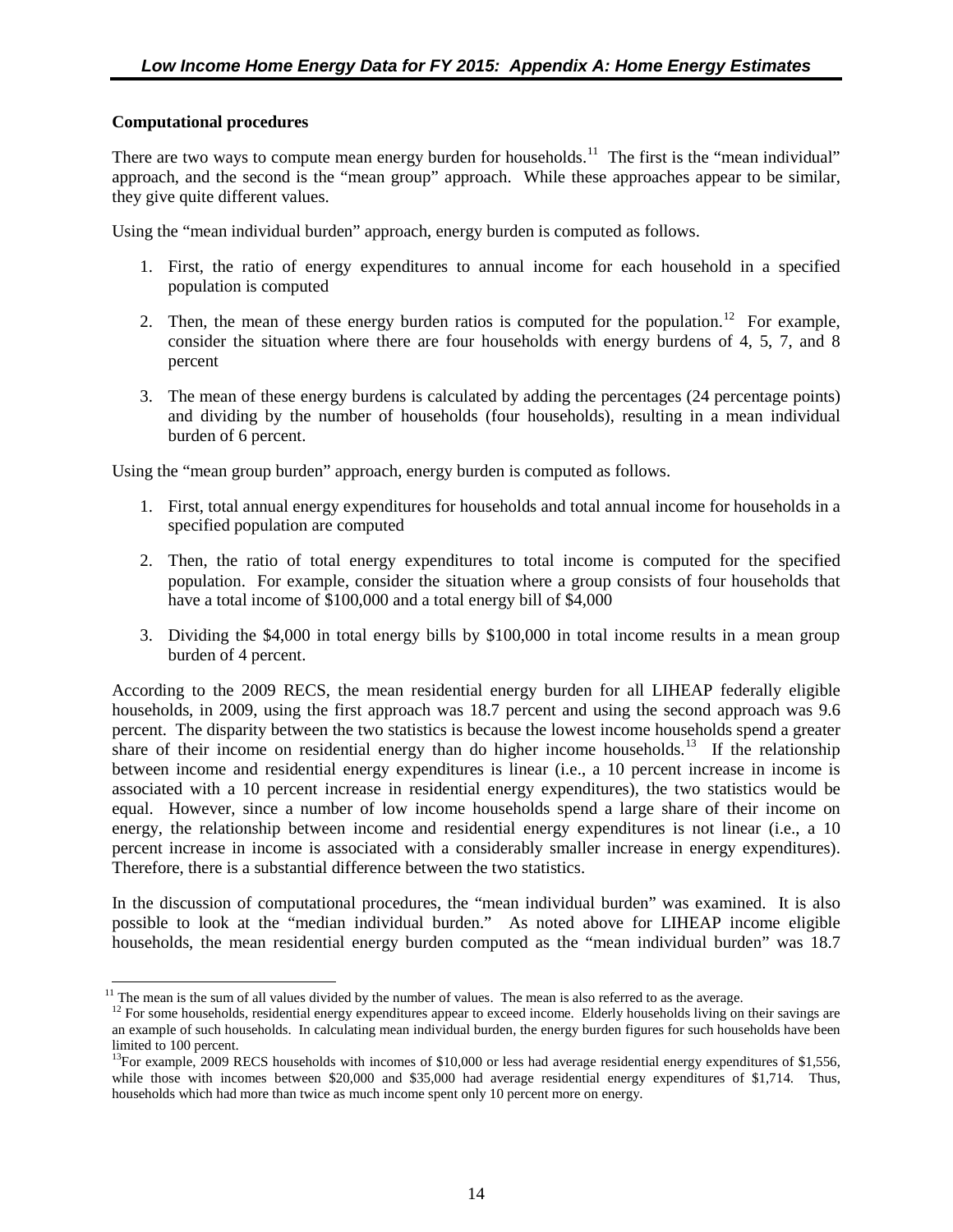#### **Computational procedures**

 $\overline{a}$ 

There are two ways to compute mean energy burden for households.<sup>[11](#page-23-0)</sup> The first is the "mean individual" approach, and the second is the "mean group" approach. While these approaches appear to be similar, they give quite different values.

Using the "mean individual burden" approach, energy burden is computed as follows.

- 1. First, the ratio of energy expenditures to annual income for each household in a specified population is computed
- 2. Then, the mean of these energy burden ratios is computed for the population.<sup>[12](#page-23-1)</sup> For example, consider the situation where there are four households with energy burdens of 4, 5, 7, and 8 percent
- 3. The mean of these energy burdens is calculated by adding the percentages (24 percentage points) and dividing by the number of households (four households), resulting in a mean individual burden of 6 percent.

Using the "mean group burden" approach, energy burden is computed as follows.

- 1. First, total annual energy expenditures for households and total annual income for households in a specified population are computed
- 2. Then, the ratio of total energy expenditures to total income is computed for the specified population. For example, consider the situation where a group consists of four households that have a total income of \$100,000 and a total energy bill of \$4,000
- 3. Dividing the \$4,000 in total energy bills by \$100,000 in total income results in a mean group burden of 4 percent.

According to the 2009 RECS, the mean residential energy burden for all LIHEAP federally eligible households, in 2009, using the first approach was 18.7 percent and using the second approach was 9.6 percent. The disparity between the two statistics is because the lowest income households spend a greater share of their income on residential energy than do higher income households.<sup>[13](#page-23-2)</sup> If the relationship between income and residential energy expenditures is linear (i.e., a 10 percent increase in income is associated with a 10 percent increase in residential energy expenditures), the two statistics would be equal. However, since a number of low income households spend a large share of their income on energy, the relationship between income and residential energy expenditures is not linear (i.e., a 10 percent increase in income is associated with a considerably smaller increase in energy expenditures). Therefore, there is a substantial difference between the two statistics.

In the discussion of computational procedures, the "mean individual burden" was examined. It is also possible to look at the "median individual burden." As noted above for LIHEAP income eligible households, the mean residential energy burden computed as the "mean individual burden" was 18.7

<span id="page-23-1"></span><span id="page-23-0"></span> $11$  The mean is the sum of all values divided by the number of values. The mean is also referred to as the average.

 $12$  For some households, residential energy expenditures appear to exceed income. Elderly households living on their savings are an example of such households. In calculating mean individual burden, the energy burden figures for such households have been limited to 100 percent.

<span id="page-23-2"></span><sup>&</sup>lt;sup>13</sup>For example, 2009 RECS households with incomes of \$10,000 or less had average residential energy expenditures of \$1,556, while those with incomes between \$20,000 and \$35,000 had average residential energy expenditures of \$1,714. Thus, households which had more than twice as much income spent only 10 percent more on energy.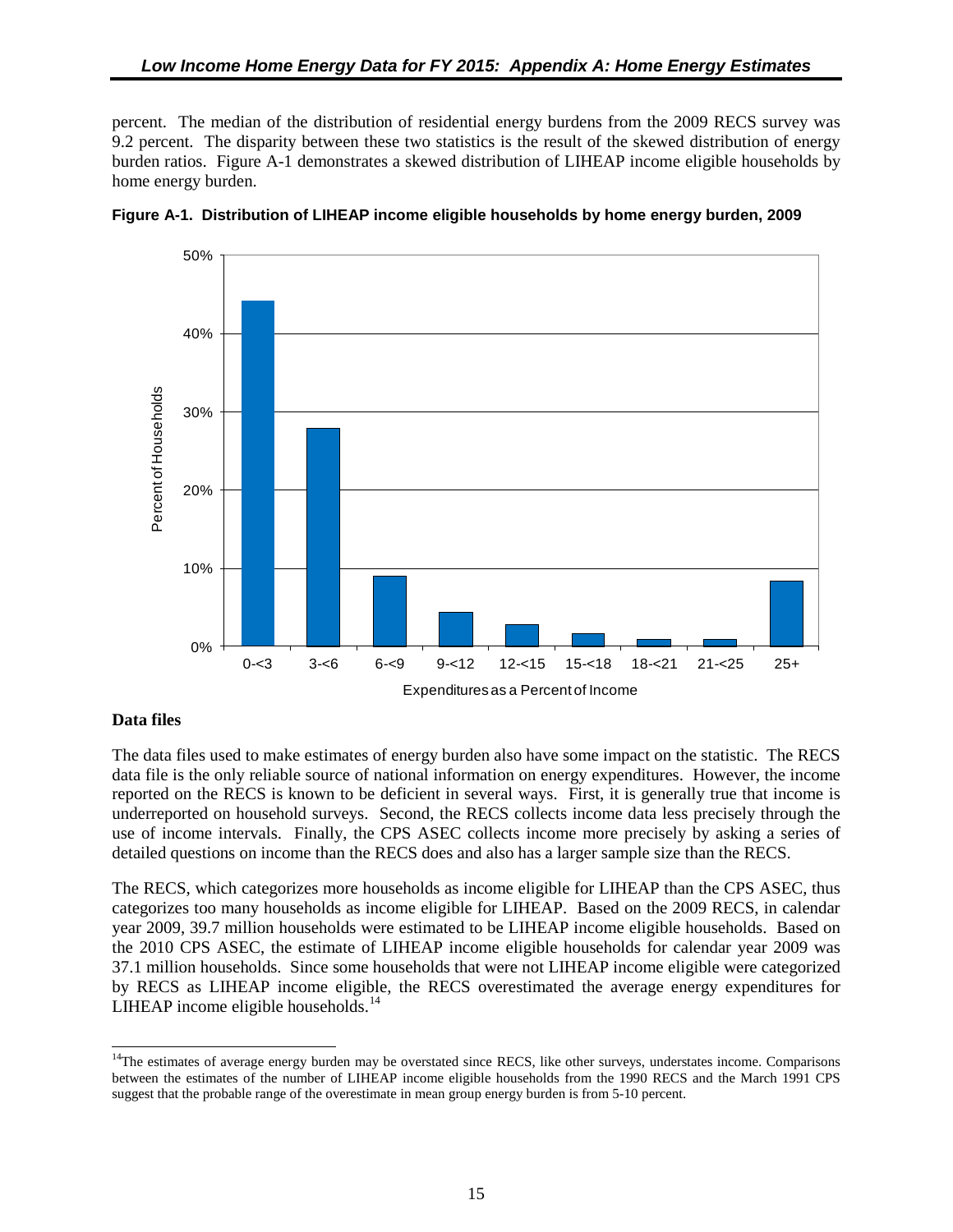<span id="page-24-0"></span>percent. The median of the distribution of residential energy burdens from the 2009 RECS survey was 9.2 percent. The disparity between these two statistics is the result of the skewed distribution of energy burden ratios. Figure A-1 demonstrates a skewed distribution of LIHEAP income eligible households by home energy burden.





#### <span id="page-24-3"></span><span id="page-24-2"></span><span id="page-24-1"></span>**Data files**

The data files used to make estimates of energy burden also have some impact on the statistic. The RECS data file is the only reliable source of national information on energy expenditures. However, the income reported on the RECS is known to be deficient in several ways. First, it is generally true that income is underreported on household surveys. Second, the RECS collects income data less precisely through the use of income intervals. Finally, the CPS ASEC collects income more precisely by asking a series of detailed questions on income than the RECS does and also has a larger sample size than the RECS.

The RECS, which categorizes more households as income eligible for LIHEAP than the CPS ASEC, thus categorizes too many households as income eligible for LIHEAP. Based on the 2009 RECS, in calendar year 2009, 39.7 million households were estimated to be LIHEAP income eligible households. Based on the 2010 CPS ASEC, the estimate of LIHEAP income eligible households for calendar year 2009 was 37.1 million households. Since some households that were not LIHEAP income eligible were categorized by RECS as LIHEAP income eligible, the RECS overestimated the average energy expenditures for LIHEAP income eligible households.<sup>[14](#page-24-4)</sup>

<span id="page-24-4"></span> $14$ The estimates of average energy burden may be overstated since RECS, like other surveys, understates income. Comparisons between the estimates of the number of LIHEAP income eligible households from the 1990 RECS and the March 1991 CPS suggest that the probable range of the overestimate in mean group energy burden is from 5-10 percent.  $\overline{a}$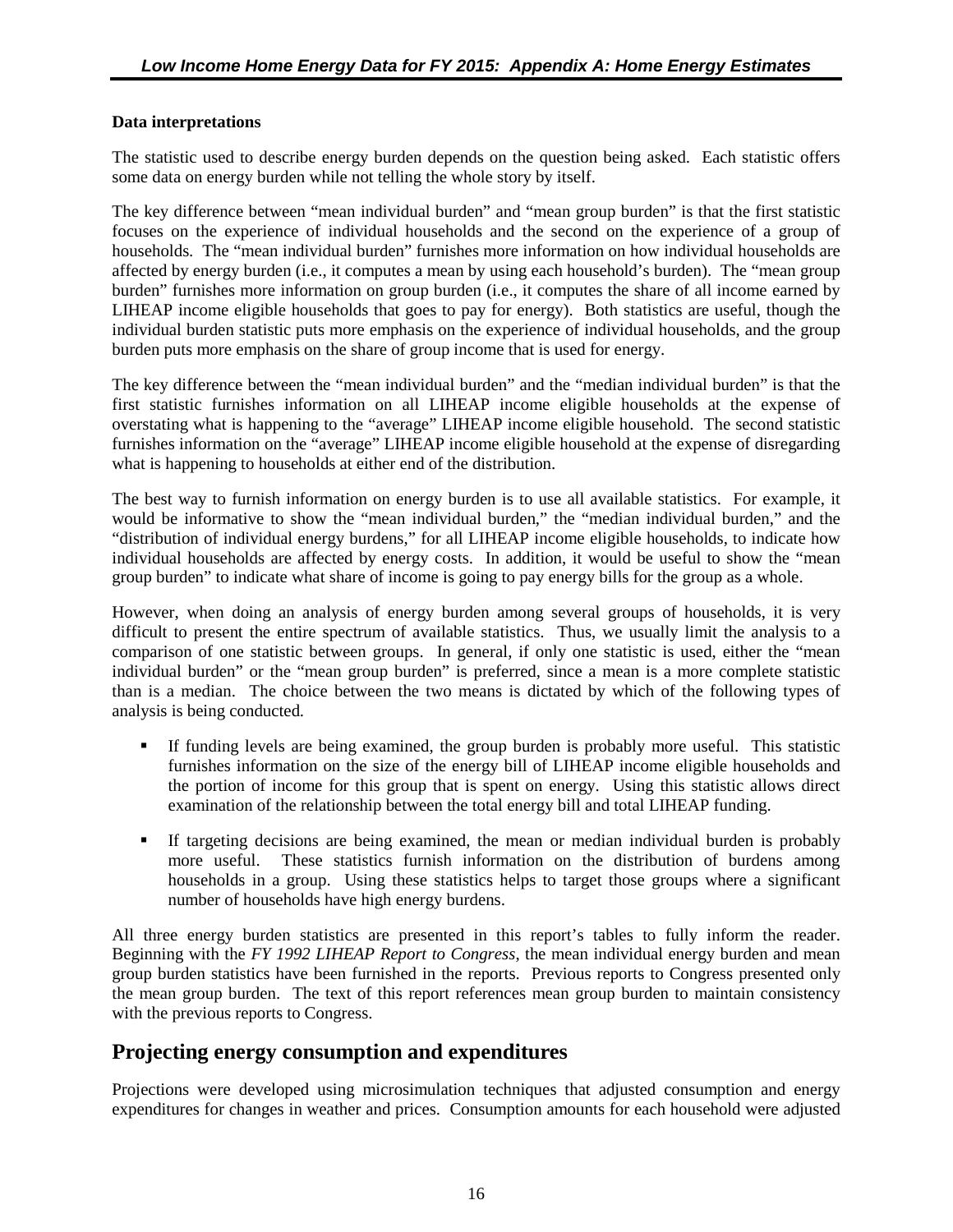#### <span id="page-25-0"></span>**Data interpretations**

The statistic used to describe energy burden depends on the question being asked. Each statistic offers some data on energy burden while not telling the whole story by itself.

The key difference between "mean individual burden" and "mean group burden" is that the first statistic focuses on the experience of individual households and the second on the experience of a group of households. The "mean individual burden" furnishes more information on how individual households are affected by energy burden (i.e., it computes a mean by using each household's burden). The "mean group burden" furnishes more information on group burden (i.e., it computes the share of all income earned by LIHEAP income eligible households that goes to pay for energy). Both statistics are useful, though the individual burden statistic puts more emphasis on the experience of individual households, and the group burden puts more emphasis on the share of group income that is used for energy.

The key difference between the "mean individual burden" and the "median individual burden" is that the first statistic furnishes information on all LIHEAP income eligible households at the expense of overstating what is happening to the "average" LIHEAP income eligible household. The second statistic furnishes information on the "average" LIHEAP income eligible household at the expense of disregarding what is happening to households at either end of the distribution.

The best way to furnish information on energy burden is to use all available statistics. For example, it would be informative to show the "mean individual burden," the "median individual burden," and the "distribution of individual energy burdens," for all LIHEAP income eligible households, to indicate how individual households are affected by energy costs. In addition, it would be useful to show the "mean group burden" to indicate what share of income is going to pay energy bills for the group as a whole.

However, when doing an analysis of energy burden among several groups of households, it is very difficult to present the entire spectrum of available statistics. Thus, we usually limit the analysis to a comparison of one statistic between groups. In general, if only one statistic is used, either the "mean individual burden" or the "mean group burden" is preferred, since a mean is a more complete statistic than is a median. The choice between the two means is dictated by which of the following types of analysis is being conducted.

- If funding levels are being examined, the group burden is probably more useful. This statistic furnishes information on the size of the energy bill of LIHEAP income eligible households and the portion of income for this group that is spent on energy. Using this statistic allows direct examination of the relationship between the total energy bill and total LIHEAP funding.
- If targeting decisions are being examined, the mean or median individual burden is probably more useful. These statistics furnish information on the distribution of burdens among households in a group. Using these statistics helps to target those groups where a significant number of households have high energy burdens.

All three energy burden statistics are presented in this report's tables to fully inform the reader. Beginning with the *FY 1992 LIHEAP Report to Congress*, the mean individual energy burden and mean group burden statistics have been furnished in the reports. Previous reports to Congress presented only the mean group burden. The text of this report references mean group burden to maintain consistency with the previous reports to Congress.

#### **Projecting energy consumption and expenditures**

Projections were developed using microsimulation techniques that adjusted consumption and energy expenditures for changes in weather and prices. Consumption amounts for each household were adjusted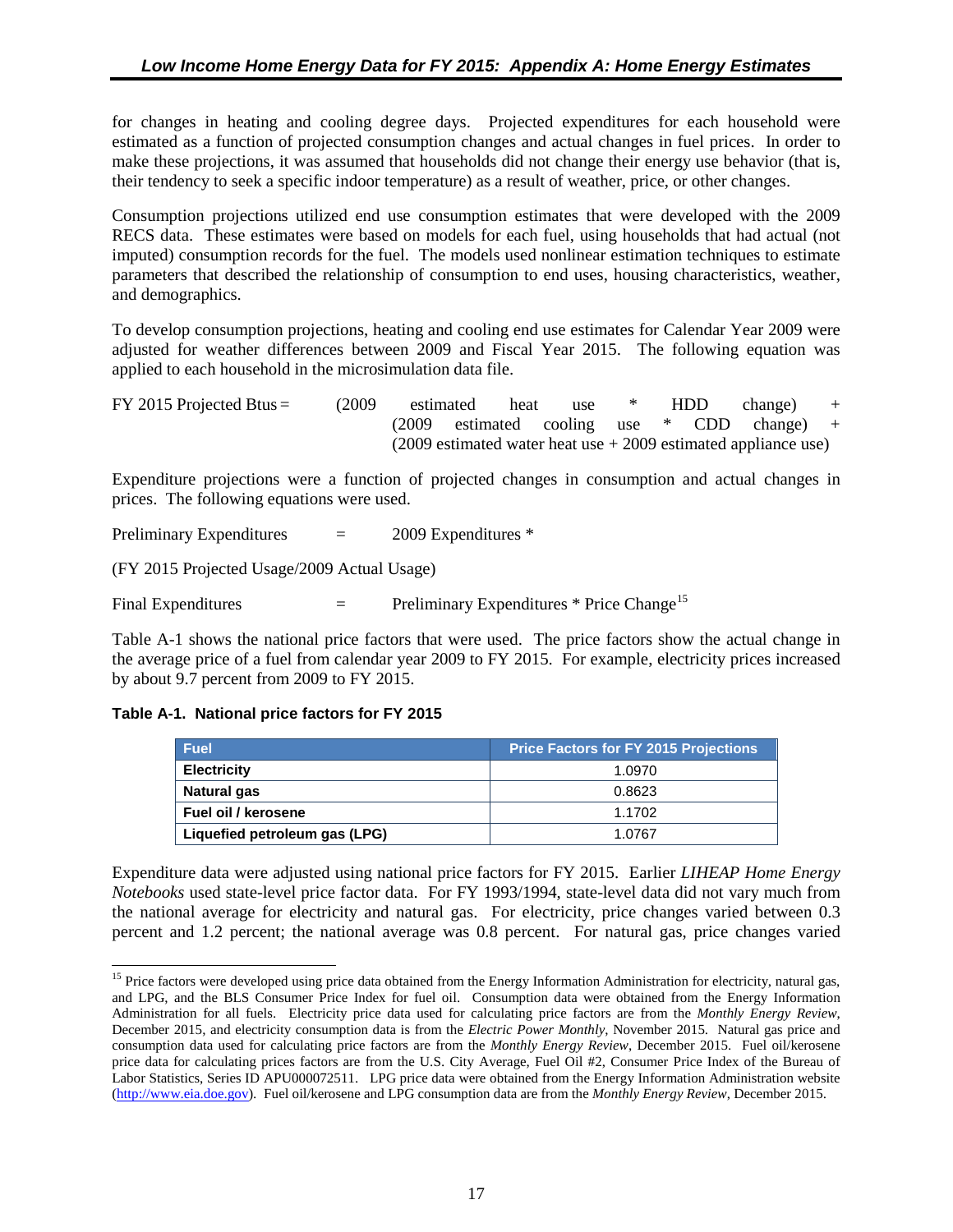<span id="page-26-0"></span>for changes in heating and cooling degree days. Projected expenditures for each household were estimated as a function of projected consumption changes and actual changes in fuel prices. In order to make these projections, it was assumed that households did not change their energy use behavior (that is, their tendency to seek a specific indoor temperature) as a result of weather, price, or other changes.

Consumption projections utilized end use consumption estimates that were developed with the 2009 RECS data. These estimates were based on models for each fuel, using households that had actual (not imputed) consumption records for the fuel. The models used nonlinear estimation techniques to estimate parameters that described the relationship of consumption to end uses, housing characteristics, weather, and demographics.

To develop consumption projections, heating and cooling end use estimates for Calendar Year 2009 were adjusted for weather differences between 2009 and Fiscal Year 2015. The following equation was applied to each household in the microsimulation data file.

<span id="page-26-1"></span>

| $FY$ 2015 Projected Btus = | (2009) | estimated | heat | use * | HDD | change)                                                            | $+$ |
|----------------------------|--------|-----------|------|-------|-----|--------------------------------------------------------------------|-----|
|                            |        |           |      |       |     | $(2009$ estimated cooling use $*$ CDD change) +                    |     |
|                            |        |           |      |       |     | $(2009$ estimated water heat use $+ 2009$ estimated appliance use) |     |

<span id="page-26-2"></span>Expenditure projections were a function of projected changes in consumption and actual changes in prices. The following equations were used.

Preliminary Expenditures  $= 2009$  Expenditures \*

(FY 2015 Projected Usage/2009 Actual Usage)

Final Expenditures  $=$  Preliminary Expenditures \* Price Change<sup>[15](#page-26-3)</sup>

Table A-1 shows the national price factors that were used. The price factors show the actual change in the average price of a fuel from calendar year 2009 to FY 2015. For example, electricity prices increased by about 9.7 percent from 2009 to FY 2015.

#### **Table A-1. National price factors for FY 2015**

 $\overline{a}$ 

| <b>Fuel</b>                   | <b>Price Factors for FY 2015 Projections</b> |
|-------------------------------|----------------------------------------------|
| <b>Electricity</b>            | 1.0970                                       |
| Natural gas                   | 0.8623                                       |
| Fuel oil / kerosene           | 1.1702                                       |
| Liquefied petroleum gas (LPG) | 1.0767                                       |

Expenditure data were adjusted using national price factors for FY 2015. Earlier *LIHEAP Home Energy Notebooks* used state-level price factor data. For FY 1993/1994, state-level data did not vary much from the national average for electricity and natural gas. For electricity, price changes varied between 0.3 percent and 1.2 percent; the national average was 0.8 percent. For natural gas, price changes varied

<span id="page-26-3"></span><sup>&</sup>lt;sup>15</sup> Price factors were developed using price data obtained from the Energy Information Administration for electricity, natural gas, and LPG, and the BLS Consumer Price Index for fuel oil. Consumption data were obtained from the Energy Information Administration for all fuels. Electricity price data used for calculating price factors are from the *Monthly Energy Review*, December 2015, and electricity consumption data is from the *Electric Power Monthly*, November 2015. Natural gas price and consumption data used for calculating price factors are from the *Monthly Energy Review*, December 2015. Fuel oil/kerosene price data for calculating prices factors are from the U.S. City Average, Fuel Oil #2, Consumer Price Index of the Bureau of Labor Statistics, Series ID APU000072511. LPG price data were obtained from the Energy Information Administration website [\(http://www.eia.doe.gov\)](http://www.eia.doe.gov/). Fuel oil/kerosene and LPG consumption data are from the *Monthly Energy Review*, December 2015.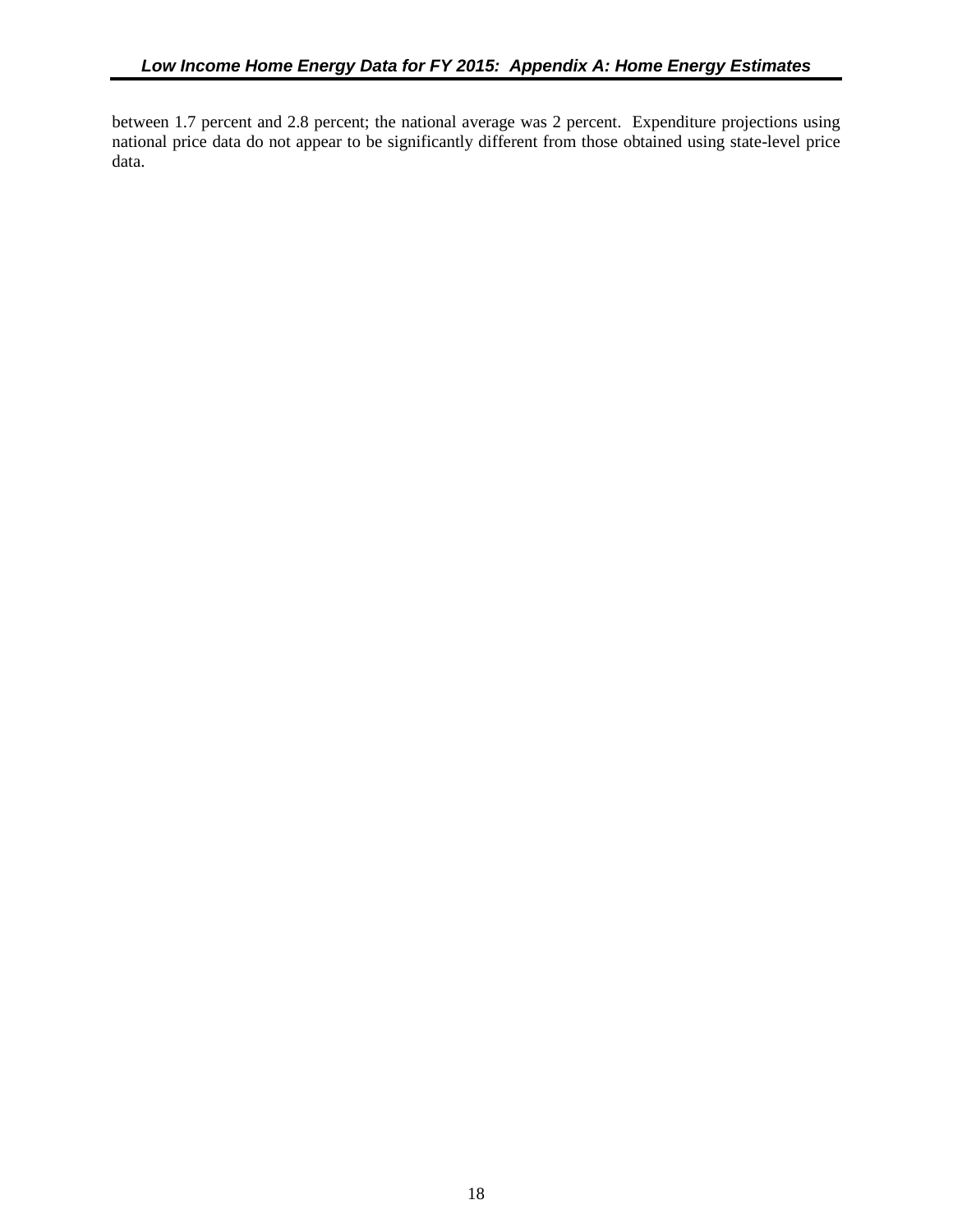<span id="page-27-1"></span><span id="page-27-0"></span>between 1.7 percent and 2.8 percent; the national average was 2 percent. Expenditure projections using national price data do not appear to be significantly different from those obtained using state-level price data.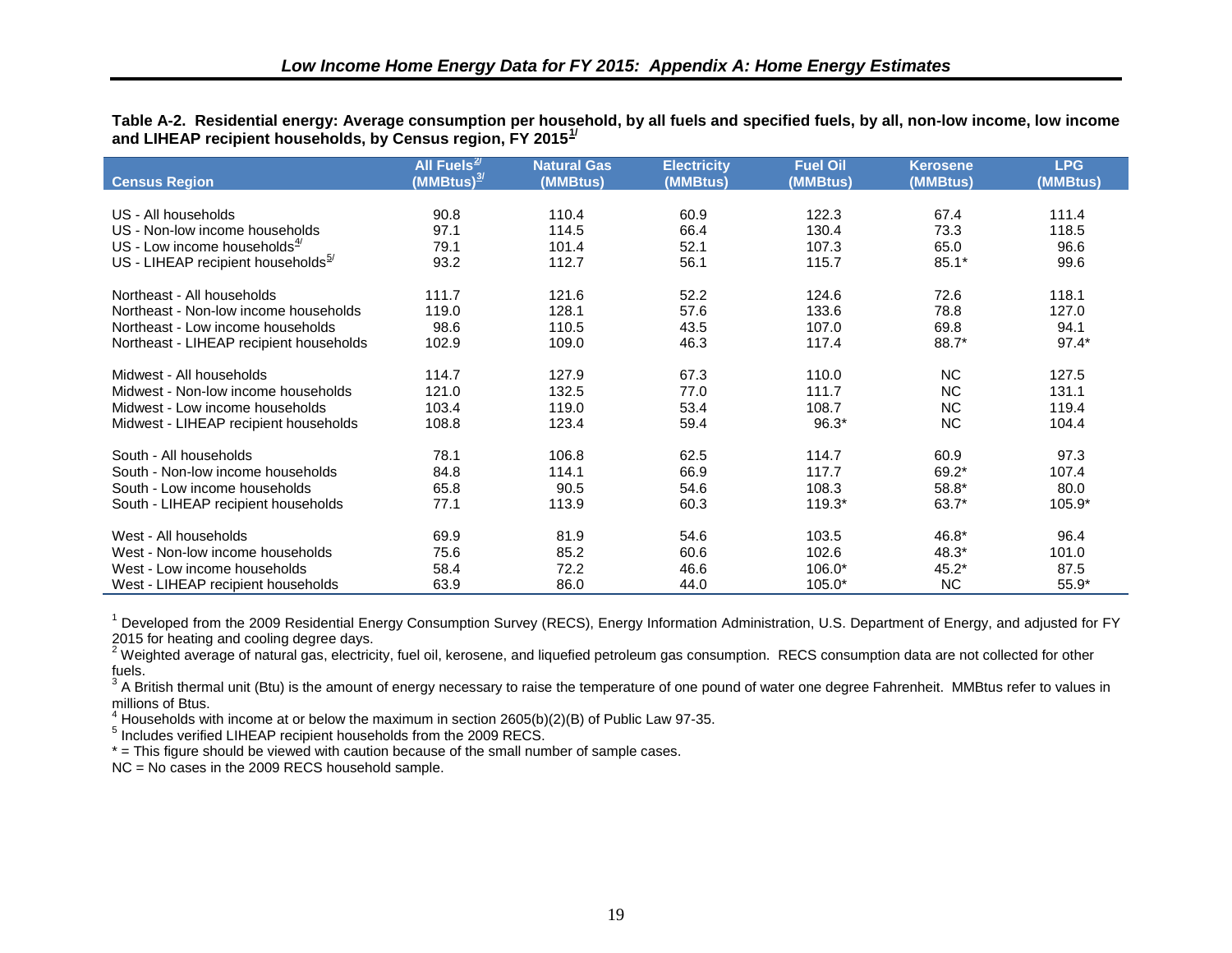<span id="page-28-0"></span>**Table A-2. Residential energy: Average consumption per household, by all fuels and specified fuels, by all, non-low income, low income and LIHEAP recipient households, by Census region, FY 2015[1/](#page-38-1)** 

|                                                | All Fuels $\frac{2}{3}$ | <b>Natural Gas</b> | <b>Electricity</b> | <b>Fuel Oil</b> | <b>Kerosene</b> | <b>LPG</b> |
|------------------------------------------------|-------------------------|--------------------|--------------------|-----------------|-----------------|------------|
| <b>Census Region</b>                           | (MMBtus) <sup>3/</sup>  | (MMBtus)           | (MMBtus)           | (MMBtus)        | (MMBtus)        | (MMBtus)   |
|                                                |                         |                    |                    |                 |                 |            |
| US - All households                            | 90.8                    | 110.4              | 60.9               | 122.3           | 67.4            | 111.4      |
| US - Non-low income households                 | 97.1                    | 114.5              | 66.4               | 130.4           | 73.3            | 118.5      |
| US - Low income households $4$                 | 79.1                    | 101.4              | 52.1               | 107.3           | 65.0            | 96.6       |
| US - LIHEAP recipient households $\frac{5}{2}$ | 93.2                    | 112.7              | 56.1               | 115.7           | $85.1*$         | 99.6       |
| Northeast - All households                     | 111.7                   | 121.6              | 52.2               | 124.6           | 72.6            | 118.1      |
| Northeast - Non-low income households          | 119.0                   | 128.1              | 57.6               | 133.6           | 78.8            | 127.0      |
| Northeast - Low income households              | 98.6                    | 110.5              | 43.5               | 107.0           | 69.8            | 94.1       |
| Northeast - LIHEAP recipient households        | 102.9                   | 109.0              | 46.3               | 117.4           | 88.7*           | $97.4*$    |
| Midwest - All households                       | 114.7                   | 127.9              | 67.3               | 110.0           | <b>NC</b>       | 127.5      |
| Midwest - Non-low income households            | 121.0                   | 132.5              | 77.0               | 111.7           | <b>NC</b>       | 131.1      |
| Midwest - Low income households                | 103.4                   | 119.0              | 53.4               | 108.7           | <b>NC</b>       | 119.4      |
| Midwest - LIHEAP recipient households          | 108.8                   | 123.4              | 59.4               | $96.3*$         | <b>NC</b>       | 104.4      |
| South - All households                         | 78.1                    | 106.8              | 62.5               | 114.7           | 60.9            | 97.3       |
| South - Non-low income households              | 84.8                    | 114.1              | 66.9               | 117.7           | 69.2*           | 107.4      |
| South - Low income households                  | 65.8                    | 90.5               | 54.6               | 108.3           | 58.8*           | 80.0       |
| South - LIHEAP recipient households            | 77.1                    | 113.9              | 60.3               | 119.3*          | 63.7*           | 105.9*     |
| West - All households                          | 69.9                    | 81.9               | 54.6               | 103.5           | 46.8*           | 96.4       |
| West - Non-low income households               | 75.6                    | 85.2               | 60.6               | 102.6           | 48.3*           | 101.0      |
| West - Low income households                   | 58.4                    | 72.2               | 46.6               | $106.0*$        | $45.2*$         | 87.5       |
| West - LIHEAP recipient households             | 63.9                    | 86.0               | 44.0               | $105.0*$        | <b>NC</b>       | $55.9*$    |

<span id="page-28-1"></span><sup>1</sup> Developed from the 2009 Residential Energy Consumption Survey (RECS), Energy Information Administration, U.S. Department of Energy, and adjusted for FY 2015 for heating and cooling degree days.

200 for the sample costing the computer of the constraints and liquefied petroleum gas consumption. RECS consumption data are not collected for other fuels.

<sup>3</sup> A British thermal unit (Btu) is the amount of energy necessary to raise the temperature of one pound of water one degree Fahrenheit. MMBtus refer to values in millions of Btus.

 $^{4}$  Households with income at or below the maximum in section 2605(b)(2)(B) of Public Law 97-35.

<sup>5</sup> Includes verified LIHEAP recipient households from the 2009 RECS.

\* = This figure should be viewed with caution because of the small number of sample cases.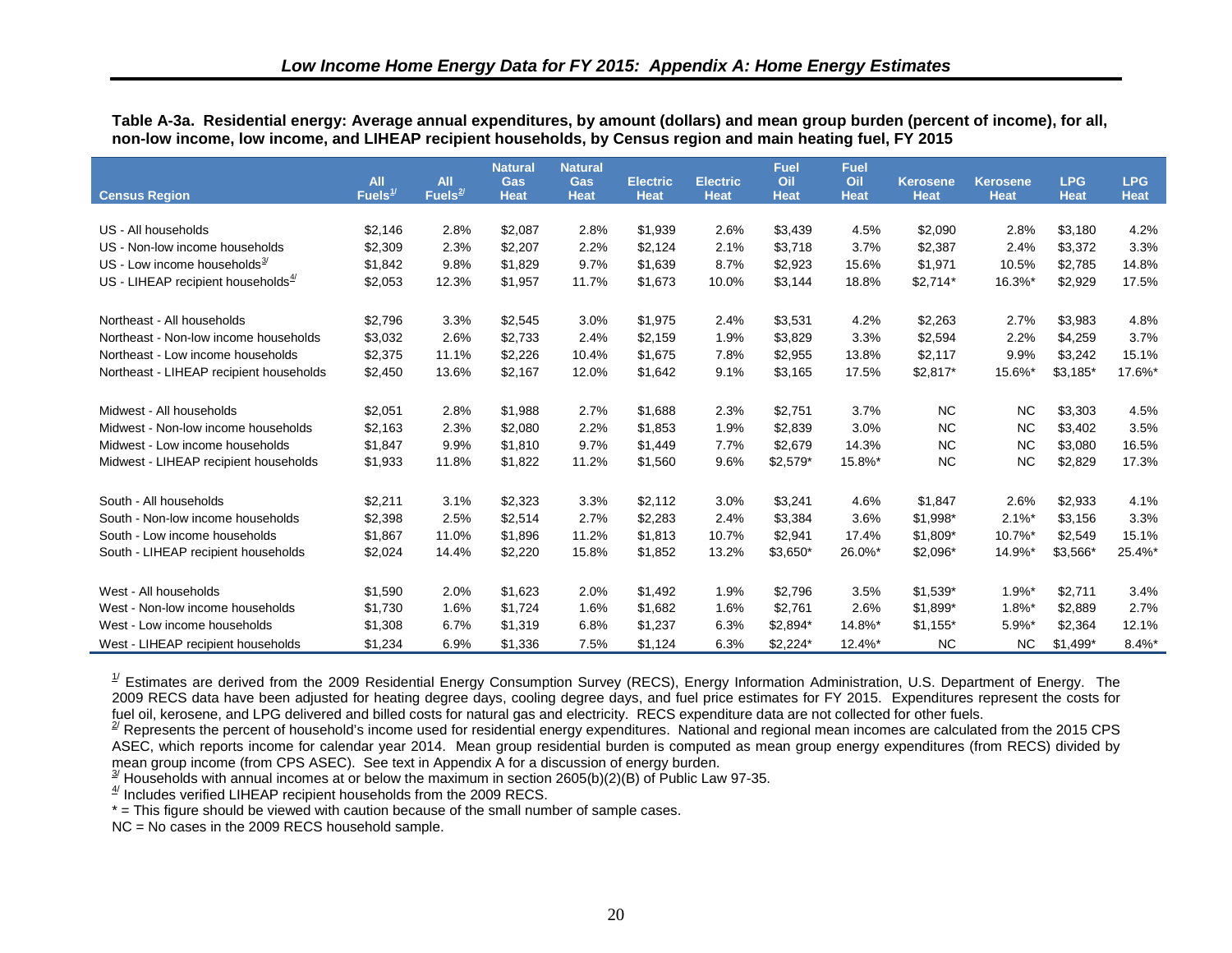<span id="page-29-6"></span><span id="page-29-5"></span><span id="page-29-4"></span><span id="page-29-3"></span><span id="page-29-2"></span><span id="page-29-1"></span><span id="page-29-0"></span>

| Table A-3a. Residential energy: Average annual expenditures, by amount (dollars) and mean group burden (percent of income), for all, |  |  |
|--------------------------------------------------------------------------------------------------------------------------------------|--|--|
| non-low income, low income, and LIHEAP recipient households, by Census region and main heating fuel, FY 2015                         |  |  |

|                                          |                            |                            | <b>Natural</b>            | <b>Natural</b>            |                                |                                | <b>Fuel</b>        | <b>Fuel</b>        |                                |                                |                           |                           |
|------------------------------------------|----------------------------|----------------------------|---------------------------|---------------------------|--------------------------------|--------------------------------|--------------------|--------------------|--------------------------------|--------------------------------|---------------------------|---------------------------|
| <b>Census Region</b>                     | All<br>Fuels $\frac{1}{2}$ | <b>All</b><br>Fuels $^{2}$ | <b>Gas</b><br><b>Heat</b> | <b>Gas</b><br><b>Heat</b> | <b>Electric</b><br><b>Heat</b> | <b>Electric</b><br><b>Heat</b> | Oil<br><b>Heat</b> | Oil<br><b>Heat</b> | <b>Kerosene</b><br><b>Heat</b> | <b>Kerosene</b><br><b>Heat</b> | <b>LPG</b><br><b>Heat</b> | <b>LPG</b><br><b>Heat</b> |
|                                          |                            |                            |                           |                           |                                |                                |                    |                    |                                |                                |                           |                           |
| US - All households                      | \$2,146                    | 2.8%                       | \$2,087                   | 2.8%                      | \$1,939                        | 2.6%                           | \$3,439            | 4.5%               | \$2,090                        | 2.8%                           | \$3,180                   | 4.2%                      |
| US - Non-low income households           | \$2,309                    | 2.3%                       | \$2,207                   | 2.2%                      | \$2,124                        | 2.1%                           | \$3,718            | 3.7%               | \$2,387                        | 2.4%                           | \$3,372                   | 3.3%                      |
| US - Low income households $\frac{3}{2}$ | \$1,842                    | 9.8%                       | \$1,829                   | 9.7%                      | \$1,639                        | 8.7%                           | \$2,923            | 15.6%              | \$1,971                        | 10.5%                          | \$2,785                   | 14.8%                     |
| US - LIHEAP recipient households $4/$    | \$2,053                    | 12.3%                      | \$1,957                   | 11.7%                     | \$1,673                        | 10.0%                          | \$3,144            | 18.8%              | $$2,714*$                      | 16.3%*                         | \$2,929                   | 17.5%                     |
| Northeast - All households               | \$2,796                    | 3.3%                       | \$2,545                   | 3.0%                      | \$1,975                        | 2.4%                           | \$3,531            | 4.2%               | \$2,263                        | 2.7%                           | \$3,983                   | 4.8%                      |
| Northeast - Non-low income households    | \$3,032                    | 2.6%                       | \$2,733                   | 2.4%                      | \$2,159                        | 1.9%                           | \$3,829            | 3.3%               | \$2,594                        | 2.2%                           | \$4,259                   | 3.7%                      |
| Northeast - Low income households        | \$2,375                    | 11.1%                      | \$2,226                   | 10.4%                     | \$1,675                        | 7.8%                           | \$2,955            | 13.8%              | \$2,117                        | 9.9%                           | \$3,242                   | 15.1%                     |
| Northeast - LIHEAP recipient households  | \$2,450                    | 13.6%                      | \$2,167                   | 12.0%                     | \$1,642                        | 9.1%                           | \$3,165            | 17.5%              | $$2,817$ *                     | 15.6%*                         | $$3,185$ *                | 17.6%*                    |
| Midwest - All households                 | \$2,051                    | 2.8%                       | \$1.988                   | 2.7%                      | \$1.688                        | 2.3%                           | \$2,751            | 3.7%               | <b>NC</b>                      | <b>NC</b>                      | \$3,303                   | 4.5%                      |
| Midwest - Non-low income households      | \$2,163                    | 2.3%                       | \$2,080                   | 2.2%                      | \$1,853                        | 1.9%                           | \$2,839            | 3.0%               | <b>NC</b>                      | <b>NC</b>                      | \$3,402                   | 3.5%                      |
| Midwest - Low income households          | \$1,847                    | 9.9%                       | \$1,810                   | 9.7%                      | \$1,449                        | 7.7%                           | \$2,679            | 14.3%              | <b>NC</b>                      | <b>NC</b>                      | \$3,080                   | 16.5%                     |
| Midwest - LIHEAP recipient households    | \$1,933                    | 11.8%                      | \$1,822                   | 11.2%                     | \$1,560                        | 9.6%                           | $$2,579$ *         | 15.8%*             | <b>NC</b>                      | <b>NC</b>                      | \$2,829                   | 17.3%                     |
| South - All households                   | \$2,211                    | 3.1%                       | \$2,323                   | 3.3%                      | \$2,112                        | 3.0%                           | \$3,241            | 4.6%               | \$1,847                        | 2.6%                           | \$2,933                   | 4.1%                      |
| South - Non-low income households        | \$2,398                    | 2.5%                       | \$2,514                   | 2.7%                      | \$2,283                        | 2.4%                           | \$3,384            | 3.6%               | $$1,998*$                      | $2.1\%$ *                      | \$3,156                   | 3.3%                      |
| South - Low income households            | \$1,867                    | 11.0%                      | \$1,896                   | 11.2%                     | \$1,813                        | 10.7%                          | \$2,941            | 17.4%              | \$1,809*                       | 10.7%*                         | \$2,549                   | 15.1%                     |
| South - LIHEAP recipient households      | \$2,024                    | 14.4%                      | \$2,220                   | 15.8%                     | \$1,852                        | 13.2%                          | $$3,650*$          | 26.0%*             | \$2,096*                       | 14.9%*                         | \$3,566*                  | 25.4%*                    |
| West - All households                    | \$1,590                    | 2.0%                       | \$1,623                   | 2.0%                      | \$1,492                        | 1.9%                           | \$2,796            | 3.5%               | $$1,539*$                      | $1.9%$ *                       | \$2,711                   | 3.4%                      |
| West - Non-low income households         | \$1,730                    | 1.6%                       | \$1,724                   | 1.6%                      | \$1,682                        | 1.6%                           | \$2,761            | 2.6%               | \$1,899*                       | $1.8\%$ <sup>*</sup>           | \$2,889                   | 2.7%                      |
| West - Low income households             | \$1,308                    | 6.7%                       | \$1,319                   | 6.8%                      | \$1,237                        | 6.3%                           | $$2,894*$          | 14.8%*             | $$1,155*$                      | 5.9%*                          | \$2,364                   | 12.1%                     |
| West - LIHEAP recipient households       | \$1,234                    | 6.9%                       | \$1,336                   | 7.5%                      | \$1,124                        | 6.3%                           | $$2,224*$          | $12.4\%$ *         | <b>NC</b>                      | <b>NC</b>                      | $$1,499$ <sup>*</sup>     | 8.4%*                     |

 $1/$  Estimates are derived from the 2009 Residential Energy Consumption Survey (RECS), Energy Information Administration, U.S. Department of Energy. The 2009 RECS data have been adjusted for heating degree days, cooling degree days, and fuel price estimates for FY 2015. Expenditures represent the costs for fuel oil, kerosene, and LPG delivered and billed costs for natural gas and electricity. RECS expenditure data are not collected for other fuels.

 $^{27}$  Represents the percent of household's income used for residential energy expenditures. National and regional mean incomes are calculated from the 2015 CPS ASEC, which reports income for calendar year 2014. Mean group residential burden is computed as mean group energy expenditures (from RECS) divided by mean group income (from CPS ASEC). See text in Appendix A for a discussion of energy burden.

 $\frac{3}{2}$  Households with annual incomes at or below the maximum in section 2605(b)(2)(B) of Public Law 97-35.

 $4$ <sup> $4$ </sup> Includes verified LIHEAP recipient households from the 2009 RECS.

\* = This figure should be viewed with caution because of the small number of sample cases.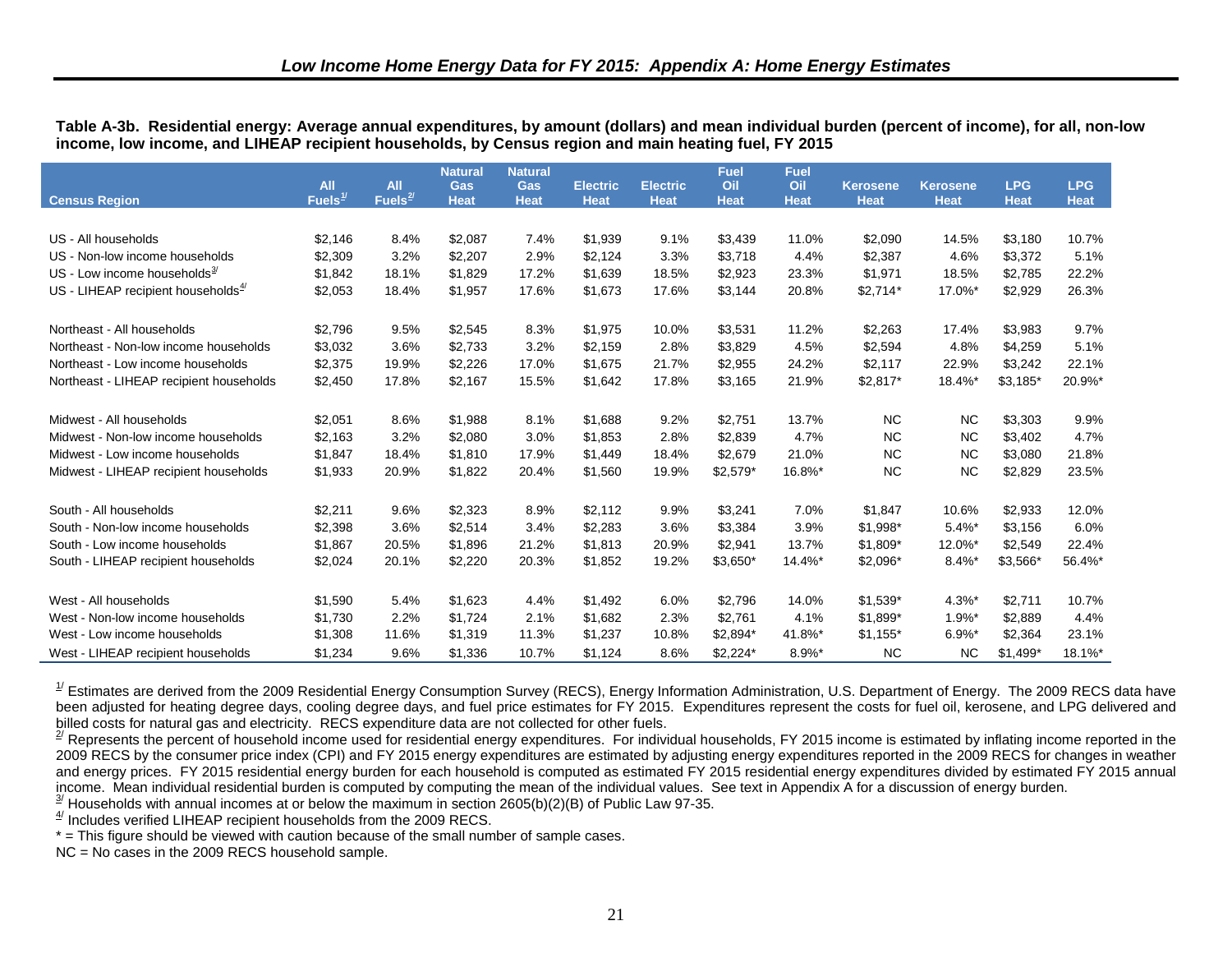<span id="page-30-6"></span><span id="page-30-5"></span><span id="page-30-4"></span><span id="page-30-3"></span><span id="page-30-2"></span><span id="page-30-1"></span><span id="page-30-0"></span>

|  |                                                                                                      |  | Table A-3b. Residential energy: Average annual expenditures, by amount (dollars) and mean individual burden (percent of income), for all, non-low |
|--|------------------------------------------------------------------------------------------------------|--|---------------------------------------------------------------------------------------------------------------------------------------------------|
|  | income, low income, and LIHEAP recipient households, by Census region and main heating fuel, FY 2015 |  |                                                                                                                                                   |

| <b>Census Region</b>                     | <b>All</b><br>Fuels $1/$ | <b>All</b><br>Fuels $\frac{2}{1}$ | <b>Natural</b><br>Gas<br><b>Heat</b> | <b>Natural</b><br>Gas<br><b>Heat</b> | <b>Electric</b><br><b>Heat</b> | Electric.<br><b>Heat</b> | <b>Fuel</b><br>Oil<br><b>Heat</b> | Fuel<br>Oil<br><b>Heat</b> | <b>Kerosene</b><br><b>Heat</b> | <b>Kerosene</b><br><b>Heat</b> | <b>LPG</b><br><b>Heat</b> | <b>LPG</b><br><b>Heat</b> |
|------------------------------------------|--------------------------|-----------------------------------|--------------------------------------|--------------------------------------|--------------------------------|--------------------------|-----------------------------------|----------------------------|--------------------------------|--------------------------------|---------------------------|---------------------------|
|                                          |                          |                                   |                                      |                                      |                                |                          |                                   |                            |                                |                                |                           |                           |
| US - All households                      | \$2,146                  | 8.4%                              | \$2,087                              | 7.4%                                 | \$1,939                        | 9.1%                     | \$3,439                           | 11.0%                      | \$2,090                        | 14.5%                          | \$3,180                   | 10.7%                     |
| US - Non-low income households           | \$2,309                  | 3.2%                              | \$2,207                              | 2.9%                                 | \$2,124                        | 3.3%                     | \$3,718                           | 4.4%                       | \$2,387                        | 4.6%                           | \$3,372                   | 5.1%                      |
| US - Low income households $\frac{3}{2}$ | \$1,842                  | 18.1%                             | \$1,829                              | 17.2%                                | \$1,639                        | 18.5%                    | \$2,923                           | 23.3%                      | \$1,971                        | 18.5%                          | \$2,785                   | 22.2%                     |
| US - LIHEAP recipient households $4$     | \$2,053                  | 18.4%                             | \$1,957                              | 17.6%                                | \$1,673                        | 17.6%                    | \$3,144                           | 20.8%                      | $$2,714*$                      | 17.0%*                         | \$2,929                   | 26.3%                     |
| Northeast - All households               | \$2,796                  | 9.5%                              | \$2,545                              | 8.3%                                 | \$1,975                        | 10.0%                    | \$3,531                           | 11.2%                      | \$2,263                        | 17.4%                          | \$3,983                   | 9.7%                      |
| Northeast - Non-low income households    | \$3,032                  | 3.6%                              | \$2,733                              | 3.2%                                 | \$2,159                        | 2.8%                     | \$3,829                           | 4.5%                       | \$2,594                        | 4.8%                           | \$4,259                   | 5.1%                      |
| Northeast - Low income households        | \$2,375                  | 19.9%                             | \$2,226                              | 17.0%                                | \$1,675                        | 21.7%                    | \$2,955                           | 24.2%                      | \$2,117                        | 22.9%                          | \$3,242                   | 22.1%                     |
| Northeast - LIHEAP recipient households  | \$2,450                  | 17.8%                             | \$2,167                              | 15.5%                                | \$1,642                        | 17.8%                    | \$3,165                           | 21.9%                      | $$2,817$ *                     | 18.4%*                         | $$3,185$ *                | 20.9%*                    |
| Midwest - All households                 | \$2,051                  | 8.6%                              | \$1,988                              | 8.1%                                 | \$1,688                        | 9.2%                     | \$2,751                           | 13.7%                      | <b>NC</b>                      | <b>NC</b>                      | \$3,303                   | 9.9%                      |
| Midwest - Non-low income households      | \$2,163                  | 3.2%                              | \$2,080                              | 3.0%                                 | \$1,853                        | 2.8%                     | \$2,839                           | 4.7%                       | <b>NC</b>                      | <b>NC</b>                      | \$3,402                   | 4.7%                      |
| Midwest - Low income households          | \$1,847                  | 18.4%                             | \$1,810                              | 17.9%                                | \$1,449                        | 18.4%                    | \$2,679                           | 21.0%                      | <b>NC</b>                      | <b>NC</b>                      | \$3,080                   | 21.8%                     |
| Midwest - LIHEAP recipient households    | \$1,933                  | 20.9%                             | \$1,822                              | 20.4%                                | \$1,560                        | 19.9%                    | $$2,579$ *                        | 16.8%*                     | <b>NC</b>                      | <b>NC</b>                      | \$2,829                   | 23.5%                     |
| South - All households                   | \$2,211                  | 9.6%                              | \$2,323                              | 8.9%                                 | \$2,112                        | 9.9%                     | \$3,241                           | 7.0%                       | \$1,847                        | 10.6%                          | \$2,933                   | 12.0%                     |
| South - Non-low income households        | \$2,398                  | 3.6%                              | \$2,514                              | 3.4%                                 | \$2,283                        | 3.6%                     | \$3,384                           | 3.9%                       | \$1,998*                       | $5.4%$ *                       | \$3,156                   | 6.0%                      |
| South - Low income households            | \$1,867                  | 20.5%                             | \$1,896                              | 21.2%                                | \$1,813                        | 20.9%                    | \$2,941                           | 13.7%                      | \$1,809*                       | 12.0%*                         | \$2,549                   | 22.4%                     |
| South - LIHEAP recipient households      | \$2,024                  | 20.1%                             | \$2,220                              | 20.3%                                | \$1,852                        | 19.2%                    | $$3,650*$                         | 14.4%*                     | $$2,096*$                      | $8.4\%$ *                      | \$3,566*                  | 56.4%*                    |
| West - All households                    | \$1,590                  | 5.4%                              | \$1,623                              | 4.4%                                 | \$1,492                        | 6.0%                     | \$2,796                           | 14.0%                      | $$1,539*$                      | 4.3%*                          | \$2,711                   | 10.7%                     |
| West - Non-low income households         | \$1,730                  | 2.2%                              | \$1,724                              | 2.1%                                 | \$1,682                        | 2.3%                     | \$2,761                           | 4.1%                       | \$1,899*                       | $1.9%$ *                       | \$2,889                   | 4.4%                      |
| West - Low income households             | \$1,308                  | 11.6%                             | \$1,319                              | 11.3%                                | \$1,237                        | 10.8%                    | \$2,894*                          | 41.8%*                     | $$1,155*$                      | $6.9\%$ *                      | \$2,364                   | 23.1%                     |
| West - LIHEAP recipient households       | \$1.234                  | 9.6%                              | \$1,336                              | 10.7%                                | \$1.124                        | 8.6%                     | $$2,224*$                         | $8.9\%$ *                  | <b>NC</b>                      | <b>NC</b>                      | $$1.499*$                 | 18.1%*                    |

 $^{1/}$  Estimates are derived from the 2009 Residential Energy Consumption Survey (RECS), Energy Information Administration, U.S. Department of Energy. The 2009 RECS data have been adjusted for heating degree days, cooling degree days, and fuel price estimates for FY 2015. Expenditures represent the costs for fuel oil, kerosene, and LPG delivered and billed costs for natural gas and electricity. RECS expenditure data are not collected for other fuels.

 $^{27}$  Represents the percent of household income used for residential energy expenditures. For individual households, FY 2015 income is estimated by inflating income reported in the 2009 RECS by the consumer price index (CPI) and FY 2015 energy expenditures are estimated by adjusting energy expenditures reported in the 2009 RECS for changes in weather and energy prices. FY 2015 residential energy burden for each household is computed as estimated FY 2015 residential energy expenditures divided by estimated FY 2015 annual income. Mean individual residential burden is computed by computing the mean of the individual values. See text in Appendix A for a discussion of energy burden.

 $\frac{3}{2}$  Households with annual incomes at or below the maximum in section 2605(b)(2)(B) of Public Law 97-35.

 $4$ <sup> $4$ </sup> Includes verified LIHEAP recipient households from the 2009 RECS.

\* = This figure should be viewed with caution because of the small number of sample cases.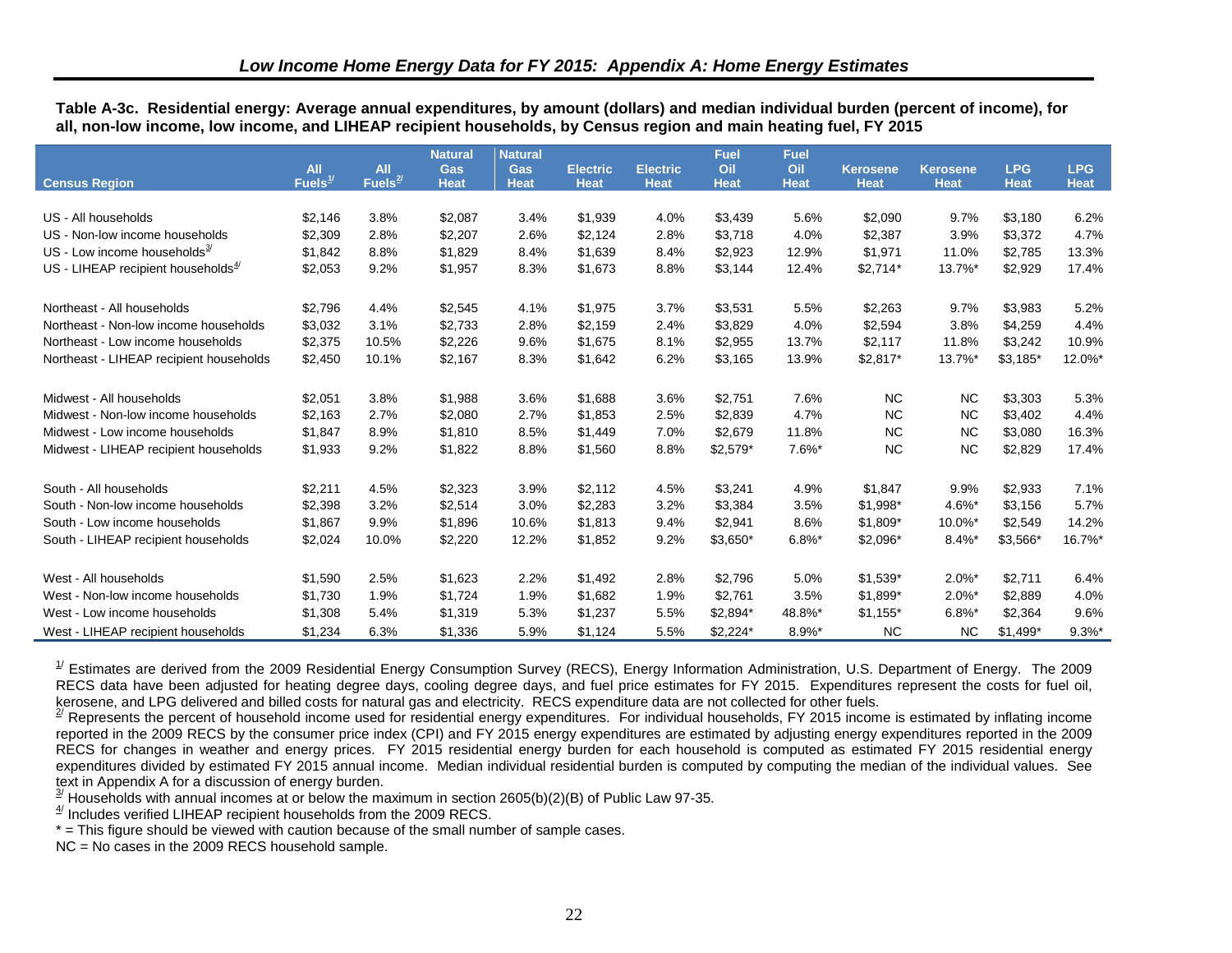<span id="page-31-6"></span><span id="page-31-5"></span><span id="page-31-4"></span><span id="page-31-3"></span><span id="page-31-2"></span><span id="page-31-1"></span><span id="page-31-0"></span>

| Table A-3c.  Residential energy: Average annual expenditures, by amount (dollars) and median individual burden (percent of income), for |  |  |  |  |
|-----------------------------------------------------------------------------------------------------------------------------------------|--|--|--|--|
| all, non-low income, low income, and LIHEAP recipient households, by Census region and main heating fuel, FY 2015                       |  |  |  |  |

|                                          |                                   | All       | <b>Natural</b>            | <b>Natural</b>            |                                |                                | <b>Fuel</b><br>Oil | <b>Fuel</b>        |                                |                                | <b>LPG</b>  | <b>LPG</b>  |
|------------------------------------------|-----------------------------------|-----------|---------------------------|---------------------------|--------------------------------|--------------------------------|--------------------|--------------------|--------------------------------|--------------------------------|-------------|-------------|
| <b>Census Region</b>                     | <b>All</b><br>Fuels $\frac{1}{2}$ | Fuels $2$ | <b>Gas</b><br><b>Heat</b> | <b>Gas</b><br><b>Heat</b> | <b>Electric</b><br><b>Heat</b> | <b>Electric</b><br><b>Heat</b> | <b>Heat</b>        | Oil<br><b>Heat</b> | <b>Kerosene</b><br><b>Heat</b> | <b>Kerosene</b><br><b>Heat</b> | <b>Heat</b> | <b>Heat</b> |
|                                          |                                   |           |                           |                           |                                |                                |                    |                    |                                |                                |             |             |
| US - All households                      | \$2,146                           | 3.8%      | \$2,087                   | 3.4%                      | \$1,939                        | 4.0%                           | \$3,439            | 5.6%               | \$2,090                        | 9.7%                           | \$3,180     | 6.2%        |
| US - Non-low income households           | \$2,309                           | 2.8%      | \$2,207                   | 2.6%                      | \$2,124                        | 2.8%                           | \$3,718            | 4.0%               | \$2,387                        | 3.9%                           | \$3,372     | 4.7%        |
| US - Low income households $\frac{3}{2}$ | \$1,842                           | 8.8%      | \$1,829                   | 8.4%                      | \$1,639                        | 8.4%                           | \$2,923            | 12.9%              | \$1,971                        | 11.0%                          | \$2,785     | 13.3%       |
| US - LIHEAP recipient households $4$     | \$2,053                           | 9.2%      | \$1,957                   | 8.3%                      | \$1,673                        | 8.8%                           | \$3,144            | 12.4%              | $$2,714*$                      | 13.7%*                         | \$2,929     | 17.4%       |
| Northeast - All households               | \$2,796                           | 4.4%      | \$2,545                   | 4.1%                      | \$1,975                        | 3.7%                           | \$3,531            | 5.5%               | \$2,263                        | 9.7%                           | \$3,983     | 5.2%        |
| Northeast - Non-low income households    | \$3,032                           | 3.1%      | \$2,733                   | 2.8%                      | \$2,159                        | 2.4%                           | \$3,829            | 4.0%               | \$2,594                        | 3.8%                           | \$4,259     | 4.4%        |
| Northeast - Low income households        | \$2,375                           | 10.5%     | \$2,226                   | 9.6%                      | \$1,675                        | 8.1%                           | \$2,955            | 13.7%              | \$2,117                        | 11.8%                          | \$3,242     | 10.9%       |
| Northeast - LIHEAP recipient households  | \$2,450                           | 10.1%     | \$2,167                   | 8.3%                      | \$1,642                        | 6.2%                           | \$3,165            | 13.9%              | $$2,817$ *                     | 13.7%*                         | $$3,185$ *  | 12.0%*      |
| Midwest - All households                 | \$2,051                           | 3.8%      | \$1,988                   | 3.6%                      | \$1,688                        | 3.6%                           | \$2,751            | 7.6%               | <b>NC</b>                      | <b>NC</b>                      | \$3,303     | 5.3%        |
| Midwest - Non-low income households      | \$2,163                           | 2.7%      | \$2,080                   | 2.7%                      | \$1,853                        | 2.5%                           | \$2,839            | 4.7%               | <b>NC</b>                      | <b>NC</b>                      | \$3,402     | 4.4%        |
| Midwest - Low income households          | \$1,847                           | 8.9%      | \$1,810                   | 8.5%                      | \$1,449                        | 7.0%                           | \$2,679            | 11.8%              | <b>NC</b>                      | <b>NC</b>                      | \$3,080     | 16.3%       |
| Midwest - LIHEAP recipient households    | \$1,933                           | 9.2%      | \$1,822                   | 8.8%                      | \$1,560                        | 8.8%                           | $$2,579$ *         | $7.6\%$ *          | <b>NC</b>                      | <b>NC</b>                      | \$2,829     | 17.4%       |
| South - All households                   | \$2,211                           | 4.5%      | \$2,323                   | 3.9%                      | \$2,112                        | 4.5%                           | \$3,241            | 4.9%               | \$1,847                        | 9.9%                           | \$2,933     | 7.1%        |
| South - Non-low income households        | \$2,398                           | 3.2%      | \$2,514                   | 3.0%                      | \$2,283                        | 3.2%                           | \$3,384            | 3.5%               | \$1,998*                       | 4.6%*                          | \$3,156     | 5.7%        |
| South - Low income households            | \$1,867                           | 9.9%      | \$1,896                   | 10.6%                     | \$1,813                        | 9.4%                           | \$2,941            | 8.6%               | \$1,809*                       | 10.0%*                         | \$2,549     | 14.2%       |
| South - LIHEAP recipient households      | \$2,024                           | 10.0%     | \$2,220                   | 12.2%                     | \$1,852                        | 9.2%                           | $$3,650*$          | $6.8\%$ *          | $$2,096*$                      | $8.4\%$ *                      | \$3,566*    | 16.7%*      |
| West - All households                    | \$1,590                           | 2.5%      | \$1,623                   | 2.2%                      | \$1,492                        | 2.8%                           | \$2,796            | 5.0%               | $$1,539*$                      | $2.0\%$ *                      | \$2,711     | 6.4%        |
| West - Non-low income households         | \$1,730                           | 1.9%      | \$1,724                   | 1.9%                      | \$1,682                        | 1.9%                           | \$2,761            | 3.5%               | \$1,899*                       | $2.0\%$ *                      | \$2,889     | 4.0%        |
| West - Low income households             | \$1,308                           | 5.4%      | \$1,319                   | 5.3%                      | \$1,237                        | 5.5%                           | $$2,894*$          | 48.8%*             | $$1,155*$                      | $6.8\%$ *                      | \$2,364     | 9.6%        |
| West - LIHEAP recipient households       | \$1,234                           | 6.3%      | \$1,336                   | 5.9%                      | \$1,124                        | 5.5%                           | $$2,224$ *         | $8.9\%$ *          | <b>NC</b>                      | NC.                            | $$1,499*$   | $9.3%$ *    |

 $1/2$  Estimates are derived from the 2009 Residential Energy Consumption Survey (RECS), Energy Information Administration, U.S. Department of Energy. The 2009 RECS data have been adjusted for heating degree days, cooling degree days, and fuel price estimates for FY 2015. Expenditures represent the costs for fuel oil, kerosene, and LPG delivered and billed costs for natural gas and electricity. RECS expenditure data are not collected for other fuels.

 $2^{7}$  Represents the percent of household income used for residential energy expenditures. For individual households, FY 2015 income is estimated by inflating income reported in the 2009 RECS by the consumer price index (CPI) and FY 2015 energy expenditures are estimated by adjusting energy expenditures reported in the 2009 RECS for changes in weather and energy prices. FY 2015 residential energy burden for each household is computed as estimated FY 2015 residential energy expenditures divided by estimated FY 2015 annual income. Median individual residential burden is computed by computing the median of the individual values. See text in Appendix A for a discussion of energy burden.

 $\frac{3}{2}$  Households with annual incomes at or below the maximum in section 2605(b)(2)(B) of Public Law 97-35.

 $4$ <sup> $4$ </sup> Includes verified LIHEAP recipient households from the 2009 RECS.

\* = This figure should be viewed with caution because of the small number of sample cases.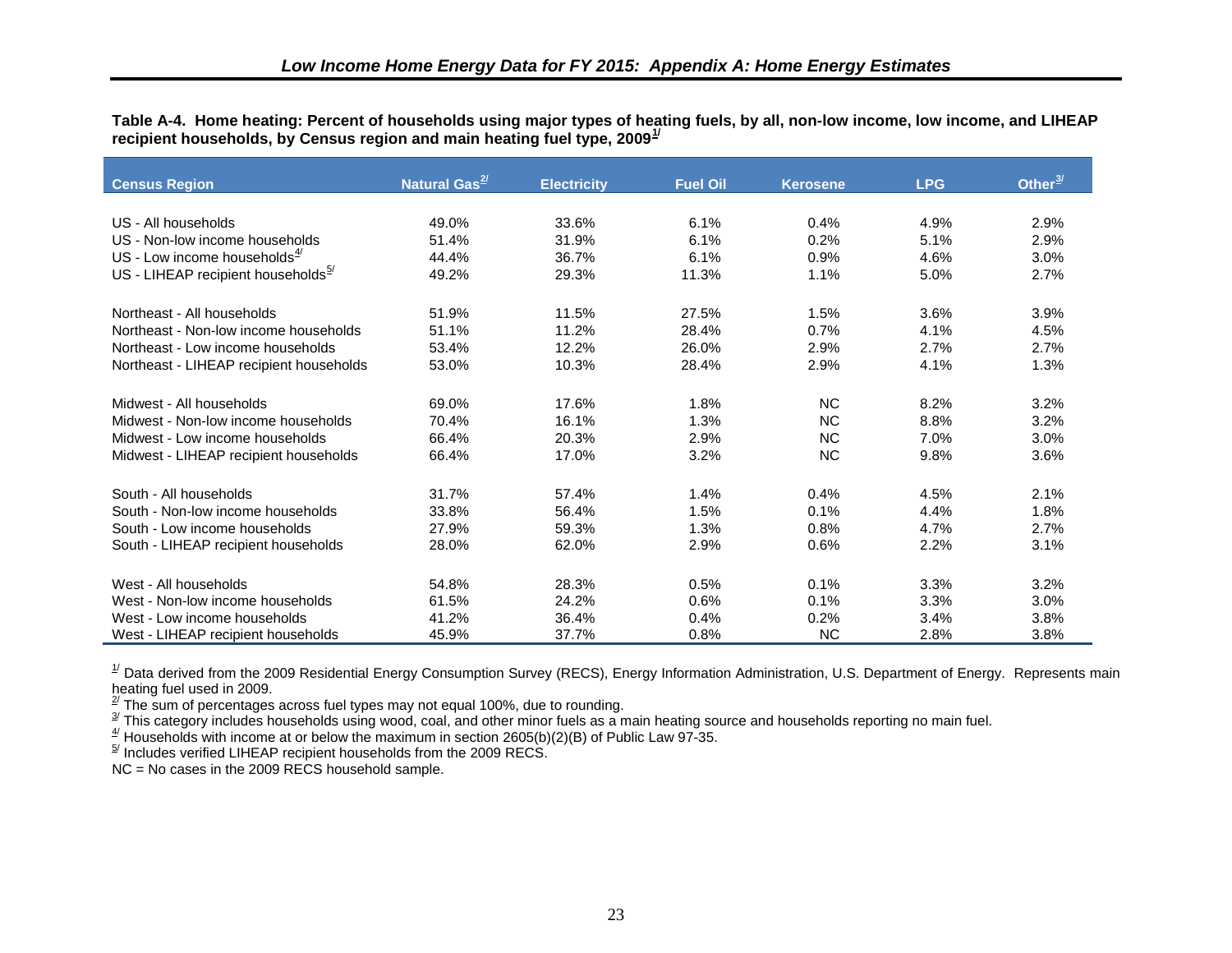<span id="page-32-0"></span>**Table A-4. Home heating: Percent of households using major types of heating fuels, by all, non-low income, low income, and LIHEAP recipient households, by Census region and main heating fuel type, 2009[1/](#page-43-1)** 

| <b>Census Region</b>                     | Natural Gas <sup>2/</sup> | <b>Electricity</b> | <b>Fuel Oil</b> | <b>Kerosene</b> | <b>LPG</b> | Other $\frac{3}{2}$ |
|------------------------------------------|---------------------------|--------------------|-----------------|-----------------|------------|---------------------|
|                                          |                           |                    |                 |                 |            |                     |
| US - All households                      | 49.0%                     | 33.6%              | 6.1%            | 0.4%            | 4.9%       | 2.9%                |
| US - Non-low income households           | 51.4%                     | 31.9%              | 6.1%            | 0.2%            | 5.1%       | 2.9%                |
| US - Low income households $\frac{4}{3}$ | 44.4%                     | 36.7%              | 6.1%            | 0.9%            | 4.6%       | 3.0%                |
| US - LIHEAP recipient households $5$     | 49.2%                     | 29.3%              | 11.3%           | 1.1%            | 5.0%       | 2.7%                |
| Northeast - All households               | 51.9%                     | 11.5%              | 27.5%           | 1.5%            | 3.6%       | 3.9%                |
| Northeast - Non-low income households    | 51.1%                     | 11.2%              | 28.4%           | 0.7%            | 4.1%       | 4.5%                |
| Northeast - Low income households        | 53.4%                     | 12.2%              | 26.0%           | 2.9%            | 2.7%       | 2.7%                |
| Northeast - LIHEAP recipient households  | 53.0%                     | 10.3%              | 28.4%           | 2.9%            | 4.1%       | 1.3%                |
| Midwest - All households                 | 69.0%                     | 17.6%              | 1.8%            | <b>NC</b>       | 8.2%       | 3.2%                |
| Midwest - Non-low income households      | 70.4%                     | 16.1%              | 1.3%            | <b>NC</b>       | 8.8%       | 3.2%                |
| Midwest - Low income households          | 66.4%                     | 20.3%              | 2.9%            | <b>NC</b>       | 7.0%       | 3.0%                |
| Midwest - LIHEAP recipient households    | 66.4%                     | 17.0%              | 3.2%            | <b>NC</b>       | 9.8%       | 3.6%                |
| South - All households                   | 31.7%                     | 57.4%              | 1.4%            | 0.4%            | 4.5%       | 2.1%                |
| South - Non-low income households        | 33.8%                     | 56.4%              | 1.5%            | 0.1%            | 4.4%       | 1.8%                |
| South - Low income households            | 27.9%                     | 59.3%              | 1.3%            | 0.8%            | 4.7%       | 2.7%                |
| South - LIHEAP recipient households      | 28.0%                     | 62.0%              | 2.9%            | 0.6%            | 2.2%       | 3.1%                |
| West - All households                    | 54.8%                     | 28.3%              | 0.5%            | 0.1%            | 3.3%       | 3.2%                |
| West - Non-low income households         | 61.5%                     | 24.2%              | 0.6%            | 0.1%            | 3.3%       | 3.0%                |
| West - Low income households             | 41.2%                     | 36.4%              | 0.4%            | 0.2%            | 3.4%       | 3.8%                |
| West - LIHEAP recipient households       | 45.9%                     | 37.7%              | 0.8%            | <b>NC</b>       | 2.8%       | 3.8%                |

 $^{1/2}$  Data derived from the 2009 Residential Energy Consumption Survey (RECS), Energy Information Administration, U.S. Department of Energy. Represents main

heating fuel used in 2009.<br><sup>2/</sup> The sum of percentages across fuel types may not equal 100%, due to rounding.<br><sup>3/</sup> This category includes households using wood, coal, and other minor fuels as a main heating source and hous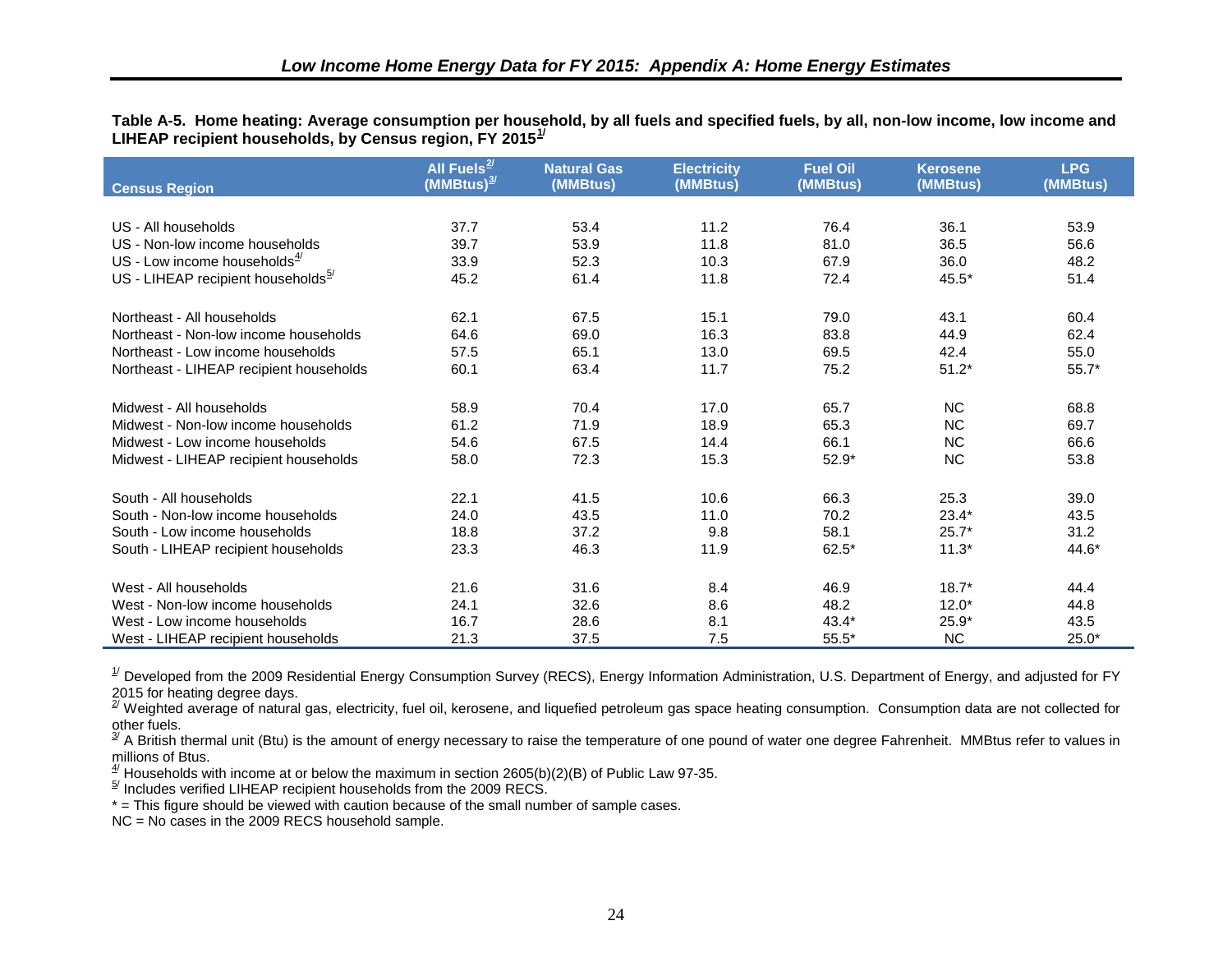<span id="page-33-0"></span>**Table A-5. Home heating: Average consumption per household, by all fuels and specified fuels, by all, non-low income, low income and LIHEAP recipient households, by Census region, FY 2015[1/](#page-44-0)** 

| <b>Census Region</b>                           | All Fuels $^{2\prime}$<br>$(MMBtus)^{3/2}$ | <b>Natural Gas</b><br>(MMBtus) | <b>Electricity</b><br>(MMBtus) | <b>Fuel Oil</b><br>(MMBtus) | <b>Kerosene</b><br>(MMBtus) | <b>LPG</b><br>(MMBtus) |
|------------------------------------------------|--------------------------------------------|--------------------------------|--------------------------------|-----------------------------|-----------------------------|------------------------|
|                                                |                                            |                                |                                |                             |                             |                        |
| US - All households                            | 37.7                                       | 53.4                           | 11.2                           | 76.4                        | 36.1                        | 53.9                   |
| US - Non-low income households                 | 39.7                                       | 53.9                           | 11.8                           | 81.0                        | 36.5                        | 56.6                   |
| US - Low income households $\frac{4}{3}$       | 33.9                                       | 52.3                           | 10.3                           | 67.9                        | 36.0                        | 48.2                   |
| US - LIHEAP recipient households $\frac{5}{2}$ | 45.2                                       | 61.4                           | 11.8                           | 72.4                        | $45.5*$                     | 51.4                   |
| Northeast - All households                     | 62.1                                       | 67.5                           | 15.1                           | 79.0                        | 43.1                        | 60.4                   |
| Northeast - Non-low income households          | 64.6                                       | 69.0                           | 16.3                           | 83.8                        | 44.9                        | 62.4                   |
| Northeast - Low income households              | 57.5                                       | 65.1                           | 13.0                           | 69.5                        | 42.4                        | 55.0                   |
| Northeast - LIHEAP recipient households        | 60.1                                       | 63.4                           | 11.7                           | 75.2                        | $51.2*$                     | $55.7*$                |
| Midwest - All households                       | 58.9                                       | 70.4                           | 17.0                           | 65.7                        | <b>NC</b>                   | 68.8                   |
| Midwest - Non-low income households            | 61.2                                       | 71.9                           | 18.9                           | 65.3                        | <b>NC</b>                   | 69.7                   |
| Midwest - Low income households                | 54.6                                       | 67.5                           | 14.4                           | 66.1                        | <b>NC</b>                   | 66.6                   |
| Midwest - LIHEAP recipient households          | 58.0                                       | 72.3                           | 15.3                           | $52.9*$                     | NC                          | 53.8                   |
| South - All households                         | 22.1                                       | 41.5                           | 10.6                           | 66.3                        | 25.3                        | 39.0                   |
| South - Non-low income households              | 24.0                                       | 43.5                           | 11.0                           | 70.2                        | $23.4*$                     | 43.5                   |
| South - Low income households                  | 18.8                                       | 37.2                           | 9.8                            | 58.1                        | $25.7*$                     | 31.2                   |
| South - LIHEAP recipient households            | 23.3                                       | 46.3                           | 11.9                           | $62.5*$                     | $11.3*$                     | 44.6*                  |
| West - All households                          | 21.6                                       | 31.6                           | 8.4                            | 46.9                        | $18.7*$                     | 44.4                   |
| West - Non-low income households               | 24.1                                       | 32.6                           | 8.6                            | 48.2                        | $12.0*$                     | 44.8                   |
| West - Low income households                   | 16.7                                       | 28.6                           | 8.1                            | $43.4*$                     | $25.9*$                     | 43.5                   |
| West - LIHEAP recipient households             | 21.3                                       | 37.5                           | 7.5                            | $55.5*$                     | <b>NC</b>                   | $25.0*$                |

 $^{1/}$  Developed from the 2009 Residential Energy Consumption Survey (RECS), Energy Information Administration, U.S. Department of Energy, and adjusted for FY

2015 for heating degree days.<br><sup>2/</sup> Weighted average of natural gas, electricity, fuel oil, kerosene, and liquefied petroleum gas space heating consumption. Consumption data are not collected for other fuels.

 $^{\text{\tiny 3\!\!\!\!\!\!\times}}$  A British thermal unit (Btu) is the amount of energy necessary to raise the temperature of one pound of water one degree Fahrenheit. MMBtus refer to values in millions of Btus.

 $\frac{4}{5}$  Households with income at or below the maximum in section 2605(b)(2)(B) of Public Law 97-35.

 $5^{\prime}$  Includes verified LIHEAP recipient households from the 2009 RECS.

\* = This figure should be viewed with caution because of the small number of sample cases.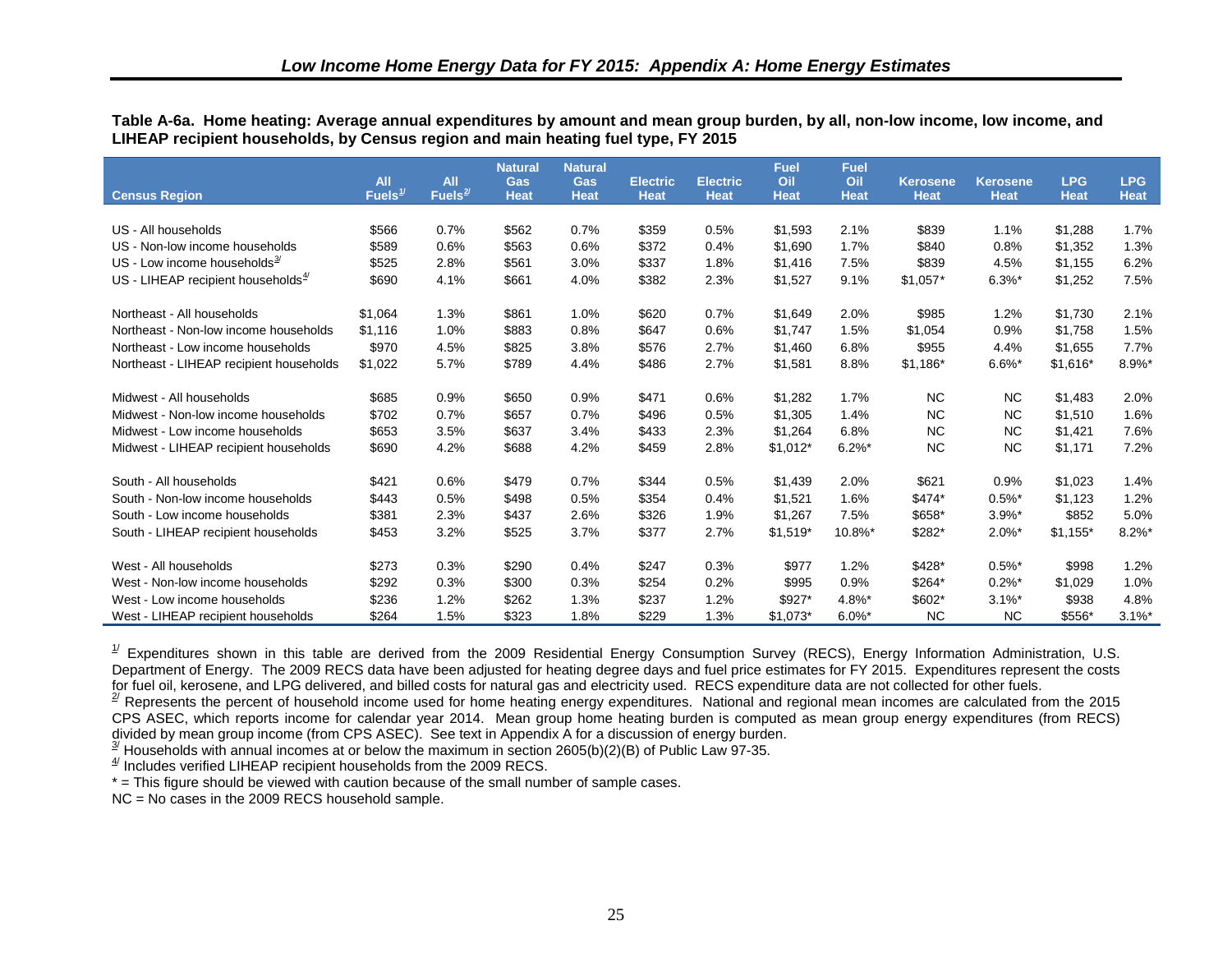<span id="page-34-0"></span>**Table A-6a. Home heating: Average annual expenditures by amount and mean group burden, by all, non-low income, low income, and LIHEAP recipient households, by Census region and main heating fuel type, FY 2015**

|                                          | <b>All</b>          | All        | <b>Natural</b>            | <b>Natural</b>            |                                | <b>Electric</b> | <b>Fuel</b><br>Oil | <b>Fuel</b><br>Oil |                                | <b>Kerosene</b>      | <b>LPG</b>  | <b>LPG</b>  |
|------------------------------------------|---------------------|------------|---------------------------|---------------------------|--------------------------------|-----------------|--------------------|--------------------|--------------------------------|----------------------|-------------|-------------|
| <b>Census Region</b>                     | Fuels $\frac{1}{2}$ | Fuels $2/$ | <b>Gas</b><br><b>Heat</b> | <b>Gas</b><br><b>Heat</b> | <b>Electric</b><br><b>Heat</b> | <b>Heat</b>     | <b>Heat</b>        | <b>Heat</b>        | <b>Kerosene</b><br><b>Heat</b> | <b>Heat</b>          | <b>Heat</b> | <b>Heat</b> |
|                                          |                     |            |                           |                           |                                |                 |                    |                    |                                |                      |             |             |
| US - All households                      | \$566               | 0.7%       | \$562                     | 0.7%                      | \$359                          | 0.5%            | \$1,593            | 2.1%               | \$839                          | 1.1%                 | \$1,288     | 1.7%        |
| US - Non-low income households           | \$589               | 0.6%       | \$563                     | 0.6%                      | \$372                          | 0.4%            | \$1,690            | 1.7%               | \$840                          | 0.8%                 | \$1,352     | 1.3%        |
| US - Low income households $\frac{3}{2}$ | \$525               | 2.8%       | \$561                     | 3.0%                      | \$337                          | 1.8%            | \$1,416            | 7.5%               | \$839                          | 4.5%                 | \$1,155     | 6.2%        |
| US - LIHEAP recipient households $4$     | \$690               | 4.1%       | \$661                     | 4.0%                      | \$382                          | 2.3%            | \$1,527            | 9.1%               | $$1,057*$                      | $6.3\%$ *            | \$1,252     | 7.5%        |
| Northeast - All households               | \$1,064             | 1.3%       | \$861                     | 1.0%                      | \$620                          | 0.7%            | \$1,649            | 2.0%               | \$985                          | 1.2%                 | \$1,730     | 2.1%        |
| Northeast - Non-low income households    | \$1,116             | 1.0%       | \$883                     | 0.8%                      | \$647                          | 0.6%            | \$1,747            | 1.5%               | \$1,054                        | 0.9%                 | \$1,758     | 1.5%        |
| Northeast - Low income households        | \$970               | 4.5%       | \$825                     | 3.8%                      | \$576                          | 2.7%            | \$1,460            | 6.8%               | \$955                          | 4.4%                 | \$1,655     | 7.7%        |
| Northeast - LIHEAP recipient households  | \$1,022             | 5.7%       | \$789                     | 4.4%                      | \$486                          | 2.7%            | \$1,581            | 8.8%               | $$1,186*$                      | $6.6\%$ *            | $$1,616*$   | 8.9%*       |
| Midwest - All households                 | \$685               | 0.9%       | \$650                     | 0.9%                      | \$471                          | 0.6%            | \$1,282            | 1.7%               | <b>NC</b>                      | NC                   | \$1,483     | 2.0%        |
| Midwest - Non-low income households      | \$702               | 0.7%       | \$657                     | 0.7%                      | \$496                          | 0.5%            | \$1,305            | 1.4%               | <b>NC</b>                      | <b>NC</b>            | \$1,510     | 1.6%        |
| Midwest - Low income households          | \$653               | 3.5%       | \$637                     | 3.4%                      | \$433                          | 2.3%            | \$1,264            | 6.8%               | <b>NC</b>                      | <b>NC</b>            | \$1,421     | 7.6%        |
| Midwest - LIHEAP recipient households    | \$690               | 4.2%       | \$688                     | 4.2%                      | \$459                          | 2.8%            | $$1,012*$          | $6.2\%$ *          | <b>NC</b>                      | <b>NC</b>            | \$1,171     | 7.2%        |
| South - All households                   | \$421               | 0.6%       | \$479                     | 0.7%                      | \$344                          | 0.5%            | \$1,439            | 2.0%               | \$621                          | 0.9%                 | \$1,023     | 1.4%        |
| South - Non-low income households        | \$443               | 0.5%       | \$498                     | 0.5%                      | \$354                          | 0.4%            | \$1,521            | 1.6%               | \$474*                         | $0.5\%$ *            | \$1,123     | 1.2%        |
| South - Low income households            | \$381               | 2.3%       | \$437                     | 2.6%                      | \$326                          | 1.9%            | \$1,267            | 7.5%               | \$658*                         | $3.9%$ *             | \$852       | 5.0%        |
| South - LIHEAP recipient households      | \$453               | 3.2%       | \$525                     | 3.7%                      | \$377                          | 2.7%            | $$1,519*$          | 10.8%*             | \$282*                         | $2.0\%$ *            | $$1,155*$   | $8.2\%$ *   |
| West - All households                    | \$273               | 0.3%       | \$290                     | 0.4%                      | \$247                          | 0.3%            | \$977              | 1.2%               | \$428*                         | $0.5\%$ <sup>*</sup> | \$998       | 1.2%        |
| West - Non-low income households         | \$292               | 0.3%       | \$300                     | 0.3%                      | \$254                          | 0.2%            | \$995              | 0.9%               | \$264*                         | $0.2\%$ <sup>*</sup> | \$1,029     | 1.0%        |
| West - Low income households             | \$236               | 1.2%       | \$262                     | 1.3%                      | \$237                          | 1.2%            | \$927*             | 4.8%*              | \$602*                         | $3.1\%$ *            | \$938       | 4.8%        |
| West - LIHEAP recipient households       | \$264               | 1.5%       | \$323                     | 1.8%                      | \$229                          | 1.3%            | $$1,073*$          | $6.0\%$ *          | <b>NC</b>                      | <b>NC</b>            | \$556*      | $3.1\%$ *   |

 $\frac{1}{2}$  Expenditures shown in this table are derived from the 2009 Residential Energy Consumption Survey (RECS), Energy Information Administration, U.S. Department of Energy. The 2009 RECS data have been adjusted for heating degree days and fuel price estimates for FY 2015. Expenditures represent the costs for fuel oil, kerosene, and LPG delivered, and billed costs for natural gas and electricity used. RECS expenditure data are not collected for other fuels.

 $2^{2}$  Represents the percent of household income used for home heating energy expenditures. National and regional mean incomes are calculated from the 2015 CPS ASEC, which reports income for calendar year 2014. Mean group home heating burden is computed as mean group energy expenditures (from RECS) divided by mean group income (from CPS ASEC). See text in Appendix A for a discussion of energy burden.

 $\frac{3}{2}$  Households with annual incomes at or below the maximum in section 2605(b)(2)(B) of Public Law 97-35.

 $4$ <sup> $4$ </sup> Includes verified LIHEAP recipient households from the 2009 RECS.

\* = This figure should be viewed with caution because of the small number of sample cases.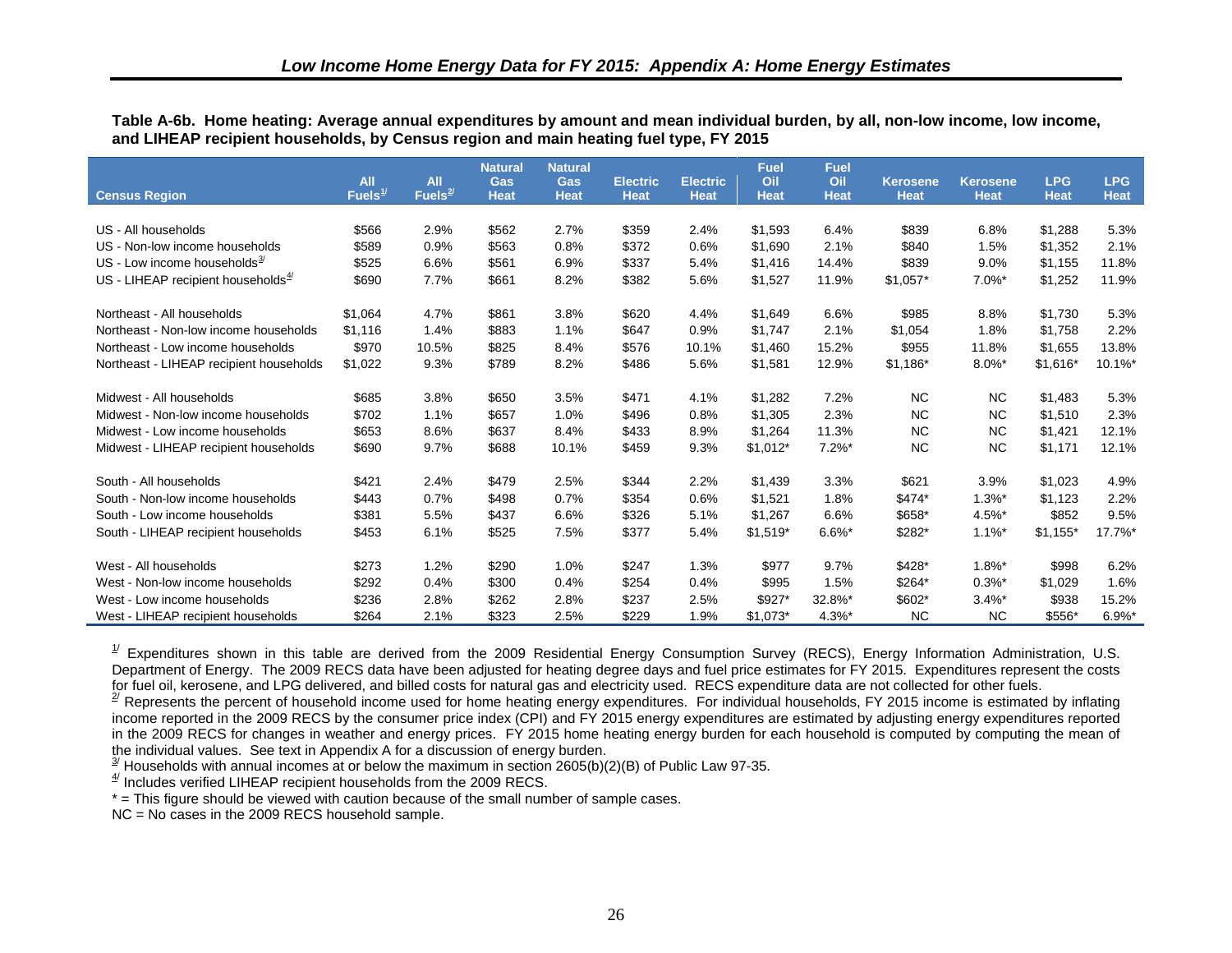<span id="page-35-0"></span>**Table A-6b. Home heating: Average annual expenditures by amount and mean individual burden, by all, non-low income, low income, and LIHEAP recipient households, by Census region and main heating fuel type, FY 2015**

|                                          | <b>All</b>          | <b>All</b> | <b>Natural</b><br>Gas | <b>Natural</b><br>Gas | <b>Electric</b> | <b>Electric</b> | <b>Fuel</b><br>Oil | <b>Fuel</b><br>Oil | <b>Kerosene</b> | <b>Kerosene</b>      | <b>LPG</b>  | <b>LPG</b>  |
|------------------------------------------|---------------------|------------|-----------------------|-----------------------|-----------------|-----------------|--------------------|--------------------|-----------------|----------------------|-------------|-------------|
| <b>Census Region</b>                     | Fuels $\frac{1}{2}$ | Fuels $2/$ | <b>Heat</b>           | <b>Heat</b>           | <b>Heat</b>     | <b>Heat</b>     | <b>Heat</b>        | <b>Heat</b>        | <b>Heat</b>     | <b>Heat</b>          | <b>Heat</b> | <b>Heat</b> |
| US - All households                      | \$566               | 2.9%       | \$562                 | 2.7%                  | \$359           | 2.4%            | \$1,593            | 6.4%               | \$839           | 6.8%                 | \$1,288     | 5.3%        |
| US - Non-low income households           | \$589               | 0.9%       | \$563                 | 0.8%                  | \$372           | 0.6%            | \$1.690            | 2.1%               | \$840           | 1.5%                 | \$1,352     | 2.1%        |
| US - Low income households $\frac{3}{2}$ | \$525               | 6.6%       | \$561                 | 6.9%                  | \$337           | 5.4%            | \$1,416            | 14.4%              | \$839           | 9.0%                 | \$1,155     | 11.8%       |
|                                          |                     |            |                       |                       |                 |                 |                    |                    |                 |                      |             |             |
| US - LIHEAP recipient households $4$     | \$690               | 7.7%       | \$661                 | 8.2%                  | \$382           | 5.6%            | \$1,527            | 11.9%              | $$1,057*$       | $7.0\%$ *            | \$1,252     | 11.9%       |
| Northeast - All households               | \$1,064             | 4.7%       | \$861                 | 3.8%                  | \$620           | 4.4%            | \$1,649            | 6.6%               | \$985           | 8.8%                 | \$1,730     | 5.3%        |
| Northeast - Non-low income households    | \$1,116             | 1.4%       | \$883                 | 1.1%                  | \$647           | 0.9%            | \$1,747            | 2.1%               | \$1,054         | 1.8%                 | \$1,758     | 2.2%        |
| Northeast - Low income households        | \$970               | 10.5%      | \$825                 | 8.4%                  | \$576           | 10.1%           | \$1,460            | 15.2%              | \$955           | 11.8%                | \$1,655     | 13.8%       |
| Northeast - LIHEAP recipient households  | \$1,022             | 9.3%       | \$789                 | 8.2%                  | \$486           | 5.6%            | \$1,581            | 12.9%              | \$1,186*        | $8.0\%$ *            | $$1,616*$   | 10.1%*      |
|                                          |                     |            |                       |                       |                 |                 |                    |                    |                 |                      |             |             |
| Midwest - All households                 | \$685               | 3.8%       | \$650                 | 3.5%                  | \$471           | 4.1%            | \$1,282            | 7.2%               | NC.             | NC.                  | \$1,483     | 5.3%        |
| Midwest - Non-low income households      | \$702               | 1.1%       | \$657                 | 1.0%                  | \$496           | 0.8%            | \$1,305            | 2.3%               | <b>NC</b>       | <b>NC</b>            | \$1,510     | 2.3%        |
| Midwest - Low income households          | \$653               | 8.6%       | \$637                 | 8.4%                  | \$433           | 8.9%            | \$1,264            | 11.3%              | <b>NC</b>       | <b>NC</b>            | \$1,421     | 12.1%       |
| Midwest - LIHEAP recipient households    | \$690               | 9.7%       | \$688                 | 10.1%                 | \$459           | 9.3%            | $$1,012*$          | $7.2\%$ *          | <b>NC</b>       | <b>NC</b>            | \$1,171     | 12.1%       |
| South - All households                   | \$421               | 2.4%       | \$479                 | 2.5%                  | \$344           | 2.2%            | \$1,439            | 3.3%               | \$621           | 3.9%                 | \$1,023     | 4.9%        |
| South - Non-low income households        | \$443               | 0.7%       | \$498                 | 0.7%                  | \$354           | 0.6%            | \$1,521            | 1.8%               | \$474*          | $1.3\%$ <sup>*</sup> | \$1,123     | 2.2%        |
| South - Low income households            | \$381               | 5.5%       | \$437                 | 6.6%                  | \$326           | 5.1%            | \$1,267            | 6.6%               | \$658*          | 4.5%*                | \$852       | 9.5%        |
| South - LIHEAP recipient households      | \$453               | 6.1%       | \$525                 | 7.5%                  | \$377           | 5.4%            | $$1,519*$          | $6.6\%$ *          | \$282*          | $1.1\%$ *            | $$1,155*$   | 17.7%*      |
|                                          |                     |            |                       |                       |                 |                 |                    |                    |                 |                      |             |             |
| West - All households                    | \$273               | 1.2%       | \$290                 | 1.0%                  | \$247           | 1.3%            | \$977              | 9.7%               | \$428*          | $1.8\%$ <sup>*</sup> | \$998       | 6.2%        |
| West - Non-low income households         | \$292               | 0.4%       | \$300                 | 0.4%                  | \$254           | 0.4%            | \$995              | 1.5%               | \$264*          | $0.3\%$ *            | \$1,029     | 1.6%        |
| West - Low income households             | \$236               | 2.8%       | \$262                 | 2.8%                  | \$237           | 2.5%            | \$927*             | 32.8%*             | \$602*          | $3.4\%$ *            | \$938       | 15.2%       |
| West - LIHEAP recipient households       | \$264               | 2.1%       | \$323                 | 2.5%                  | \$229           | 1.9%            | $$1,073$ *         | 4.3%*              | <b>NC</b>       | <b>NC</b>            | \$556*      | $6.9%$ *    |

 $1/2$  Expenditures shown in this table are derived from the 2009 Residential Energy Consumption Survey (RECS), Energy Information Administration, U.S. Department of Energy. The 2009 RECS data have been adjusted for heating degree days and fuel price estimates for FY 2015. Expenditures represent the costs for fuel oil, kerosene, and LPG delivered, and billed costs for natural gas and electricity used. RECS expenditure data are not collected for other fuels.

 $2^{2}$  Represents the percent of household income used for home heating energy expenditures. For individual households, FY 2015 income is estimated by inflating income reported in the 2009 RECS by the consumer price index (CPI) and FY 2015 energy expenditures are estimated by adjusting energy expenditures reported in the 2009 RECS for changes in weather and energy prices. FY 2015 home heating energy burden for each household is computed by computing the mean of the individual values. See text in Appendix A for a discussion of energy burden.

 $\frac{3}{2}$  Households with annual incomes at or below the maximum in section 2605(b)(2)(B) of Public Law 97-35.

 $4$ <sup> $4$ </sup> Includes verified LIHEAP recipient households from the 2009 RECS.

\* = This figure should be viewed with caution because of the small number of sample cases.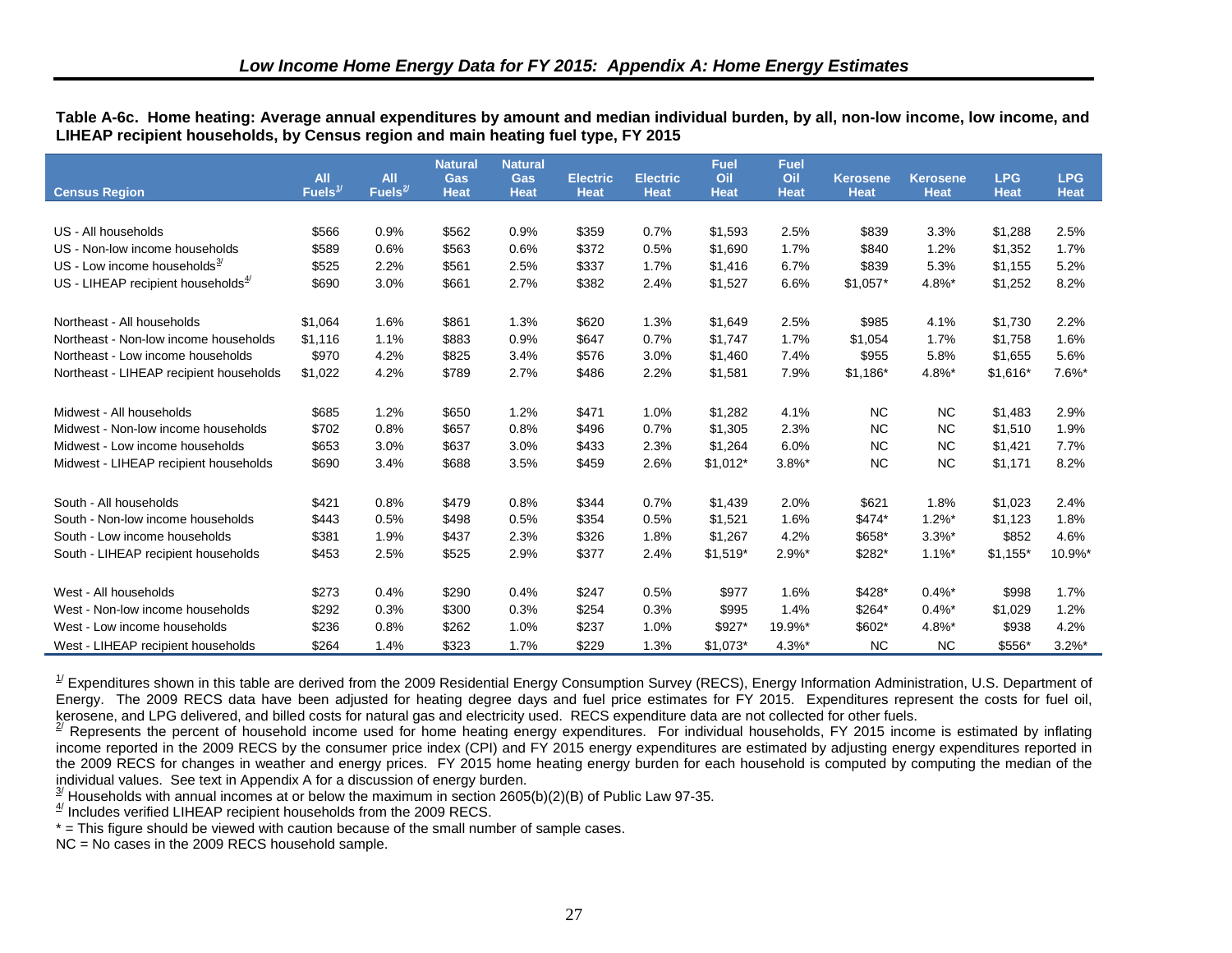<span id="page-36-6"></span><span id="page-36-5"></span><span id="page-36-4"></span><span id="page-36-3"></span><span id="page-36-2"></span><span id="page-36-1"></span><span id="page-36-0"></span>**Table A-6c. Home heating: Average annual expenditures by amount and median individual burden, by all, non-low income, low income, and LIHEAP recipient households, by Census region and main heating fuel type, FY 2015**

|                                          | <b>All</b>          | <b>All</b>          | <b>Natural</b><br>Gas | <b>Natural</b><br><b>Gas</b> | <b>Electric</b> | <b>Electric</b> | <b>Fuel</b><br>Oil | <b>Fuel</b><br>Oil | <b>Kerosene</b> | <b>Kerosene</b> | <b>LPG</b>  | <b>LPG</b>  |
|------------------------------------------|---------------------|---------------------|-----------------------|------------------------------|-----------------|-----------------|--------------------|--------------------|-----------------|-----------------|-------------|-------------|
| <b>Census Region</b>                     | Fuels $\frac{1}{2}$ | Fuels $\frac{2}{3}$ | <b>Heat</b>           | <b>Heat</b>                  | <b>Heat</b>     | <b>Heat</b>     | <b>Heat</b>        | <b>Heat</b>        | <b>Heat</b>     | <b>Heat</b>     | <b>Heat</b> | <b>Heat</b> |
|                                          |                     |                     |                       |                              |                 |                 |                    |                    |                 |                 |             |             |
| US - All households                      | \$566               | 0.9%                | \$562                 | 0.9%                         | \$359           | 0.7%            | \$1,593            | 2.5%               | \$839           | 3.3%            | \$1,288     | 2.5%        |
| US - Non-low income households           | \$589               | 0.6%                | \$563                 | 0.6%                         | \$372           | 0.5%            | \$1,690            | 1.7%               | \$840           | 1.2%            | \$1,352     | 1.7%        |
| US - Low income households $\frac{3}{2}$ | \$525               | 2.2%                | \$561                 | 2.5%                         | \$337           | 1.7%            | \$1,416            | 6.7%               | \$839           | 5.3%            | \$1,155     | 5.2%        |
| US - LIHEAP recipient households $4$     | \$690               | 3.0%                | \$661                 | 2.7%                         | \$382           | 2.4%            | \$1,527            | 6.6%               | $$1,057*$       | 4.8%*           | \$1,252     | 8.2%        |
| Northeast - All households               | \$1,064             | 1.6%                | \$861                 | 1.3%                         | \$620           | 1.3%            | \$1,649            | 2.5%               | \$985           | 4.1%            | \$1,730     | 2.2%        |
| Northeast - Non-low income households    | \$1,116             | 1.1%                | \$883                 | 0.9%                         | \$647           | 0.7%            | \$1.747            | 1.7%               | \$1,054         | 1.7%            | \$1,758     | 1.6%        |
| Northeast - Low income households        | \$970               | 4.2%                | \$825                 | 3.4%                         | \$576           | 3.0%            | \$1,460            | 7.4%               | \$955           | 5.8%            | \$1,655     | 5.6%        |
| Northeast - LIHEAP recipient households  | \$1,022             | 4.2%                | \$789                 | 2.7%                         | \$486           | 2.2%            | \$1,581            | 7.9%               | $$1,186*$       | 4.8%*           | $$1,616*$   | 7.6%*       |
|                                          |                     |                     |                       |                              |                 |                 |                    |                    |                 |                 |             |             |
| Midwest - All households                 | \$685               | 1.2%                | \$650                 | 1.2%                         | \$471           | 1.0%            | \$1,282            | 4.1%               | <b>NC</b>       | <b>NC</b>       | \$1,483     | 2.9%        |
| Midwest - Non-low income households      | \$702               | 0.8%                | \$657                 | 0.8%                         | \$496           | 0.7%            | \$1,305            | 2.3%               | <b>NC</b>       | <b>NC</b>       | \$1,510     | 1.9%        |
| Midwest - Low income households          | \$653               | 3.0%                | \$637                 | 3.0%                         | \$433           | 2.3%            | \$1,264            | 6.0%               | <b>NC</b>       | <b>NC</b>       | \$1,421     | 7.7%        |
| Midwest - LIHEAP recipient households    | \$690               | 3.4%                | \$688                 | 3.5%                         | \$459           | 2.6%            | $$1,012*$          | $3.8\%$ *          | <b>NC</b>       | <b>NC</b>       | \$1,171     | 8.2%        |
| South - All households                   | \$421               | 0.8%                | \$479                 | 0.8%                         | \$344           | 0.7%            | \$1,439            | 2.0%               | \$621           | 1.8%            | \$1,023     | 2.4%        |
| South - Non-low income households        | \$443               | 0.5%                | \$498                 | 0.5%                         | \$354           | 0.5%            | \$1,521            | 1.6%               | \$474*          | $1.2\%$ *       | \$1,123     | 1.8%        |
| South - Low income households            | \$381               | 1.9%                | \$437                 | 2.3%                         | \$326           | 1.8%            | \$1,267            | 4.2%               | \$658*          | $3.3%$ *        | \$852       | 4.6%        |
| South - LIHEAP recipient households      | \$453               | 2.5%                | \$525                 | 2.9%                         | \$377           | 2.4%            | $$1,519*$          | $2.9\%$ *          | \$282*          | $1.1\%$ *       | $$1,155$ *  | 10.9%*      |
|                                          |                     |                     |                       |                              |                 |                 |                    |                    |                 |                 |             |             |
| West - All households                    | \$273               | 0.4%                | \$290                 | 0.4%                         | \$247           | 0.5%            | \$977              | 1.6%               | \$428*          | $0.4\%$ *       | \$998       | 1.7%        |
| West - Non-low income households         | \$292               | 0.3%                | \$300                 | 0.3%                         | \$254           | 0.3%            | \$995              | 1.4%               | \$264*          | $0.4\%$ *       | \$1,029     | 1.2%        |
| West - Low income households             | \$236               | 0.8%                | \$262                 | 1.0%                         | \$237           | 1.0%            | \$927*             | 19.9%*             | \$602*          | 4.8%*           | \$938       | 4.2%        |
| West - LIHEAP recipient households       | \$264               | 1.4%                | \$323                 | 1.7%                         | \$229           | 1.3%            | $$1.073*$          | $4.3\%$ *          | <b>NC</b>       | <b>NC</b>       | \$556*      | $3.2\%$ *   |

 $^{1/}$  Expenditures shown in this table are derived from the 2009 Residential Energy Consumption Survey (RECS), Energy Information Administration, U.S. Department of Energy. The 2009 RECS data have been adjusted for heating degree days and fuel price estimates for FY 2015. Expenditures represent the costs for fuel oil, kerosene, and LPG delivered, and billed costs for natural gas and electricity used. RECS expenditure data are not collected for other fuels.

 $2^{2}$  Represents the percent of household income used for home heating energy expenditures. For individual households, FY 2015 income is estimated by inflating income reported in the 2009 RECS by the consumer price index (CPI) and FY 2015 energy expenditures are estimated by adjusting energy expenditures reported in the 2009 RECS for changes in weather and energy prices. FY 2015 home heating energy burden for each household is computed by computing the median of the individual values. See text in Appendix A for a discussion of energy burden.

 $\frac{3}{2}$  Households with annual incomes at or below the maximum in section 2605(b)(2)(B) of Public Law 97-35.

 $4$ <sup> $4$ </sup> Includes verified LIHEAP recipient households from the 2009 RECS.

\* = This figure should be viewed with caution because of the small number of sample cases.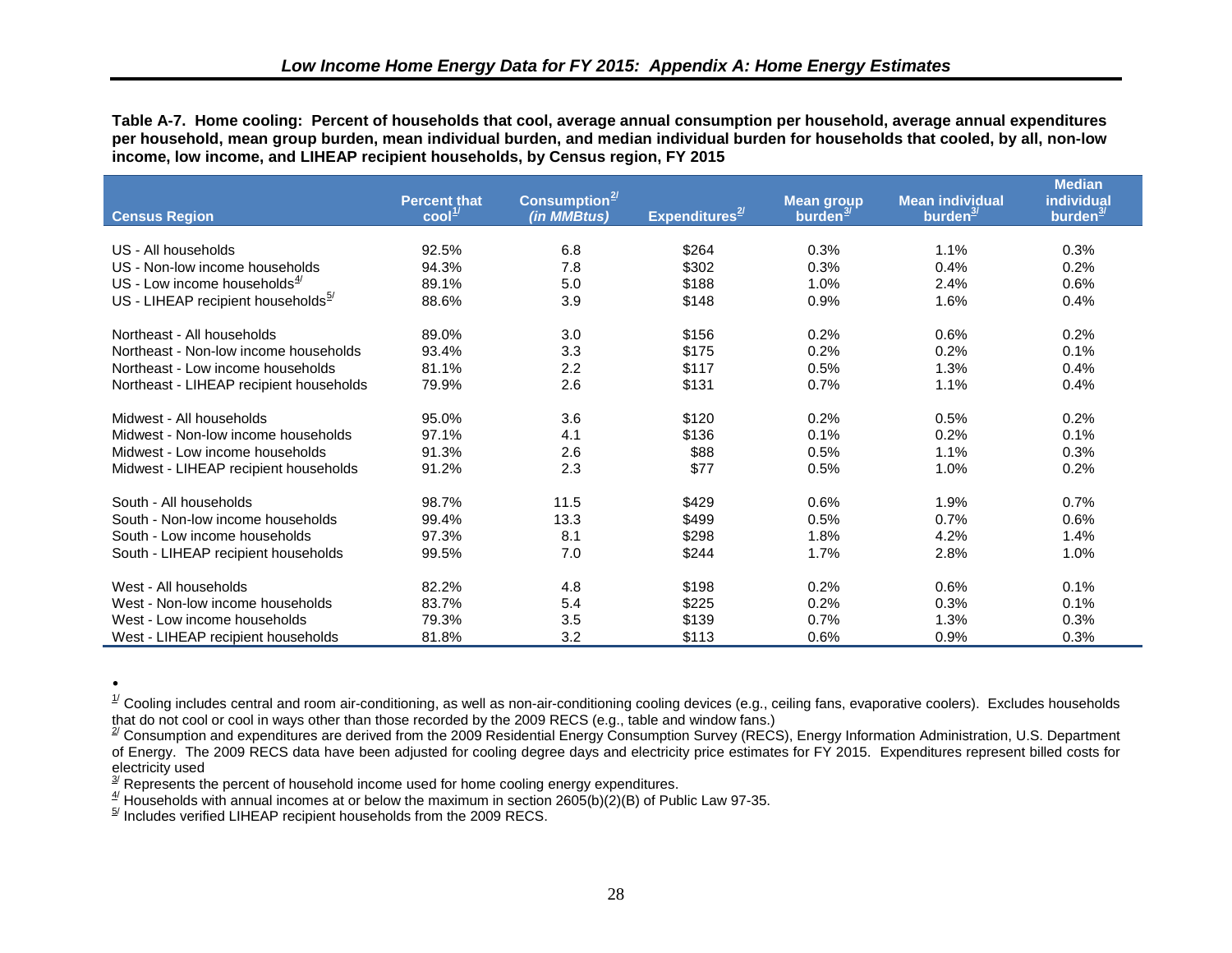<span id="page-37-7"></span><span id="page-37-6"></span><span id="page-37-5"></span><span id="page-37-4"></span><span id="page-37-3"></span><span id="page-37-0"></span>**Table A-7. Home cooling: Percent of households that cool, average annual consumption per household, average annual expenditures per household, mean group burden, mean individual burden, and median individual burden for households that cooled, by all, non-low income, low income, and LIHEAP recipient households, by Census region, FY 2015**

<span id="page-37-2"></span><span id="page-37-1"></span>

|                                          | <b>Percent that</b>                      | Consumption $2$ |                             | <b>Mean group</b>    | <b>Mean individual</b> | <b>Median</b><br>individual |
|------------------------------------------|------------------------------------------|-----------------|-----------------------------|----------------------|------------------------|-----------------------------|
| <b>Census Region</b>                     | $\overline{\text{cool}}^{\frac{1}{\nu}}$ | (in MMBtus)     | Expenditures <sup>2/1</sup> | burden $\frac{3}{2}$ | burden $\frac{3}{2}$   | burden $\frac{3}{2}$        |
|                                          |                                          |                 |                             |                      |                        |                             |
| US - All households                      | 92.5%                                    | 6.8             | \$264                       | 0.3%                 | 1.1%                   | 0.3%                        |
| US - Non-low income households           | 94.3%                                    | 7.8             | \$302                       | 0.3%                 | 0.4%                   | 0.2%                        |
| US - Low income households $\frac{4}{3}$ | 89.1%                                    | 5.0             | \$188                       | 1.0%                 | 2.4%                   | 0.6%                        |
| US - LIHEAP recipient households $5$     | 88.6%                                    | 3.9             | \$148                       | 0.9%                 | 1.6%                   | 0.4%                        |
| Northeast - All households               | 89.0%                                    | 3.0             | \$156                       | 0.2%                 | 0.6%                   | 0.2%                        |
| Northeast - Non-low income households    | 93.4%                                    | 3.3             | \$175                       | 0.2%                 | 0.2%                   | 0.1%                        |
| Northeast - Low income households        | 81.1%                                    | 2.2             | \$117                       | 0.5%                 | 1.3%                   | 0.4%                        |
| Northeast - LIHEAP recipient households  | 79.9%                                    | 2.6             | \$131                       | 0.7%                 | 1.1%                   | 0.4%                        |
| Midwest - All households                 | 95.0%                                    | 3.6             | \$120                       | 0.2%                 | 0.5%                   | 0.2%                        |
| Midwest - Non-low income households      | 97.1%                                    | 4.1             | \$136                       | 0.1%                 | 0.2%                   | 0.1%                        |
| Midwest - Low income households          | 91.3%                                    | 2.6             | \$88                        | 0.5%                 | 1.1%                   | 0.3%                        |
| Midwest - LIHEAP recipient households    | 91.2%                                    | 2.3             | \$77                        | 0.5%                 | 1.0%                   | 0.2%                        |
| South - All households                   | 98.7%                                    | 11.5            | \$429                       | 0.6%                 | 1.9%                   | 0.7%                        |
| South - Non-low income households        | 99.4%                                    | 13.3            | \$499                       | 0.5%                 | 0.7%                   | 0.6%                        |
| South - Low income households            | 97.3%                                    | 8.1             | \$298                       | 1.8%                 | 4.2%                   | 1.4%                        |
| South - LIHEAP recipient households      | 99.5%                                    | 7.0             | \$244                       | 1.7%                 | 2.8%                   | 1.0%                        |
| West - All households                    | 82.2%                                    | 4.8             | \$198                       | 0.2%                 | 0.6%                   | 0.1%                        |
| West - Non-low income households         | 83.7%                                    | 5.4             | \$225                       | 0.2%                 | 0.3%                   | 0.1%                        |
| West - Low income households             | 79.3%                                    | 3.5             | \$139                       | 0.7%                 | 1.3%                   | 0.3%                        |
| West - LIHEAP recipient households       | 81.8%                                    | 3.2             | \$113                       | 0.6%                 | 0.9%                   | 0.3%                        |

**.**

 $^{\text{\tiny\it 1}}$  Cooling includes central and room air-conditioning, as well as non-air-conditioning cooling devices (e.g., ceiling fans, evaporative coolers). Excludes households that do not cool or cool in ways other than those recorded by the 2009 RECS (e.g., table and window fans.)

 $^{27}$  Consumption and expenditures are derived from the 2009 Residential Energy Consumption Survey (RECS), Energy Information Administration, U.S. Department of Energy. The 2009 RECS data have been adjusted for cooling degree days and electricity price estimates for FY 2015. Expenditures represent billed costs for electricity used

 $\frac{3}{2}$  Represents the percent of household income used for home cooling energy expenditures.

 $\frac{4}{1}$  Households with annual incomes at or below the maximum in section 2605(b)(2)(B) of Public Law 97-35.

 $5$ <sup>I</sup> Includes verified LIHEAP recipient households from the 2009 RECS.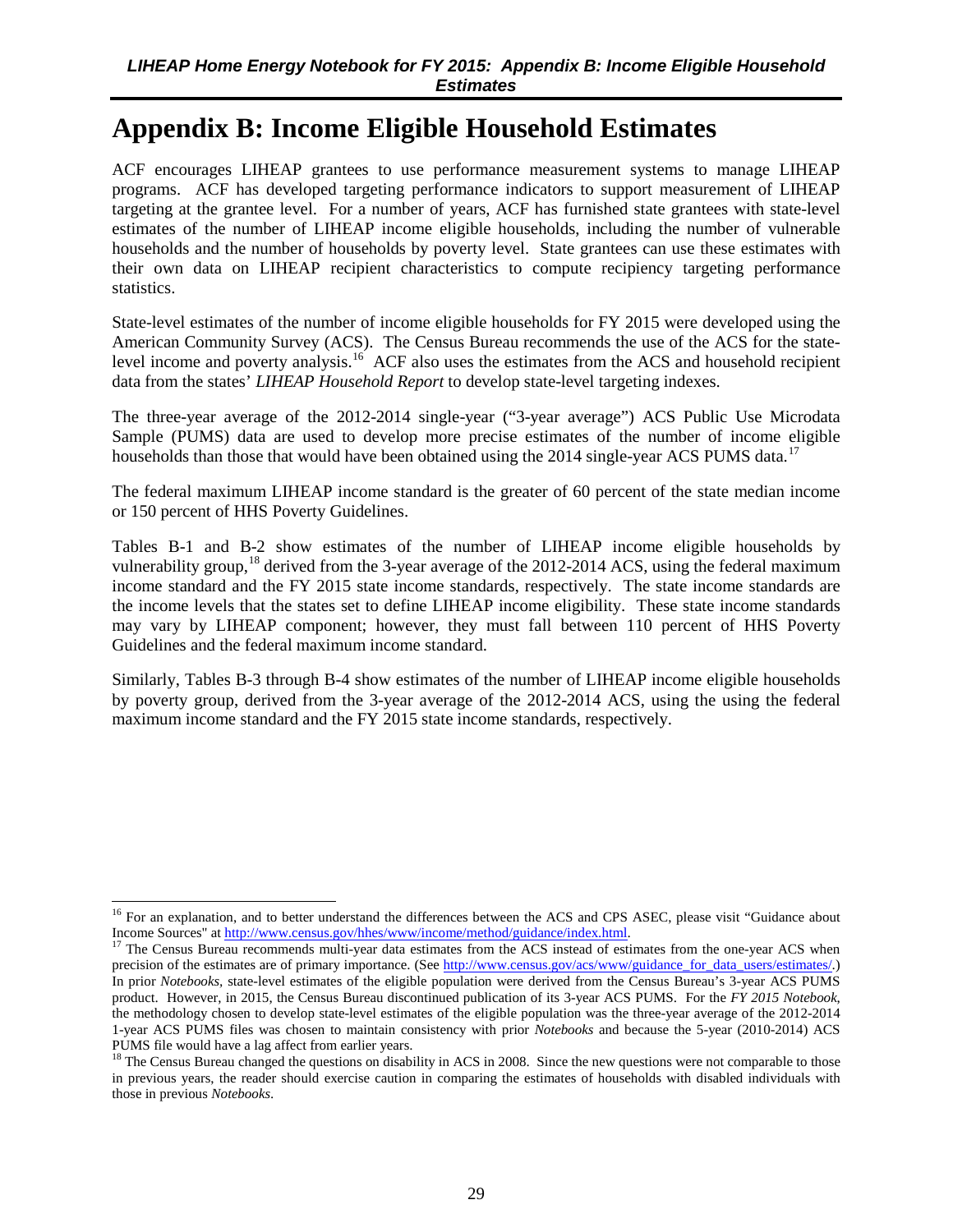## <span id="page-38-7"></span><span id="page-38-6"></span><span id="page-38-5"></span><span id="page-38-4"></span><span id="page-38-3"></span><span id="page-38-2"></span><span id="page-38-1"></span><span id="page-38-0"></span>**Appendix B: Income Eligible Household Estimates**

ACF encourages LIHEAP grantees to use performance measurement systems to manage LIHEAP programs. ACF has developed targeting performance indicators to support measurement of LIHEAP targeting at the grantee level. For a number of years, ACF has furnished state grantees with state-level estimates of the number of LIHEAP income eligible households, including the number of vulnerable households and the number of households by poverty level. State grantees can use these estimates with their own data on LIHEAP recipient characteristics to compute recipiency targeting performance statistics.

State-level estimates of the number of income eligible households for FY 2015 were developed using the American Community Survey (ACS). The Census Bureau recommends the use of the ACS for the state-level income and poverty analysis.<sup>[16](#page-38-8)</sup> ACF also uses the estimates from the ACS and household recipient data from the states' *LIHEAP Household Report* to develop state-level targeting indexes.

The three-year average of the 2012-2014 single-year ("3-year average") ACS Public Use Microdata Sample (PUMS) data are used to develop more precise estimates of the number of income eligible households than those that would have been obtained using the 2014 single-year ACS PUMS data.<sup>[17](#page-38-9)</sup>

The federal maximum LIHEAP income standard is the greater of 60 percent of the state median income or 150 percent of HHS Poverty Guidelines.

Tables B-1 and B-2 show estimates of the number of LIHEAP income eligible households by vulnerability group,<sup>[18](#page-38-10)</sup> derived from the 3-year average of the 2012-2014 ACS, using the federal maximum income standard and the FY 2015 state income standards, respectively. The state income standards are the income levels that the states set to define LIHEAP income eligibility. These state income standards may vary by LIHEAP component; however, they must fall between 110 percent of HHS Poverty Guidelines and the federal maximum income standard.

Similarly, Tables B-3 through B-4 show estimates of the number of LIHEAP income eligible households by poverty group, derived from the 3-year average of the 2012-2014 ACS, using the using the federal maximum income standard and the FY 2015 state income standards, respectively.

 $\overline{a}$ 

<span id="page-38-8"></span><sup>&</sup>lt;sup>16</sup> For an explanation, and to better understand the differences between the ACS and CPS ASEC, please visit "Guidance about Income Sources" a[t http://www.census.gov/hhes/www/income/method/guidance/index.html.](http://www.census.gov/hhes/www/income/method/guidance/index.html)<br><sup>17</sup> The Census Burgau recommends multi-year data extincts from the AGC in the Census

<span id="page-38-9"></span><sup>17</sup> The Census Bureau recommends multi-year data estimates from the ACS instead of estimates from the one-year ACS when precision of the estimates are of primary importance. (See [http://www.census.gov/acs/www/guidance\\_for\\_data\\_users/estimates/.\)](http://www.census.gov/acs/www/guidance_for_data_users/estimates/) In prior *Notebooks,* state-level estimates of the eligible population were derived from the Census Bureau's 3-year ACS PUMS product. However, in 2015, the Census Bureau discontinued publication of its 3-year ACS PUMS. For the *FY 2015 Notebook*, the methodology chosen to develop state-level estimates of the eligible population was the three-year average of the 2012-2014 1-year ACS PUMS files was chosen to maintain consistency with prior *Notebooks* and because the 5-year (2010-2014) ACS PUMS file would have a lag affect from earlier years.

<span id="page-38-10"></span> $18$  The Census Bureau changed the questions on disability in ACS in 2008. Since the new questions were not comparable to those in previous years, the reader should exercise caution in comparing the estimates of households with disabled individuals with those in previous *Notebooks*.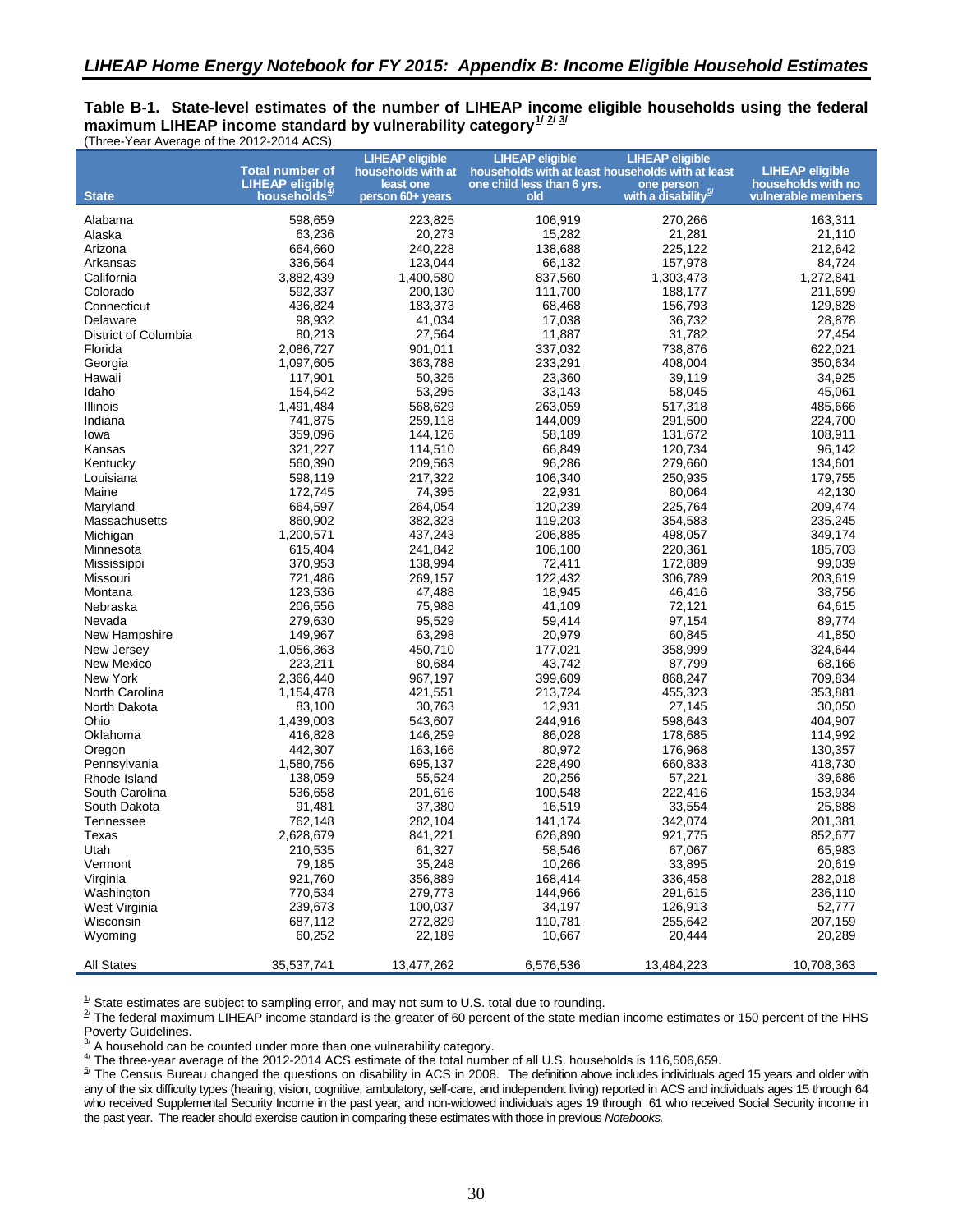#### <span id="page-39-0"></span>**Table B-1. State-level estimates of the number of LIHEAP income eligible households using the federal** maximum LIHEAP income standard by vulnerability category $\frac{1}{2}$  $\frac{1}{2}$  $\frac{1}{2}$ (Three-Year Average of the 2012-2014 ACS)

|                                | <b>Total number of</b>  | <b>LIHEAP eligible</b><br>households with at | <b>LIHEAP eligible</b><br>households with at least households with at least | <b>LIHEAP eligible</b>          | <b>LIHEAP eligible</b> |
|--------------------------------|-------------------------|----------------------------------------------|-----------------------------------------------------------------------------|---------------------------------|------------------------|
|                                | <b>LIHEAP eligible</b>  | least one                                    | one child less than 6 yrs.                                                  | one person                      | households with no     |
| <b>State</b>                   | households <del>"</del> | person 60+ years                             | old                                                                         | with a disability <sup>5/</sup> | vulnerable members     |
|                                |                         |                                              |                                                                             |                                 |                        |
| Alabama                        | 598,659                 | 223,825                                      | 106,919                                                                     | 270,266                         | 163,311                |
| Alaska                         | 63,236                  | 20,273                                       | 15,282                                                                      | 21,281                          | 21,110                 |
| Arizona                        | 664,660                 | 240,228                                      | 138,688                                                                     | 225,122                         | 212,642                |
| Arkansas                       | 336,564                 | 123,044                                      | 66,132<br>837,560                                                           | 157,978                         | 84,724                 |
| California                     | 3,882,439<br>592,337    | 1,400,580                                    | 111,700                                                                     | 1,303,473<br>188,177            | 1,272,841<br>211,699   |
| Colorado<br>Connecticut        | 436,824                 | 200,130<br>183,373                           | 68,468                                                                      |                                 | 129,828                |
| Delaware                       | 98,932                  | 41,034                                       | 17,038                                                                      | 156,793<br>36,732               | 28,878                 |
| District of Columbia           | 80,213                  | 27,564                                       | 11,887                                                                      | 31,782                          | 27,454                 |
| Florida                        | 2,086,727               | 901,011                                      | 337,032                                                                     | 738,876                         | 622,021                |
| Georgia                        | 1,097,605               | 363,788                                      | 233,291                                                                     | 408,004                         | 350,634                |
| Hawaii                         | 117,901                 | 50,325                                       | 23,360                                                                      | 39,119                          | 34,925                 |
| Idaho                          | 154,542                 | 53,295                                       | 33,143                                                                      | 58,045                          | 45,061                 |
| Illinois                       | 1,491,484               | 568,629                                      | 263,059                                                                     | 517,318                         | 485,666                |
| Indiana                        | 741,875                 | 259,118                                      | 144,009                                                                     | 291,500                         | 224,700                |
| lowa                           | 359,096                 | 144,126                                      | 58,189                                                                      | 131,672                         | 108,911                |
| Kansas                         | 321,227                 | 114,510                                      | 66,849                                                                      | 120,734                         | 96,142                 |
|                                | 560,390                 | 209,563                                      | 96,286                                                                      | 279,660                         | 134,601                |
| Kentucky<br>Louisiana          | 598,119                 | 217,322                                      | 106,340                                                                     | 250,935                         | 179,755                |
|                                | 172,745                 | 74,395                                       | 22,931                                                                      |                                 | 42,130                 |
| Maine                          | 664,597                 | 264,054                                      | 120,239                                                                     | 80,064<br>225,764               | 209,474                |
| Maryland<br>Massachusetts      | 860,902                 | 382,323                                      | 119,203                                                                     | 354,583                         | 235,245                |
|                                |                         |                                              |                                                                             |                                 |                        |
| Michigan                       | 1,200,571<br>615,404    | 437,243<br>241,842                           | 206,885                                                                     | 498,057<br>220,361              | 349,174                |
| Minnesota                      | 370.953                 |                                              | 106,100<br>72.411                                                           |                                 | 185,703                |
| Mississippi                    |                         | 138,994<br>269,157                           | 122,432                                                                     | 172,889<br>306,789              | 99,039<br>203,619      |
| Missouri                       | 721,486                 |                                              |                                                                             |                                 |                        |
| Montana                        | 123,536<br>206,556      | 47,488<br>75,988                             | 18,945<br>41,109                                                            | 46,416                          | 38,756<br>64,615       |
| Nebraska                       |                         |                                              |                                                                             | 72,121                          |                        |
| Nevada                         | 279,630                 | 95,529                                       | 59,414                                                                      | 97,154                          | 89,774                 |
| New Hampshire                  | 149,967                 | 63,298                                       | 20,979                                                                      | 60,845                          | 41,850                 |
| New Jersey                     | 1,056,363               | 450,710                                      | 177,021                                                                     | 358,999                         | 324,644                |
| New Mexico                     | 223,211                 | 80,684                                       | 43,742                                                                      | 87,799                          | 68,166                 |
| New York                       | 2,366,440               | 967,197                                      | 399,609                                                                     | 868,247                         | 709,834                |
| North Carolina                 | 1,154,478               | 421,551                                      | 213,724                                                                     | 455,323                         | 353,881                |
| North Dakota                   | 83,100                  | 30,763                                       | 12,931                                                                      | 27,145                          | 30,050                 |
| Ohio<br>Oklahoma               | 1,439,003<br>416,828    | 543,607<br>146,259                           | 244,916<br>86,028                                                           | 598,643                         | 404,907                |
|                                | 442,307                 | 163,166                                      | 80,972                                                                      | 178,685<br>176,968              | 114,992                |
| Oregon                         | 1,580,756               | 695,137                                      | 228,490                                                                     |                                 | 130,357<br>418,730     |
| Pennsylvania                   |                         |                                              |                                                                             | 660,833                         |                        |
| Rhode Island                   | 138,059<br>536,658      | 55,524<br>201,616                            | 20,256<br>100,548                                                           | 57,221                          | 39,686                 |
| South Carolina<br>South Dakota |                         |                                              |                                                                             | 222,416<br>33,554               | 153,934<br>25,888      |
|                                | 91,481<br>762,148       | 37,380<br>282,104                            | 16,519<br>141,174                                                           | 342,074                         | 201,381                |
| Tennessee<br>Texas             | 2,628,679               | 841,221                                      |                                                                             |                                 | 852,677                |
|                                |                         |                                              | 626,890                                                                     | 921,775                         |                        |
| Utah                           | 210,535                 | 61,327                                       | 58,546                                                                      | 67,067                          | 65,983                 |
| Vermont                        | 79,185                  | 35,248<br>356,889                            | 10,266<br>168,414                                                           | 33,895                          | 20,619                 |
| Virginia                       | 921,760<br>770,534      |                                              |                                                                             | 336,458                         | 282,018<br>236,110     |
| Washington                     |                         | 279,773                                      | 144,966                                                                     | 291,615<br>126,913              |                        |
| West Virginia<br>Wisconsin     | 239,673                 | 100,037<br>272,829                           | 34,197<br>110,781                                                           |                                 | 52,777<br>207,159      |
|                                | 687,112                 |                                              |                                                                             | 255,642                         |                        |
| Wyoming                        | 60,252                  | 22,189                                       | 10,667                                                                      | 20,444                          | 20,289                 |
| <b>All States</b>              | 35,537,741              | 13,477,262                                   | 6,576,536                                                                   | 13,484,223                      | 10,708,363             |

<span id="page-39-1"></span> $\frac{1}{2}$  State estimates are subject to sampling error, and may not sum to U.S. total due to rounding.

<span id="page-39-2"></span> $^{\rm 2}$  The federal maximum LIHEAP income standard is the greater of 60 percent of the state median income estimates or 150 percent of the HHS Poverty Guidelines.

<span id="page-39-3"></span> $\frac{3}{2}$  A household can be counted under more than one vulnerability category.

<span id="page-39-4"></span> $\frac{4}{3}$  The three-year average of the 2012-2014 ACS estimate of the total number of all U.S. households is 116,506,659.

<span id="page-39-5"></span><sup>5/</sup> The Census Bureau changed the questions on disability in ACS in 2008. The definition above includes individuals aged 15 years and older with any of the six difficulty types (hearing, vision, cognitive, ambulatory, self-care, and independent living) reported in ACS and individuals ages 15 through 64 who received Supplemental Security Income in the past year, and non-widowed individuals ages 19 through 61 who received Social Security income in the past year. The reader should exercise caution in comparing these estimates with those in previous *Notebooks.*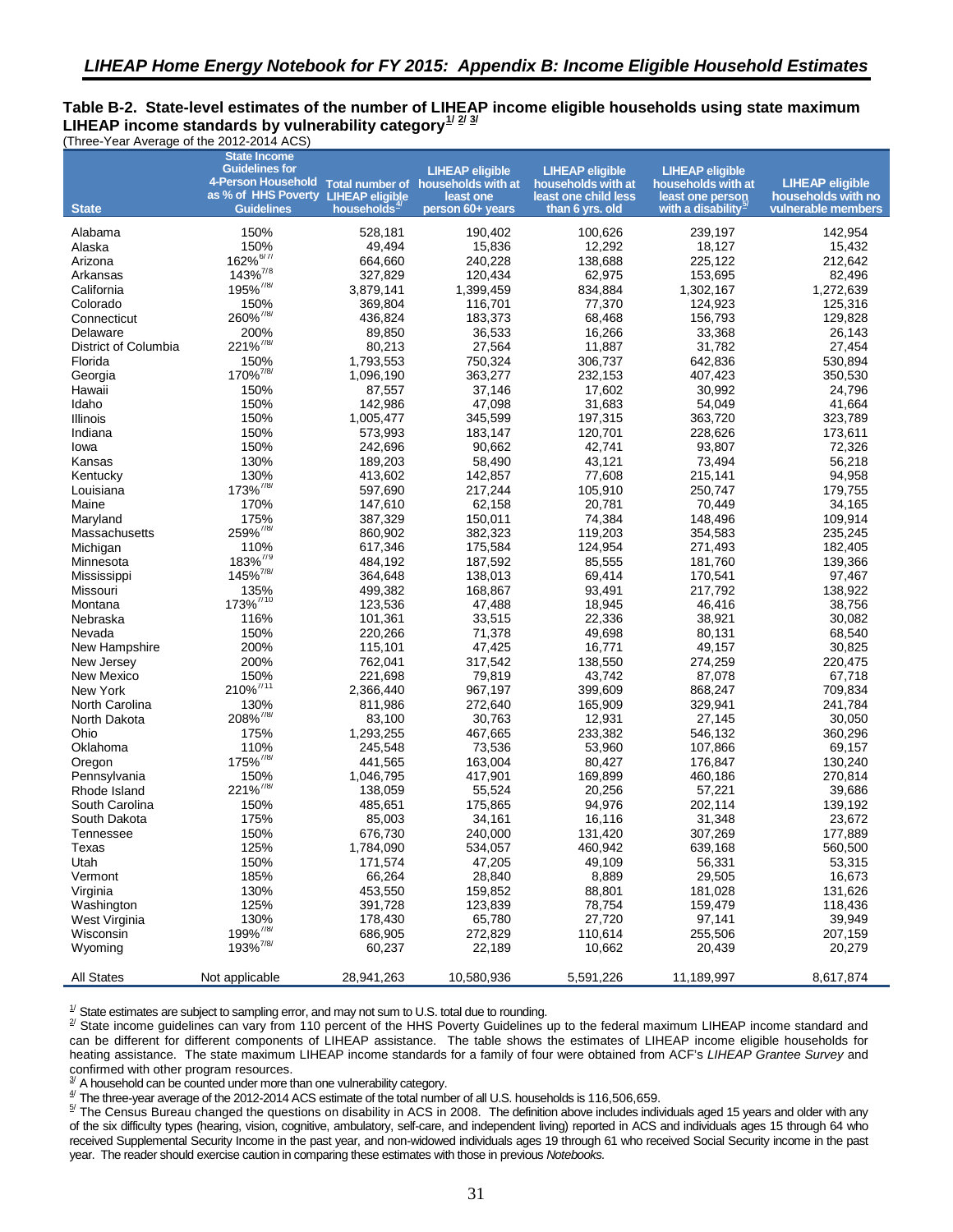#### <span id="page-40-0"></span>**Table B-2. State-level estimates of the number of LIHEAP income eligible households using state maximum LIHEAP income standards by vulnerability category[1](#page-44-14)/ [2/](#page-44-15) [3/](#page-44-16)**  (Three-Year Average of the 2012-2014 ACS)

<span id="page-40-2"></span><span id="page-40-1"></span>

|                      | <b>State Income</b><br><b>Guidelines for</b><br>4-Person Household Total number of households with at |                         | <b>LIHEAP eligible</b>        | <b>LIHEAP eligible</b><br>households with at | <b>LIHEAP eligible</b><br>households with at       | <b>LIHEAP eligible</b>                   |
|----------------------|-------------------------------------------------------------------------------------------------------|-------------------------|-------------------------------|----------------------------------------------|----------------------------------------------------|------------------------------------------|
| <b>State</b>         | as % of HHS Poverty LIHEAP eligible<br><b>Guidelines</b>                                              | households <sup>4</sup> | least one<br>person 60+ years | least one child less<br>than 6 yrs. old      | least one person<br>with a disability <sup>3</sup> | households with no<br>vulnerable members |
| Alabama              | 150%                                                                                                  | 528,181                 | 190,402                       | 100,626                                      | 239,197                                            | 142,954                                  |
| Alaska               | 150%                                                                                                  | 49,494                  | 15,836                        | 12,292                                       | 18,127                                             | 15,432                                   |
| Arizona              | 162% <sup>6/7/</sup>                                                                                  | 664,660                 | 240,228                       | 138,688                                      | 225,122                                            | 212,642                                  |
| Arkansas             | 143% <sup>7/8</sup>                                                                                   | 327,829                 | 120,434                       | 62,975                                       | 153,695                                            | 82,496                                   |
| California           | $195\%^{7/8/}$                                                                                        | 3,879,141               | 1,399,459                     | 834,884                                      | 1,302,167                                          | 1,272,639                                |
| Colorado             | 150%                                                                                                  | 369,804                 | 116,701                       | 77,370                                       | 124,923                                            | 125,316                                  |
| Connecticut          | 260% <sup>7/8/</sup>                                                                                  | 436,824                 | 183,373                       | 68,468                                       | 156,793                                            | 129,828                                  |
| Delaware             | 200%                                                                                                  | 89,850                  | 36,533                        | 16,266                                       | 33,368                                             | 26,143                                   |
| District of Columbia | 221% <sup>7/8/</sup>                                                                                  | 80,213                  | 27,564                        | 11,887                                       | 31.782                                             | 27,454                                   |
| Florida              | 150%                                                                                                  | 1,793,553               | 750,324                       | 306,737                                      | 642,836                                            | 530,894                                  |
| Georgia              | 170% <sup>7/8/</sup>                                                                                  | 1,096,190               | 363,277                       | 232,153                                      | 407,423                                            | 350,530                                  |
| Hawaii               | 150%                                                                                                  | 87,557                  | 37,146                        | 17,602                                       | 30,992                                             | 24,796                                   |
| Idaho                | 150%                                                                                                  | 142,986                 | 47,098                        | 31,683                                       | 54,049                                             | 41,664                                   |
| Illinois             | 150%                                                                                                  | 1,005,477               | 345,599                       | 197,315                                      | 363,720                                            | 323,789                                  |
| Indiana              | 150%                                                                                                  | 573,993                 | 183,147                       | 120,701                                      | 228,626                                            | 173,611                                  |
| lowa                 | 150%                                                                                                  | 242,696                 | 90,662                        | 42,741                                       | 93,807                                             | 72,326                                   |
| Kansas               | 130%                                                                                                  | 189,203                 | 58,490                        | 43,121                                       | 73,494                                             | 56,218                                   |
| Kentucky             | 130%                                                                                                  | 413,602                 | 142,857                       | 77,608                                       | 215,141                                            | 94,958                                   |
| Louisiana            | 173% <sup>7/8/</sup>                                                                                  | 597,690                 | 217,244                       | 105,910                                      | 250,747                                            | 179,755                                  |
| Maine                | 170%                                                                                                  | 147,610                 | 62,158                        | 20.781                                       | 70,449                                             | 34,165                                   |
| Maryland             | 175%                                                                                                  | 387,329                 | 150,011                       | 74,384                                       | 148,496                                            | 109,914                                  |
| Massachusetts        | 259% <sup>7/8/</sup>                                                                                  | 860,902                 | 382,323                       | 119,203                                      | 354,583                                            | 235,245                                  |
| Michigan             | 110%                                                                                                  | 617,346                 | 175,584                       | 124,954                                      | 271,493                                            | 182,405                                  |
| Minnesota            | 183% <sup>7/9</sup>                                                                                   | 484,192                 | 187,592                       | 85,555                                       | 181.760                                            | 139,366                                  |
| Mississippi          | $145\%^{7/8/}$                                                                                        | 364,648                 | 138,013                       | 69,414                                       | 170,541                                            | 97,467                                   |
| Missouri             | 135%                                                                                                  | 499,382                 | 168,867                       | 93,491                                       | 217,792                                            | 138,922                                  |
| Montana              | 173% <sup>7/10</sup>                                                                                  | 123,536                 | 47,488                        | 18,945                                       | 46,416                                             | 38,756                                   |
| Nebraska             | 116%                                                                                                  | 101,361                 | 33,515                        | 22,336                                       | 38,921                                             | 30,082                                   |
| Nevada               | 150%                                                                                                  | 220,266                 | 71,378                        | 49,698                                       | 80,131                                             | 68,540                                   |
| New Hampshire        | 200%                                                                                                  | 115,101                 | 47,425                        | 16,771                                       | 49,157                                             | 30,825                                   |
| New Jersey           | 200%                                                                                                  | 762,041                 | 317,542                       | 138,550                                      | 274,259                                            | 220,475                                  |
| New Mexico           | 150%                                                                                                  | 221,698                 | 79,819                        | 43,742                                       | 87,078                                             | 67,718                                   |
| New York             | $210\%$ <sup>7/11</sup>                                                                               | 2,366,440               | 967,197                       | 399,609                                      | 868,247                                            | 709,834                                  |
| North Carolina       | 130%                                                                                                  | 811,986                 | 272,640                       | 165,909                                      | 329,941                                            | 241,784                                  |
| North Dakota         | 208% <sup>7/8/</sup>                                                                                  | 83,100                  | 30,763                        | 12,931                                       | 27,145                                             | 30,050                                   |
| Ohio                 | 175%                                                                                                  | 1,293,255               | 467,665                       | 233,382                                      | 546,132                                            | 360,296                                  |
| Oklahoma             | 110%                                                                                                  | 245,548                 | 73,536                        | 53,960                                       | 107,866                                            | 69,157                                   |
| Oregon               | 175% <sup>7/8/</sup>                                                                                  | 441,565                 | 163,004                       | 80,427                                       | 176,847                                            | 130,240                                  |
| Pennsylvania         | 150%<br>221% <sup>7/8/</sup>                                                                          | 1,046,795               | 417,901                       | 169,899                                      | 460,186                                            | 270,814                                  |
| Rhode Island         |                                                                                                       | 138,059                 | 55,524                        | 20,256                                       | 57,221                                             | 39,686                                   |
| South Carolina       | 150%                                                                                                  | 485,651                 | 175,865                       | 94,976                                       | 202,114                                            | 139,192                                  |
| South Dakota         | 175%<br>150%                                                                                          | 85,003                  | 34,161                        | 16,116                                       | 31,348                                             | 23,672<br>177,889                        |
| Tennessee            |                                                                                                       | 676,730                 | 240,000                       | 131,420                                      | 307,269                                            |                                          |
| I exas               | 125%<br>150%                                                                                          | 1,784,090<br>171,574    | 534,057                       | 460,942                                      | 639,168                                            | 560,500                                  |
| Utah<br>Vermont      | 185%                                                                                                  | 66,264                  | 47,205<br>28,840              | 49,109<br>8,889                              | 56,331<br>29,505                                   | 53,315<br>16,673                         |
| Virginia             | 130%                                                                                                  | 453,550                 | 159,852                       | 88,801                                       | 181,028                                            | 131,626                                  |
| Washington           | 125%                                                                                                  | 391,728                 | 123,839                       | 78,754                                       | 159,479                                            | 118,436                                  |
| West Virginia        | 130%                                                                                                  | 178,430                 | 65,780                        | 27,720                                       | 97,141                                             | 39,949                                   |
| Wisconsin            | 199% <sup>7/8/</sup>                                                                                  | 686,905                 | 272,829                       | 110,614                                      | 255,506                                            | 207,159                                  |
| Wyoming              | 193% <sup>7/8/</sup>                                                                                  | 60,237                  | 22,189                        | 10,662                                       | 20,439                                             | 20,279                                   |
|                      |                                                                                                       |                         |                               |                                              |                                                    |                                          |
| <b>All States</b>    | Not applicable                                                                                        | 28,941,263              | 10,580,936                    | 5,591,226                                    | 11,189,997                                         | 8,617,874                                |

 $\frac{1}{2}$  State estimates are subject to sampling error, and may not sum to U.S. total due to rounding.

<sup>2/</sup> State income guidelines can vary from 110 percent of the HHS Poverty Guidelines up to the federal maximum LIHEAP income standard and can be different for different components of LIHEAP assistance. The table shows the estimates of LIHEAP income eligible households for heating assistance. The state maximum LIHEAP income standards for a family of four were obtained from ACF's *LIHEAP Grantee Survey* and

confirmed with other program resources. 3/ A household can be counted under more than one vulnerability category.

 $\frac{4}{3}$  The three-year average of the 2012-2014 ACS estimate of the total number of all U.S. households is 116,506,659.

 $^{57}$  The Census Bureau changed the questions on disability in ACS in 2008. The definition above includes individuals aged 15 years and older with any of the six difficulty types (hearing, vision, cognitive, ambulatory, self-care, and independent living) reported in ACS and individuals ages 15 through 64 who received Supplemental Security Income in the past year, and non-widowed individuals ages 19 through 61 who received Social Security income in the past year. The reader should exercise caution in comparing these estimates with those in previous *Notebooks.*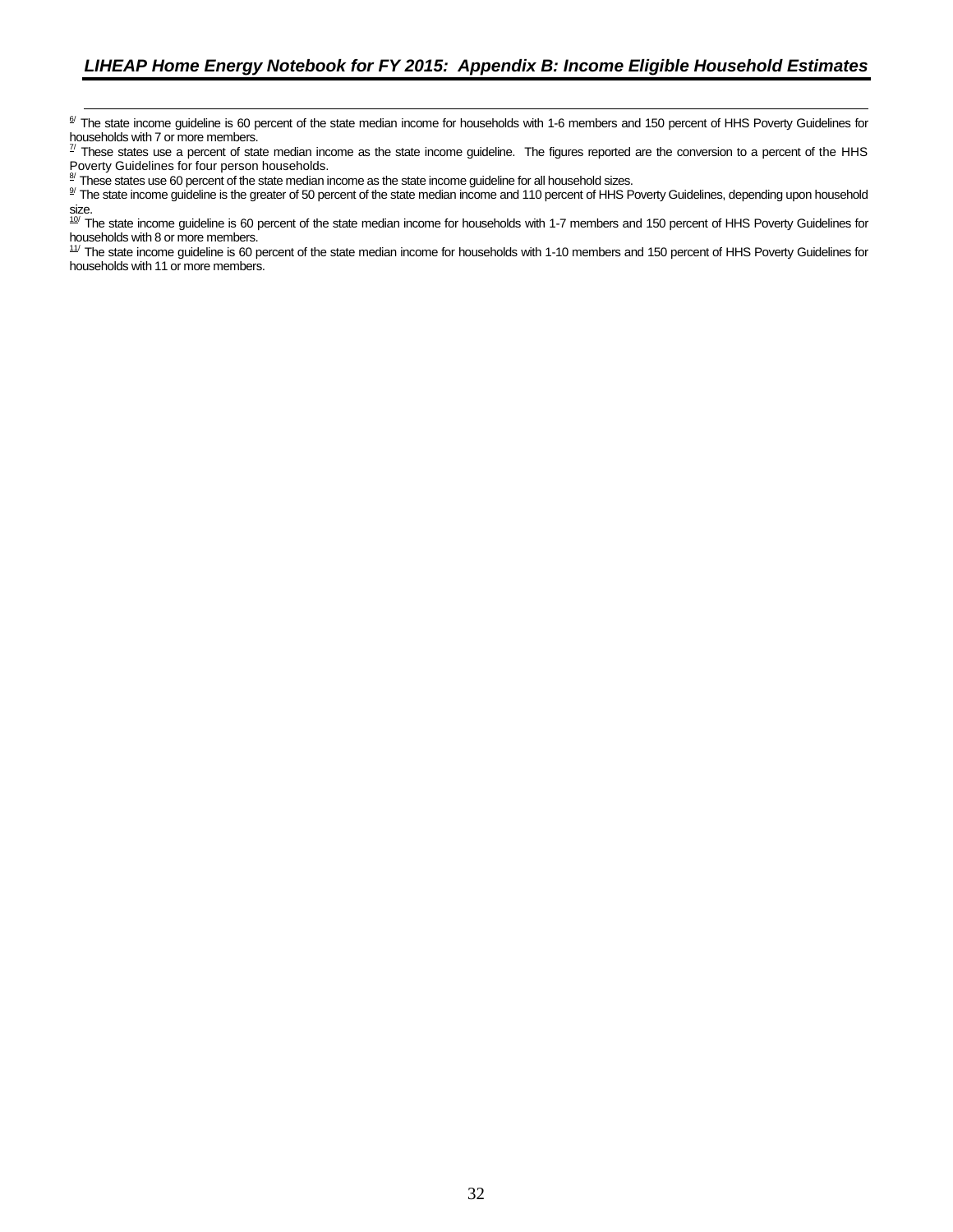<sup>6/</sup> The state income guideline is 60 percent of the state median income for households with 1-6 members and 150 percent of HHS Poverty Guidelines for households with 7 or more members.<br>
These states une a person is in the These states une a person is in the U.S.

These states use a percent of state median income as the state income guideline. The figures reported are the conversion to a percent of the HHS

Poverty Guidelines for four person households.<br><sup>8/</sup> These states use 60 percent of the state median income as the state income guideline for all household sizes.<br><sup>9/</sup> The state income guideline is the greater of 50 percent

g/ The state income guideline is the greater of 50 percent of the state median income and 110 percent of HHS Poverty Guidelines, depending upon household size.<br><sup>19/</sup> The state income guideline is 60 percent of the state median income for households with 1-7 members and 150 percent of HHS Poverty Guidelines for

households with 8 or more members.<br><sup>11/</sup> The state income guideline is 60 percent of the state median income for households with 1-10 members and 150 percent of HHS Poverty Guidelines for households with 11 or more members.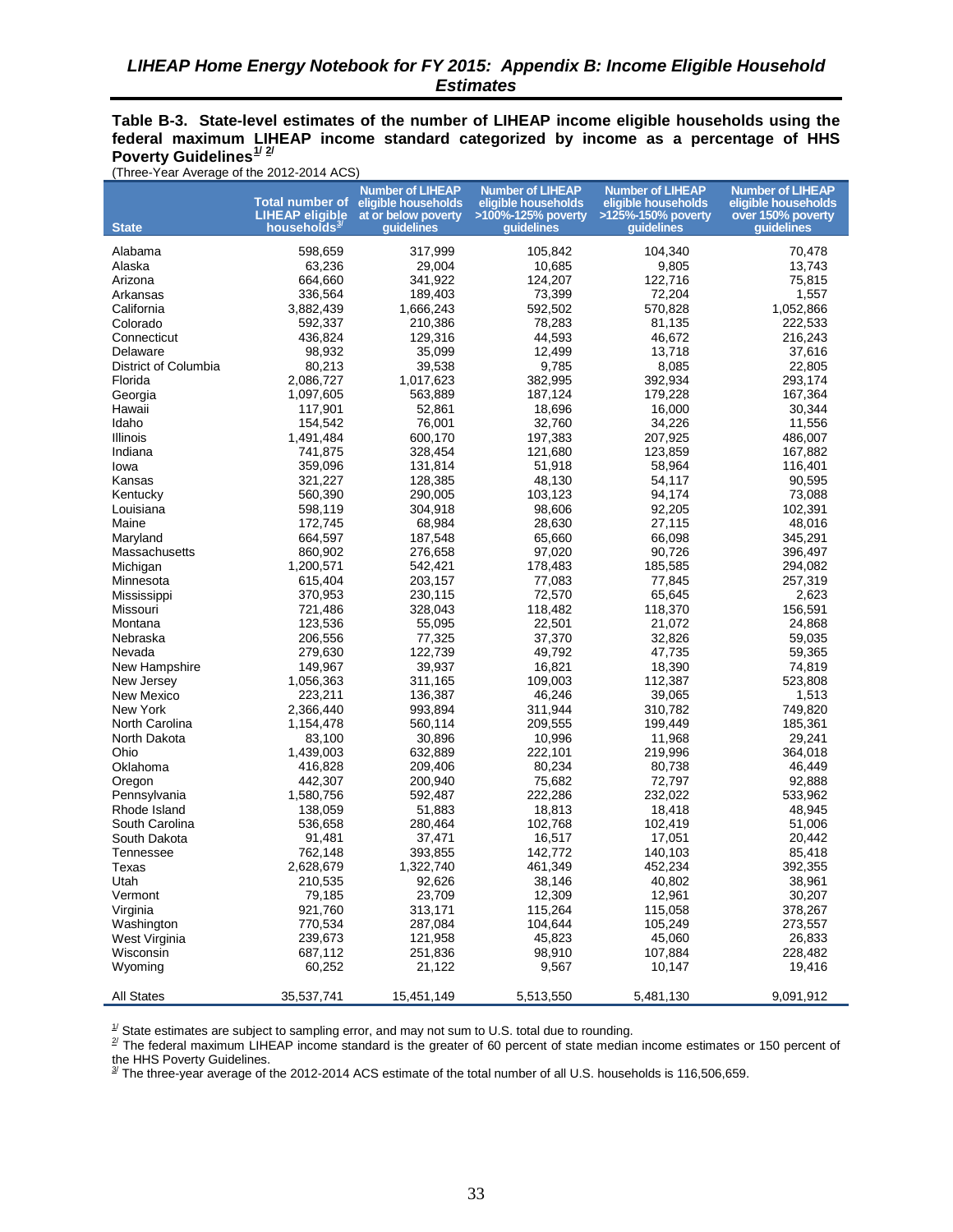<span id="page-42-0"></span>**Table B-3. State-level estimates of the number of LIHEAP income eligible households using the federal maximum LIHEAP income standard categorized by income as a percentage of HHS Poverty Guidelines[1/](#page-42-1) [2](#page-42-2)/** 

(Three-Year Average of the 2012-2014 ACS)

| <b>State</b>         | LIHEAP eligible<br>households <sup>3/</sup> | <b>Number of LIHEAP</b><br>Total number of eligible households<br>at or below poverty<br>quidelines | <b>Number of LIHEAP</b><br>eligible households<br>>100%-125% poverty<br>quidelines | <b>Number of LIHEAP</b><br>eligible households<br>>125%-150% poverty<br>quidelines | <b>Number of LIHEAP</b><br>eligible households<br>over 150% poverty<br>quidelines |
|----------------------|---------------------------------------------|-----------------------------------------------------------------------------------------------------|------------------------------------------------------------------------------------|------------------------------------------------------------------------------------|-----------------------------------------------------------------------------------|
|                      |                                             |                                                                                                     |                                                                                    |                                                                                    |                                                                                   |
| Alabama              | 598,659<br>63,236                           | 317,999<br>29,004                                                                                   | 105,842                                                                            | 104,340<br>9,805                                                                   | 70,478<br>13,743                                                                  |
| Alaska               | 664,660                                     | 341,922                                                                                             | 10,685<br>124,207                                                                  | 122,716                                                                            | 75,815                                                                            |
| Arizona<br>Arkansas  | 336,564                                     | 189,403                                                                                             | 73,399                                                                             | 72,204                                                                             | 1,557                                                                             |
| California           | 3,882,439                                   | 1,666,243                                                                                           | 592,502                                                                            | 570,828                                                                            | 1,052,866                                                                         |
| Colorado             | 592,337                                     | 210,386                                                                                             | 78,283                                                                             | 81,135                                                                             | 222,533                                                                           |
| Connecticut          | 436,824                                     | 129,316                                                                                             | 44,593                                                                             | 46,672                                                                             | 216,243                                                                           |
| Delaware             | 98,932                                      | 35,099                                                                                              | 12,499                                                                             | 13,718                                                                             | 37,616                                                                            |
| District of Columbia | 80,213                                      | 39,538                                                                                              | 9,785                                                                              | 8,085                                                                              | 22,805                                                                            |
| Florida              | 2,086,727                                   | 1,017,623                                                                                           | 382,995                                                                            | 392,934                                                                            | 293,174                                                                           |
| Georgia              | 1,097,605                                   | 563,889                                                                                             | 187,124                                                                            | 179,228                                                                            | 167,364                                                                           |
| Hawaii               | 117,901                                     | 52,861                                                                                              | 18,696                                                                             | 16,000                                                                             | 30,344                                                                            |
| Idaho                | 154,542                                     | 76,001                                                                                              | 32,760                                                                             | 34,226                                                                             | 11,556                                                                            |
| Illinois             | 1,491,484                                   | 600,170                                                                                             | 197,383                                                                            | 207,925                                                                            | 486,007                                                                           |
| Indiana              | 741,875                                     | 328,454                                                                                             | 121,680                                                                            | 123,859                                                                            | 167,882                                                                           |
| lowa                 | 359,096                                     | 131,814                                                                                             | 51,918                                                                             | 58,964                                                                             | 116,401                                                                           |
| Kansas               | 321,227                                     | 128,385                                                                                             | 48,130                                                                             | 54,117                                                                             | 90,595                                                                            |
| Kentucky             | 560,390                                     | 290.005                                                                                             | 103,123                                                                            | 94,174                                                                             | 73,088                                                                            |
| Louisiana            | 598,119                                     | 304,918                                                                                             | 98,606                                                                             | 92,205                                                                             | 102,391                                                                           |
| Maine                | 172,745                                     | 68,984                                                                                              | 28,630                                                                             | 27,115                                                                             | 48,016                                                                            |
| Maryland             | 664,597                                     | 187,548                                                                                             | 65,660                                                                             | 66,098                                                                             | 345,291                                                                           |
| Massachusetts        | 860,902                                     | 276,658                                                                                             | 97,020                                                                             | 90,726                                                                             | 396,497                                                                           |
| Michigan             | 1,200,571                                   | 542,421                                                                                             | 178,483                                                                            | 185,585                                                                            | 294,082                                                                           |
| Minnesota            | 615,404                                     | 203,157                                                                                             | 77,083                                                                             | 77,845                                                                             | 257,319                                                                           |
| Mississippi          | 370,953                                     | 230,115                                                                                             | 72,570                                                                             | 65,645                                                                             | 2,623                                                                             |
| Missouri             | 721,486                                     | 328,043                                                                                             | 118,482                                                                            | 118,370                                                                            | 156,591                                                                           |
| Montana              | 123,536                                     | 55,095                                                                                              | 22,501                                                                             | 21,072                                                                             | 24,868                                                                            |
| Nebraska             | 206,556                                     | 77,325                                                                                              | 37,370                                                                             | 32,826                                                                             | 59,035                                                                            |
| Nevada               | 279,630                                     | 122,739                                                                                             | 49,792                                                                             | 47,735                                                                             | 59,365                                                                            |
| New Hampshire        | 149,967                                     | 39,937                                                                                              | 16,821                                                                             | 18,390                                                                             | 74,819                                                                            |
| New Jersey           | 1,056,363                                   | 311,165                                                                                             | 109,003                                                                            | 112,387                                                                            | 523,808                                                                           |
| New Mexico           | 223,211                                     | 136,387                                                                                             | 46,246                                                                             | 39,065                                                                             | 1,513                                                                             |
| New York             | 2,366,440                                   | 993,894                                                                                             | 311,944                                                                            | 310,782                                                                            | 749,820                                                                           |
| North Carolina       | 1,154,478                                   | 560,114                                                                                             | 209,555                                                                            | 199,449                                                                            | 185,361                                                                           |
| North Dakota         | 83,100                                      | 30,896                                                                                              | 10,996                                                                             | 11,968                                                                             | 29,241                                                                            |
| Ohio                 | 1,439,003                                   | 632,889                                                                                             | 222,101                                                                            | 219,996                                                                            | 364,018                                                                           |
| Oklahoma             | 416,828                                     | 209,406                                                                                             | 80,234                                                                             | 80,738                                                                             | 46,449                                                                            |
| Oregon               | 442,307                                     | 200,940                                                                                             | 75,682                                                                             | 72,797                                                                             | 92,888                                                                            |
| Pennsylvania         | 1,580,756                                   | 592,487                                                                                             | 222,286                                                                            | 232,022                                                                            | 533,962                                                                           |
| Rhode Island         | 138,059                                     | 51,883                                                                                              | 18,813                                                                             | 18,418                                                                             | 48,945                                                                            |
| South Carolina       | 536,658                                     | 280,464                                                                                             | 102,768                                                                            | 102,419                                                                            | 51,006                                                                            |
| South Dakota         | 91,481                                      | 37,471                                                                                              | 16,517                                                                             | 17,051                                                                             | 20,442                                                                            |
| Tennessee            | 762,148                                     | 393,855                                                                                             | 142,772                                                                            | 140,103                                                                            | 85,418                                                                            |
| Texas                | 2,628,679                                   | 1,322,740                                                                                           | 461,349                                                                            | 452,234                                                                            | 392,355                                                                           |
| Utah                 | 210,535                                     | 92,626                                                                                              | 38,146                                                                             | 40,802                                                                             | 38,961                                                                            |
| Vermont              | 79,185                                      | 23,709                                                                                              | 12,309                                                                             | 12,961                                                                             | 30,207                                                                            |
| Virginia             | 921,760                                     | 313,171                                                                                             | 115,264                                                                            | 115,058                                                                            | 378,267                                                                           |
| Washington           | 770,534                                     | 287,084                                                                                             | 104,644                                                                            | 105,249                                                                            | 273,557                                                                           |
| West Virginia        | 239,673                                     | 121,958                                                                                             | 45,823                                                                             | 45,060                                                                             | 26,833                                                                            |
| Wisconsin            | 687,112                                     | 251,836                                                                                             | 98,910                                                                             | 107,884                                                                            | 228,482                                                                           |
| Wyoming              | 60,252                                      | 21,122                                                                                              | 9,567                                                                              | 10,147                                                                             | 19,416                                                                            |
| All States           | 35,537,741                                  | 15,451,149                                                                                          | 5,513,550                                                                          | 5,481,130                                                                          | 9,091,912                                                                         |

<span id="page-42-2"></span><span id="page-42-1"></span>

 $^{\mathcal{1}}$  State estimates are subject to sampling error, and may not sum to U.S. total due to rounding.<br><sup>2/</sup> The federal maximum LIHEAP income standard is the greater of 60 percent of state median income estimates or 150

<span id="page-42-3"></span>the HHS Poverty Guidelines.<br><sup>3/</sup> The three-year average of the 2012-2014 ACS estimate of the total number of all U.S. households is 116,506,659.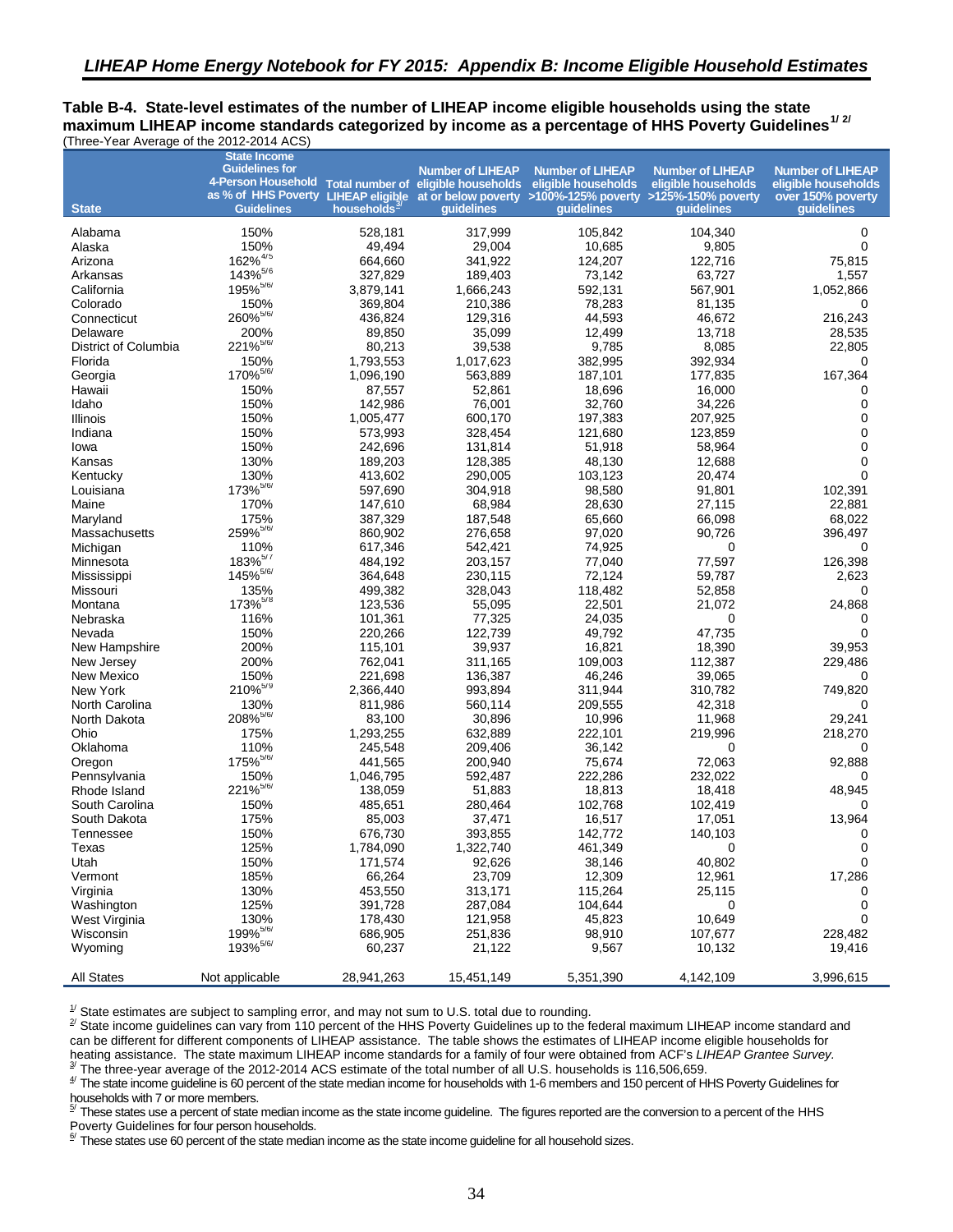<span id="page-43-6"></span><span id="page-43-5"></span><span id="page-43-4"></span><span id="page-43-3"></span><span id="page-43-2"></span><span id="page-43-1"></span><span id="page-43-0"></span>**Table B-4. State-level estimates of the number of LIHEAP income eligible households using the state maximum LIHEAP income standards categorized by income as a percentage of HHS Poverty Guidelines[1](#page-44-14)/ [2](#page-44-15)/**  (Three-Year Average of the 2012-2014 ACS)

<span id="page-43-8"></span><span id="page-43-7"></span>

|                             | <b>State Income</b>                                                                                 |                         |                         |                                                                                               |                                                |                                                |
|-----------------------------|-----------------------------------------------------------------------------------------------------|-------------------------|-------------------------|-----------------------------------------------------------------------------------------------|------------------------------------------------|------------------------------------------------|
|                             | <b>Guidelines for</b><br>4-Person Household Total number of eligible households eligible households |                         | <b>Number of LIHEAP</b> | <b>Number of LIHEAP</b>                                                                       | <b>Number of LIHEAP</b><br>eligible households | <b>Number of LIHEAP</b><br>eligible households |
|                             |                                                                                                     |                         |                         | as % of HHS Poverty LIHEAP eligible at or below poverty >100%-125% poverty >125%-150% poverty |                                                | over 150% poverty                              |
| <b>State</b>                | <b>Guidelines</b>                                                                                   | households <sup>3</sup> | quidelines              | quidelines                                                                                    | quidelines                                     | quidelines                                     |
| Alabama                     | 150%                                                                                                | 528,181                 | 317,999                 | 105,842                                                                                       | 104,340                                        | 0                                              |
| Alaska                      | 150%                                                                                                | 49,494                  | 29,004                  | 10,685                                                                                        | 9,805                                          | $\Omega$                                       |
| Arizona                     | 162% <sup>4/5</sup>                                                                                 | 664,660                 | 341,922                 | 124,207                                                                                       | 122,716                                        | 75,815                                         |
| Arkansas                    | $143\%^{5/6}$                                                                                       | 327,829                 | 189,403                 | 73,142                                                                                        | 63,727                                         | 1,557                                          |
| California                  | 195% 5/6/                                                                                           | 3,879,141               | 1,666,243               | 592,131                                                                                       | 567,901                                        | 1,052,866                                      |
| Colorado                    | 150%                                                                                                | 369,804                 | 210,386                 | 78,283                                                                                        | 81.135                                         | 0                                              |
| Connecticut                 | 260% <sup>5/6/</sup>                                                                                | 436,824                 | 129,316                 | 44,593                                                                                        | 46,672                                         | 216,243                                        |
| Delaware                    | 200%                                                                                                | 89,850                  | 35,099                  | 12,499                                                                                        | 13,718                                         | 28,535                                         |
| District of Columbia        | 221% <sup>5/6/</sup>                                                                                | 80,213                  | 39,538                  | 9,785                                                                                         | 8,085                                          | 22,805                                         |
| Florida                     | 150%                                                                                                | 1,793,553               | 1,017,623               | 382,995                                                                                       | 392,934                                        | 0                                              |
| Georgia                     | 170% <sup>5/6/</sup>                                                                                | 1,096,190               | 563,889                 | 187,101                                                                                       | 177,835                                        | 167,364                                        |
| Hawaii                      | 150%                                                                                                | 87,557                  | 52,861                  | 18,696                                                                                        | 16,000                                         | 0                                              |
| Idaho                       | 150%                                                                                                | 142,986                 | 76,001                  | 32,760                                                                                        | 34,226                                         | 0                                              |
| Illinois                    | 150%                                                                                                | 1,005,477               | 600,170                 | 197,383                                                                                       | 207,925                                        | 0                                              |
| Indiana                     | 150%                                                                                                | 573,993                 | 328,454                 | 121,680                                                                                       | 123,859                                        | 0                                              |
| lowa                        | 150%                                                                                                | 242,696                 | 131,814                 | 51,918                                                                                        | 58,964                                         | 0                                              |
| Kansas                      | 130%                                                                                                | 189,203                 | 128,385                 | 48,130                                                                                        | 12,688                                         | 0                                              |
| Kentucky                    | 130%                                                                                                | 413,602                 | 290,005                 | 103,123                                                                                       | 20,474                                         | 0                                              |
| Louisiana                   | 173% <sup>5/6/</sup>                                                                                | 597,690                 | 304.918                 | 98,580                                                                                        | 91,801                                         | 102,391                                        |
| Maine                       | 170%                                                                                                | 147,610                 | 68,984                  | 28,630                                                                                        | 27,115                                         | 22,881                                         |
| Maryland                    | 175%                                                                                                | 387,329                 | 187,548                 | 65.660                                                                                        | 66,098                                         | 68,022                                         |
| Massachusetts               | 259% 5/6/                                                                                           | 860,902                 | 276,658                 | 97,020                                                                                        | 90,726                                         | 396,497                                        |
| Michigan                    | 110%                                                                                                | 617,346                 | 542,421                 | 74,925                                                                                        | 0                                              | 0                                              |
| Minnesota                   | $183\%^{5/7}$                                                                                       | 484,192                 | 203,157                 | 77,040                                                                                        | 77,597                                         | 126,398                                        |
| Mississippi                 | 145% 5/6/                                                                                           | 364,648                 | 230,115                 | 72,124                                                                                        | 59,787                                         | 2,623                                          |
| Missouri                    | 135%<br>173% <sup>5/8</sup>                                                                         | 499,382                 | 328,043                 | 118,482                                                                                       | 52,858                                         | 0                                              |
| Montana                     |                                                                                                     | 123,536                 | 55,095                  | 22,501                                                                                        | 21,072                                         | 24,868                                         |
| Nebraska                    | 116%                                                                                                | 101,361                 | 77,325                  | 24,035                                                                                        | 0                                              | 0<br>0                                         |
| Nevada                      | 150%<br>200%                                                                                        | 220,266                 | 122,739<br>39,937       | 49,792<br>16,821                                                                              | 47,735<br>18,390                               | 39,953                                         |
| New Hampshire<br>New Jersey | 200%                                                                                                | 115,101<br>762,041      | 311,165                 | 109,003                                                                                       | 112,387                                        | 229,486                                        |
| New Mexico                  | 150%                                                                                                | 221,698                 | 136,387                 | 46,246                                                                                        | 39,065                                         | 0                                              |
| New York                    | 210% <sup>5/9</sup>                                                                                 | 2,366,440               | 993,894                 | 311,944                                                                                       | 310,782                                        | 749,820                                        |
| North Carolina              | 130%                                                                                                | 811,986                 | 560,114                 | 209,555                                                                                       | 42,318                                         | 0                                              |
| North Dakota                | 208% <sup>5/6/</sup>                                                                                | 83,100                  | 30,896                  | 10,996                                                                                        | 11,968                                         | 29,241                                         |
| Ohio                        | 175%                                                                                                | 1,293,255               | 632,889                 | 222,101                                                                                       | 219,996                                        | 218,270                                        |
| Oklahoma                    | 110%                                                                                                | 245,548                 | 209,406                 | 36,142                                                                                        | 0                                              | 0                                              |
| Oregon                      | 175% <sup>5/6/</sup>                                                                                | 441,565                 | 200,940                 | 75,674                                                                                        | 72,063                                         | 92,888                                         |
| Pennsylvania                | 150%                                                                                                | 1,046,795               | 592,487                 | 222,286                                                                                       | 232,022                                        | 0                                              |
| Rhode Island                | 221% <sup>5/6/</sup>                                                                                | 138,059                 | 51,883                  | 18,813                                                                                        | 18,418                                         | 48,945                                         |
| South Carolina              | 150%                                                                                                | 485,651                 | 280,464                 | 102,768                                                                                       | 102,419                                        | 0                                              |
| South Dakota                | 175%                                                                                                | 85,003                  | 37,471                  | 16,517                                                                                        | 17,051                                         | 13,964                                         |
| Tennessee                   | 150%                                                                                                | 676,730                 | 393,855                 | 142,772                                                                                       | 140,103                                        | 0                                              |
| Texas                       | 125%                                                                                                | 1,784,090               | 1,322,740               | 461,349                                                                                       | 0                                              | 0                                              |
| Utah                        | 150%                                                                                                | 171,574                 | 92,626                  | 38,146                                                                                        | 40,802                                         | 0                                              |
| Vermont                     | 185%                                                                                                | 66,264                  | 23,709                  | 12,309                                                                                        | 12,961                                         | 17,286                                         |
| Virginia                    | 130%                                                                                                | 453,550                 | 313,171                 | 115,264                                                                                       | 25,115                                         | 0                                              |
| Washington                  | 125%                                                                                                | 391,728                 | 287,084                 | 104,644                                                                                       | 0                                              | 0                                              |
| West Virginia               | 130%                                                                                                | 178,430                 | 121,958                 | 45,823                                                                                        | 10,649                                         | 0                                              |
| Wisconsin                   | 199% <sup>5/6/</sup>                                                                                | 686,905                 | 251,836                 | 98,910                                                                                        | 107,677                                        | 228,482                                        |
| Wyoming                     | 193% <sup>5/6/</sup>                                                                                | 60,237                  | 21,122                  | 9,567                                                                                         | 10,132                                         | 19,416                                         |
| <b>All States</b>           | Not applicable                                                                                      | 28,941,263              | 15,451,149              | 5,351,390                                                                                     | 4,142,109                                      | 3,996,615                                      |

 $\frac{1}{2}$  State estimates are subject to sampling error, and may not sum to U.S. total due to rounding.

 $^{\rm \mathbb{Z}}$  State income guidelines can vary from 110 percent of the HHS Poverty Guidelines up to the federal maximum LIHEAP income standard and can be different for different components of LIHEAP assistance. The table shows the estimates of LIHEAP income eligible households for heating assistance. The state maximum LIHEAP income standards for a family of four were obtained from ACF's *LIHEAP Grantee Survey.*  $\frac{3}{3}$  The three-year average of the 2012-2014 ACS estimate of the total number of all U.S. households is 116,506,659.

 $^{47}$  The state income guideline is 60 percent of the state median income for households with 1-6 members and 150 percent of HHS Poverty Guidelines for households with 7 or more members.<br><sup>5/</sup> These atotes use a persont of state

These states use a percent of state median income as the state income guideline. The figures reported are the conversion to a percent of the HHS Poverty Guidelines for four person households.

 $^{67}$  These states use 60 percent of the state median income as the state income guideline for all household sizes.